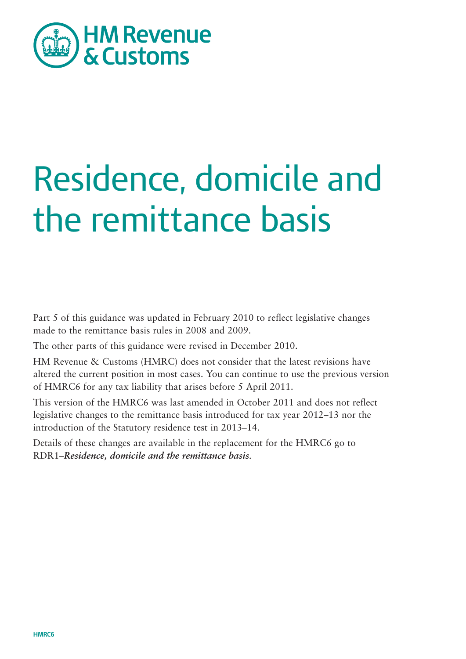

# Residence, domicile and the remittance basis

 Part 5 of this guidance was updated in February 2010 to reflect legislative changes made to the remittance basis rules in 2008 and 2009.

The other parts of this guidance were revised in December 2010.

 HM Revenue & Customs (HMRC) does not consider that the latest revisions have altered the current position in most cases. You can continue to use the previous version of HMRC6 for any tax liability that arises before 5 April 2011.

 This version of the HMRC6 was last amended in October 2011 and does not reflect legislative changes to the remittance basis introduced for tax year 2012–13 nor the introduction of the Statutory residence test in 2013–14.

 Details of these changes are available in the replacement for the HMRC6 go to  RDR1–*Residence, domicile and the remittance basis.*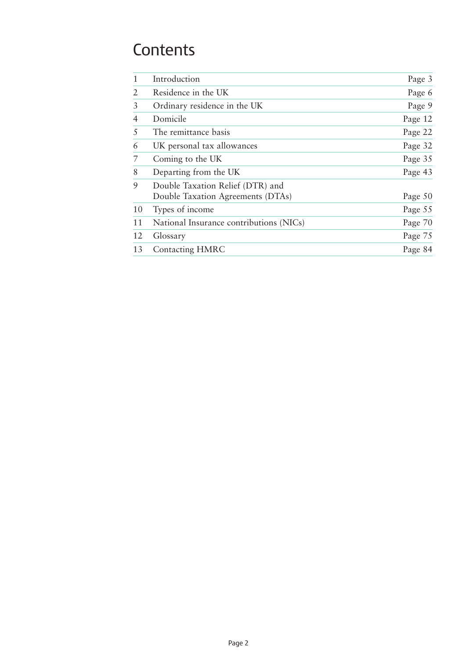# **Contents**

| $\mathbf{1}$   | Introduction                            | Page 3  |
|----------------|-----------------------------------------|---------|
| 2              | Residence in the UK                     | Page 6  |
| 3              | Ordinary residence in the UK            | Page 9  |
| $\overline{4}$ | Domicile                                | Page 12 |
| 5              | The remittance basis                    | Page 22 |
| 6              | UK personal tax allowances              | Page 32 |
| 7              | Coming to the UK                        | Page 35 |
| 8              | Departing from the UK                   | Page 43 |
| 9              | Double Taxation Relief (DTR) and        |         |
|                | Double Taxation Agreements (DTAs)       | Page 50 |
| 10             | Types of income                         | Page 55 |
| 11             | National Insurance contributions (NICs) | Page 70 |
| 12             | Glossary                                | Page 75 |
| 13             | Contacting HMRC                         | Page 84 |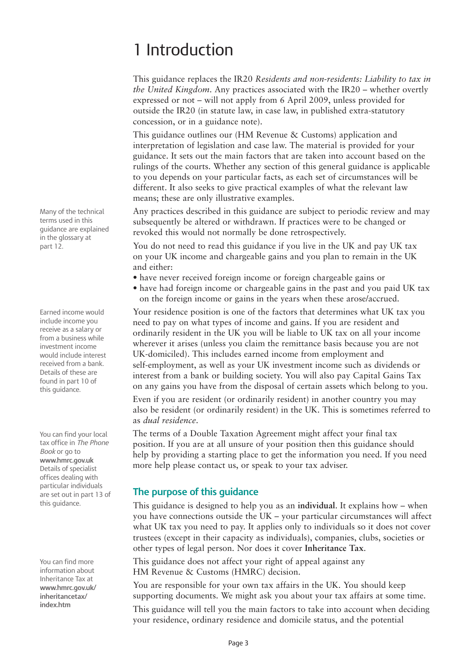# <span id="page-2-0"></span>1 Introduction

  This guidance replaces the IR20 *Residents and nonresidents: Liability to tax in the United Kingdom*. Any practices associated with the IR20 – whether overtly expressed or not – will not apply from 6 April 2009, unless provided for outside the IR20 (in statute law, in case law, in published extra-statutory concession, or in a guidance note).

 This guidance outlines our (HM Revenue & Customs) application and interpretation of legislation and case law. The material is provided for your guidance. It sets out the main factors that are taken into account based on the rulings of the courts. Whether any section of this general guidance is applicable to you depends on your particular facts, as each set of circumstances will be different. It also seeks to give practical examples of what the relevant law means; these are only illustrative examples.

 Any practices described in this guidance are subject to periodic review and may subsequently be altered or withdrawn. If practices were to be changed or revoked this would not normally be done retrospectively.

 You do not need to read this guidance if you live in the UK and pay UK tax on your UK income and chargeable gains and you plan to remain in the UK and either:

- have never received foreign income or foreign chargeable gains or
- have had foreign income or chargeable gains in the past and you paid UK tax on the foreign income or gains in the years when these arose/accrued.

 Your residence position is one of the factors that determines what UK tax you need to pay on what types of income and gains. If you are resident and ordinarily resident in the UK you will be liable to UK tax on all your income wherever it arises (unless you claim the remittance basis because you are not UK-domiciled). This includes earned income from employment and self-employment, as well as your UK investment income such as dividends or interest from a bank or building society. You will also pay Capital Gains Tax on any gains you have from the disposal of certain assets which belong to you. Even if you are resident (or ordinarily resident) in another country you may also be resident (or ordinarily resident) in the UK. This is sometimes referred to as *dual residence*.

 The terms of a Double Taxation Agreement might affect your final tax position. If you are at all unsure of your position then this guidance should help by providing a starting place to get the information you need. If you need more help please contact us, or speak to your tax adviser.

#### **The purpose of this guidance**

 This guidance is designed to help you as an **individual**. It explains how – when you have connections outside the UK – your particular circumstances will affect what UK tax you need to pay. It applies only to individuals so it does not cover trustees (except in their capacity as individuals), companies, clubs, societies or other types of legal person. Nor does it cover **Inheritance Tax**.

 This guidance does not affect your right of appeal against any HM Revenue & Customs (HMRC) decision.

 You are responsible for your own tax affairs in the UK. You should keep supporting documents. We might ask you about your tax affairs at some time.

 This guidance will tell you the main factors to take into account when deciding your residence, ordinary residence and domicile status, and the potential

 Many of the technical terms used in this guidance are explained in the glossary at part 12.

 Earned income would include income you receive as a salary or from a business while would include interest received from a bank. Details of these are found in part 10 of investment income this guidance.

 You can find your local tax office in *The Phone Book* or go to Details of specialist offices dealing with particular individuals are set out in part 13 of **www.hmrc.gov.uk** this guidance.

 You can find more Inheritance Tax at information about **www.hmrc.gov.uk/ inheritancetax/ index.htm**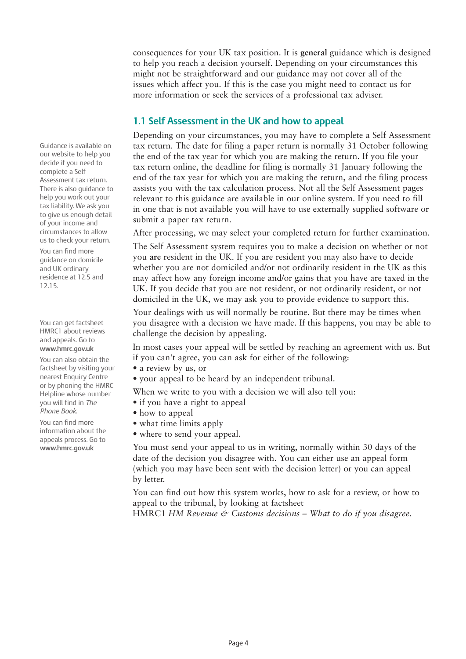consequences for your UK tax position. It is **general** guidance which is designed to help you reach a decision yourself. Depending on your circumstances this might not be straightforward and our guidance may not cover all of the issues which affect you. If this is the case you might need to contact us for more information or seek the services of a professional tax adviser.

#### **1.1 Self Assessment in the UK and how to appeal**

 Depending on your circumstances, you may have to complete a Self Assessment tax return. The date for filing a paper return is normally 31 October following the end of the tax year for which you are making the return. If you file your tax return online, the deadline for filing is normally 31 January following the end of the tax year for which you are making the return, and the filing process assists you with the tax calculation process. Not all the Self Assessment pages relevant to this guidance are available in our online system. If you need to fill in one that is not available you will have to use externally supplied software or submit a paper tax return.

After processing, we may select your completed return for further examination.

 The Self Assessment system requires you to make a decision on whether or not you **are** resident in the UK. If you are resident you may also have to decide whether you are not domiciled and/or not ordinarily resident in the UK as this may affect how any foreign income and/or gains that you have are taxed in the UK. If you decide that you are not resident, or not ordinarily resident, or not domiciled in the UK, we may ask you to provide evidence to support this.

 Your dealings with us will normally be routine. But there may be times when you disagree with a decision we have made. If this happens, you may be able to challenge the decision by appealing.

 In most cases your appeal will be settled by reaching an agreement with us. But if you can't agree, you can ask for either of the following:

- a review by us, or
	- your appeal to be heard by an independent tribunal.

When we write to you with a decision we will also tell you:

- if you have a right to appeal
- how to appeal
- what time limits apply
- where to send your appeal.

 You must send your appeal to us in writing, normally within 30 days of the date of the decision you disagree with. You can either use an appeal form (which you may have been sent with the decision letter) or you can appeal by letter.

 You can find out how this system works, how to ask for a review, or how to appeal to the tribunal, by looking at factsheet

 HMRC1 *HM Revenue & Customs decisions – What to do if you disagree.*

 Guidance is available on our website to help you decide if you need to complete a Self Assessment tax return. There is also guidance to help you work out your tax liability. We ask you to give us enough detail of your income and circumstances to allow us to check your return.

 You can find more guidance on domicile and UK ordinary residence at 12.5 and 12.15.

 You can get factsheet HMRC1 about reviews and appeals. Go to **www.hmrc.gov.uk**

 You can also obtain the factsheet by visiting your nearest Enquiry Centre or by phoning the HMRC Helpline whose number you will find in *The Phone Book*.

 You can find more information about the appeals process. Go to **www.hmrc.gov.uk**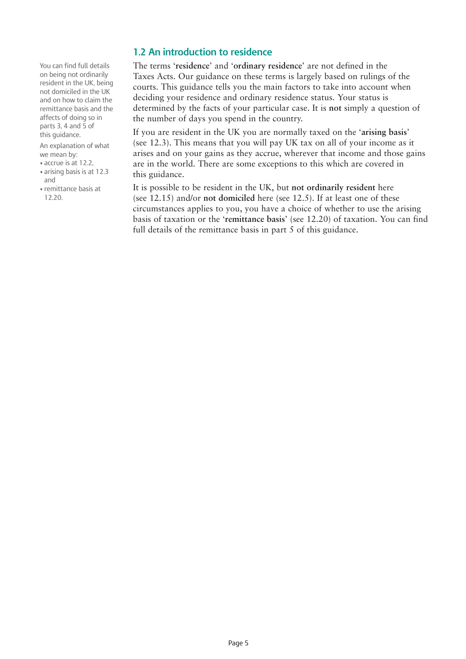You can find full details on being not ordinarily resident in the UK, being not domiciled in the UK and on how to claim the remittance basis and the affects of doing so in parts 3, 4 and 5 of this guidance.

 An explanation of what we mean by:

- • accrue is at 12.2, • arising basis is at 12.3
- remittance basis at and
- 12.20.

## **1.2 An introduction to residence**

 The terms '**residence**' and '**ordinary residence**' are not defined in the Taxes Acts. Our guidance on these terms is largely based on rulings of the courts. This guidance tells you the main factors to take into account when deciding your residence and ordinary residence status. Your status is determined by the facts of your particular case. It is **not** simply a question of the number of days you spend in the country.

 If you are resident in the UK you are normally taxed on the '**arising basis**' (see 12.3). This means that you will pay UK tax on all of your income as it arises and on your gains as they accrue, wherever that income and those gains are in the world. There are some exceptions to this which are covered in this guidance.

  It is possible to be resident in the UK, but **not ordinarily resident** here (see 12.15) and/or **not domiciled** here (see 12.5). If at least one of these circumstances applies to you, you have a choice of whether to use the arising basis of taxation or the '**remittance basis**' (see 12.20) of taxation. You can find full details of the remittance basis in part 5 of this guidance.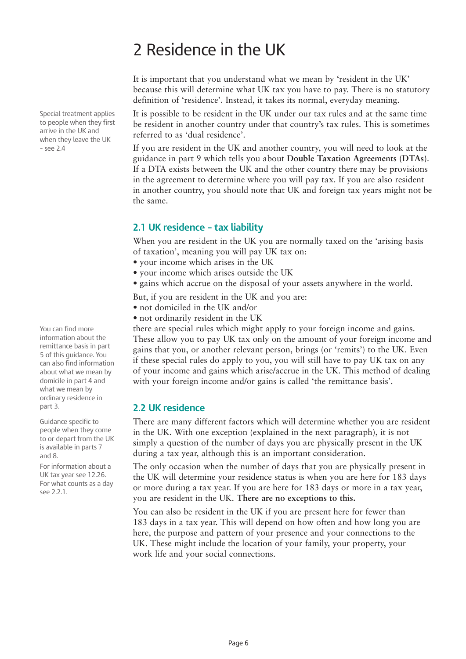# 2 Residence in the UK

 It is important that you understand what we mean by 'resident in the UK' because this will determine what UK tax you have to pay. There is no statutory definition of 'residence'. Instead, it takes its normal, everyday meaning.

 It is possible to be resident in the UK under our tax rules and at the same time be resident in another country under that country's tax rules. This is sometimes referred to as 'dual residence'.

 If you are resident in the UK and another country, you will need to look at the  guidance in part 9 which tells you about **Double Taxation Agreements (DTAs)**. If a DTA exists between the UK and the other country there may be provisions in the agreement to determine where you will pay tax. If you are also resident in another country, you should note that UK and foreign tax years might not be the same.

### **2.1 UK residence – tax liability**

 When you are resident in the UK you are normally taxed on the 'arising basis of taxation', meaning you will pay UK tax on:

- your income which arises in the UK
- your income which arises outside the UK
- gains which accrue on the disposal of your assets anywhere in the world.

But, if you are resident in the UK and you are:

- not domiciled in the UK and/or
- not ordinarily resident in the UK

 there are special rules which might apply to your foreign income and gains. These allow you to pay UK tax only on the amount of your foreign income and gains that you, or another relevant person, brings (or 'remits') to the UK. Even if these special rules do apply to you, you will still have to pay UK tax on any of your income and gains which arise/accrue in the UK. This method of dealing with your foreign income and/or gains is called 'the remittance basis'.

### **2.2 UK residence**

 There are many different factors which will determine whether you are resident in the UK. With one exception (explained in the next paragraph), it is not simply a question of the number of days you are physically present in the UK during a tax year, although this is an important consideration.

 The only occasion when the number of days that you are physically present in the UK will determine your residence status is when you are here for 183 days or more during a tax year. If you are here for 183 days or more in a tax year,  you are resident in the UK. **There are no exceptions to this.**

 You can also be resident in the UK if you are present here for fewer than 183 days in a tax year. This will depend on how often and how long you are here, the purpose and pattern of your presence and your connections to the UK. These might include the location of your family, your property, your work life and your social connections.

 You can find more information about the remittance basis in part 5 of this guidance. You can also find information about what we mean by domicile in part 4 and what we mean by ordinary residence in part 3.

<span id="page-5-0"></span> Special treatment applies to people when they first arrive in the UK and when they leave the UK

– see 2.4

 Guidance specific to people when they come to or depart from the UK is available in parts 7 and 8.

 For information about a UK tax year see 12.26. For what counts as a day see 2.2.1.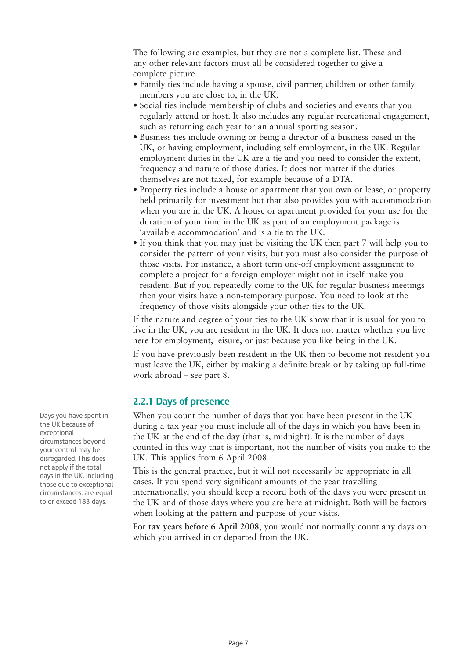The following are examples, but they are not a complete list. These and any other relevant factors must all be considered together to give a complete picture.

- Family ties include having a spouse, civil partner, children or other family members you are close to, in the UK.
- Social ties include membership of clubs and societies and events that you regularly attend or host. It also includes any regular recreational engagement, such as returning each year for an annual sporting season.
- • Business ties include owning or being a director of a business based in the UK, or having employment, including self-employment, in the UK. Regular employment duties in the UK are a tie and you need to consider the extent, frequency and nature of those duties. It does not matter if the duties themselves are not taxed, for example because of a DTA.
- • Property ties include a house or apartment that you own or lease, or property held primarily for investment but that also provides you with accommodation when you are in the UK. A house or apartment provided for your use for the duration of your time in the UK as part of an employment package is 'available accommodation' and is a tie to the UK.
- If you think that you may just be visiting the UK then part 7 will help you to consider the pattern of your visits, but you must also consider the purpose of those visits. For instance, a short term one-off employment assignment to complete a project for a foreign employer might not in itself make you resident. But if you repeatedly come to the UK for regular business meetings then your visits have a non-temporary purpose. You need to look at the frequency of those visits alongside your other ties to the UK.

 If the nature and degree of your ties to the UK show that it is usual for you to live in the UK, you are resident in the UK. It does not matter whether you live here for employment, leisure, or just because you like being in the UK.

 If you have previously been resident in the UK then to become not resident you must leave the UK, either by making a definite break or by taking up full-time work abroad – see part 8.

### **2.2.1 Days of presence**

 When you count the number of days that you have been present in the UK during a tax year you must include all of the days in which you have been in the UK at the end of the day (that is, midnight). It is the number of days counted in this way that is important, not the number of visits you make to the UK. This applies from 6 April 2008.

 This is the general practice, but it will not necessarily be appropriate in all cases. If you spend very significant amounts of the year travelling internationally, you should keep a record both of the days you were present in the UK and of those days where you are here at midnight. Both will be factors when looking at the pattern and purpose of your visits.

 For **tax years before 6 April 2008**, you would not normally count any days on which you arrived in or departed from the UK.

 Days you have spent in the UK because of your control may be disregarded. This does not apply if the total days in the UK, including those due to exceptional circumstances, are equal to or exceed 183 days. exceptional circumstances beyond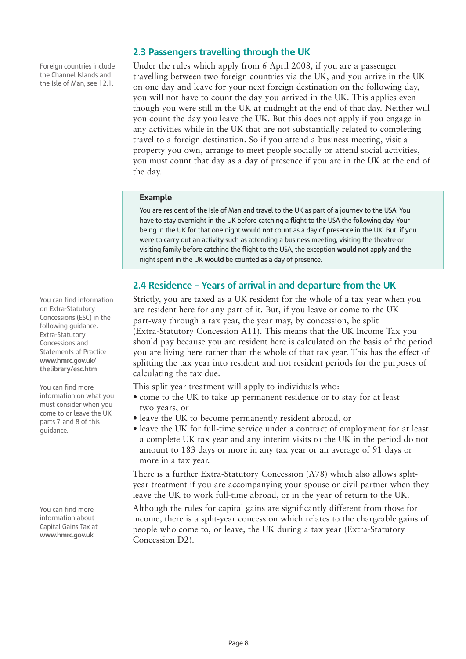Foreign countries include the Channel Islands and the Isle of Man, see 12.1.

#### **2.3 Passengers travelling through the UK**

 Under the rules which apply from 6 April 2008, if you are a passenger travelling between two foreign countries via the UK, and you arrive in the UK on one day and leave for your next foreign destination on the following day, you will not have to count the day you arrived in the UK. This applies even though you were still in the UK at midnight at the end of that day. Neither will you count the day you leave the UK. But this does not apply if you engage in any activities while in the UK that are not substantially related to completing travel to a foreign destination. So if you attend a business meeting, visit a property you own, arrange to meet people socially or attend social activities, you must count that day as a day of presence if you are in the UK at the end of the day.

#### **Example**

 You are resident of the Isle of Man and travel to the UK as part of a journey to the USA. You have to stay overnight in the UK before catching a flight to the USA the following day. Your being in the UK for that one night would **not** count as a day of presence in the UK. But, if you were to carry out an activity such as attending a business meeting, visiting the theatre or visiting family before catching the flight to the USA, the exception **would not** apply and the night spent in the UK **would** be counted as a day of presence.

### **2.4 Residence – Years of arrival in and departure from the UK**

 Strictly, you are taxed as a UK resident for the whole of a tax year when you are resident here for any part of it. But, if you leave or come to the UK part-way through a tax year, the year may, by concession, be split (Extra-Statutory Concession A11). This means that the UK Income Tax you should pay because you are resident here is calculated on the basis of the period you are living here rather than the whole of that tax year. This has the effect of splitting the tax year into resident and not resident periods for the purposes of calculating the tax due.

This split-year treatment will apply to individuals who:

- come to the UK to take up permanent residence or to stay for at least two years, or
- leave the UK to become permanently resident abroad, or
- leave the UK for full-time service under a contract of employment for at least a complete UK tax year and any interim visits to the UK in the period do not amount to 183 days or more in any tax year or an average of 91 days or more in a tax year.

There is a further Extra-Statutory Concession (A78) which also allows split- year treatment if you are accompanying your spouse or civil partner when they leave the UK to work full-time abroad, or in the year of return to the UK.

 Although the rules for capital gains are significantly different from those for income, there is a split-year concession which relates to the chargeable gains of people who come to, or leave, the UK during a tax year (Extra-Statutory Concession D2).

 You can find information Concessions (ESC) in the Statements of Practice on Extra-Statutory following guidance. Extra-Statutory Concessions and **www.hmrc.gov.uk/ thelibrary/esc.htm**

 You can find more information on what you must consider when you come to or leave the UK parts 7 and 8 of this guidance.

 You can find more Capital Gains Tax at information about **www.hmrc.gov.uk**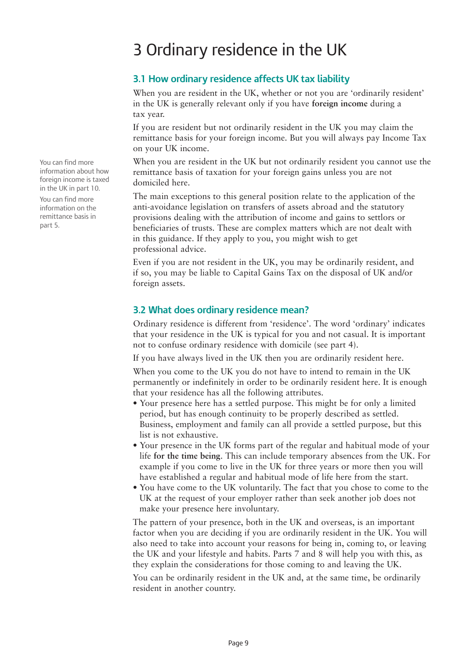# <span id="page-8-0"></span>3 Ordinary residence in the UK

## **3.1 How ordinary residence affects UK tax liability**

 When you are resident in the UK, whether or not you are 'ordinarily resident' in the UK is generally relevant only if you have **foreign income** during a tax year.

 If you are resident but not ordinarily resident in the UK you may claim the remittance basis for your foreign income. But you will always pay Income Tax on your UK income.

 When you are resident in the UK but not ordinarily resident you cannot use the remittance basis of taxation for your foreign gains unless you are not domiciled here.

 The main exceptions to this general position relate to the application of the anti-avoidance legislation on transfers of assets abroad and the statutory provisions dealing with the attribution of income and gains to settlors or beneficiaries of trusts. These are complex matters which are not dealt with in this guidance. If they apply to you, you might wish to get professional advice.

 Even if you are not resident in the UK, you may be ordinarily resident, and if so, you may be liable to Capital Gains Tax on the disposal of UK and/or foreign assets.

## **3.2 What does ordinary residence mean?**

 Ordinary residence is different from 'residence'. The word 'ordinary' indicates that your residence in the UK is typical for you and not casual. It is important not to confuse ordinary residence with domicile (see part 4).

If you have always lived in the UK then you are ordinarily resident here.

 When you come to the UK you do not have to intend to remain in the UK permanently or indefinitely in order to be ordinarily resident here. It is enough that your residence has all the following attributes.

- • Your presence here has a settled purpose. This might be for only a limited period, but has enough continuity to be properly described as settled. Business, employment and family can all provide a settled purpose, but this list is not exhaustive.
- Your presence in the UK forms part of the regular and habitual mode of your  life **for the time being**. This can include temporary absences from the UK. For example if you come to live in the UK for three years or more then you will have established a regular and habitual mode of life here from the start.
- You have come to the UK voluntarily. The fact that you chose to come to the UK at the request of your employer rather than seek another job does not make your presence here involuntary.

 The pattern of your presence, both in the UK and overseas, is an important factor when you are deciding if you are ordinarily resident in the UK. You will also need to take into account your reasons for being in, coming to, or leaving the UK and your lifestyle and habits. Parts 7 and 8 will help you with this, as they explain the considerations for those coming to and leaving the UK.

 You can be ordinarily resident in the UK and, at the same time, be ordinarily resident in another country.

 You can find more information about how foreign income is taxed in the UK in part 10.

 You can find more information on the remittance basis in part 5.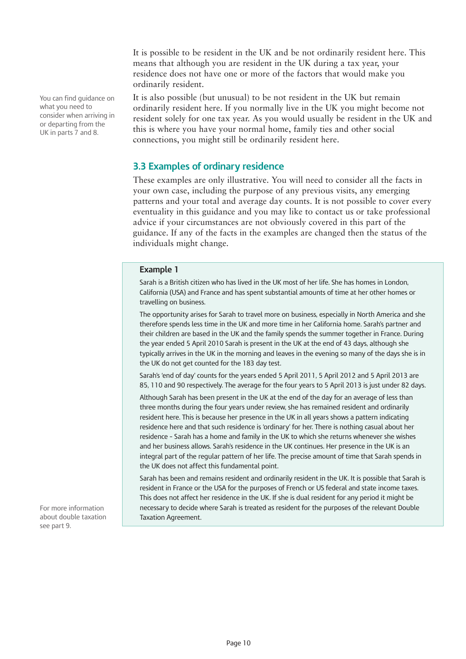It is possible to be resident in the UK and be not ordinarily resident here. This means that although you are resident in the UK during a tax year, your residence does not have one or more of the factors that would make you ordinarily resident.

 It is also possible (but unusual) to be not resident in the UK but remain ordinarily resident here. If you normally live in the UK you might become not resident solely for one tax year. As you would usually be resident in the UK and this is where you have your normal home, family ties and other social connections, you might still be ordinarily resident here.

#### **3.3 Examples of ordinary residence**

 These examples are only illustrative. You will need to consider all the facts in your own case, including the purpose of any previous visits, any emerging patterns and your total and average day counts. It is not possible to cover every eventuality in this guidance and you may like to contact us or take professional advice if your circumstances are not obviously covered in this part of the guidance. If any of the facts in the examples are changed then the status of the individuals might change.

#### **Example 1**

 Sarah is a British citizen who has lived in the UK most of her life. She has homes in London, California (USA) and France and has spent substantial amounts of time at her other homes or travelling on business.

 The opportunity arises for Sarah to travel more on business, especially in North America and she therefore spends less time in the UK and more time in her California home. Sarah's partner and their children are based in the UK and the family spends the summer together in France. During the year ended 5 April 2010 Sarah is present in the UK at the end of 43 days, although she typically arrives in the UK in the morning and leaves in the evening so many of the days she is in the UK do not get counted for the 183 day test.

 Sarah's 'end of day' counts for the years ended 5 April 2011, 5 April 2012 and 5 April 2013 are 85, 110 and 90 respectively. The average for the four years to 5 April 2013 is just under 82 days.

 Although Sarah has been present in the UK at the end of the day for an average of less than three months during the four years under review, she has remained resident and ordinarily resident here. This is because her presence in the UK in all years shows a pattern indicating residence here and that such residence is 'ordinary' for her. There is nothing casual about her residence – Sarah has a home and family in the UK to which she returns whenever she wishes and her business allows. Sarah's residence in the UK continues. Her presence in the UK is an integral part of the regular pattern of her life. The precise amount of time that Sarah spends in the UK does not affect this fundamental point.

 Sarah has been and remains resident and ordinarily resident in the UK. It is possible that Sarah is resident in France or the USA for the purposes of French or US federal and state income taxes. This does not affect her residence in the UK. If she is dual resident for any period it might be more information **necessary to decide where Sarah is treated as resident for the purposes of the relevant Double** Taxation Agreement.

 about double taxation see part 9. For more information

 You can find guidance on what you need to consider when arriving in or departing from the UK in parts 7 and 8.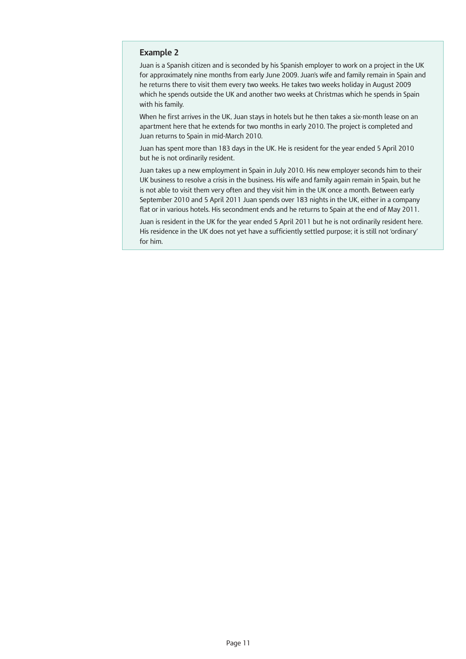#### **Example 2**

 Juan is a Spanish citizen and is seconded by his Spanish employer to work on a project in the UK for approximately nine months from early June 2009. Juan's wife and family remain in Spain and he returns there to visit them every two weeks. He takes two weeks holiday in August 2009 which he spends outside the UK and another two weeks at Christmas which he spends in Spain with his family.

When he first arrives in the UK, Juan stays in hotels but he then takes a six-month lease on an apartment here that he extends for two months in early 2010. The project is completed and Juan returns to Spain in mid-March 2010.

 Juan has spent more than 183 days in the UK. He is resident for the year ended 5 April 2010 but he is not ordinarily resident.

 Juan takes up a new employment in Spain in July 2010. His new employer seconds him to their UK business to resolve a crisis in the business. His wife and family again remain in Spain, but he is not able to visit them very often and they visit him in the UK once a month. Between early September 2010 and 5 April 2011 Juan spends over 183 nights in the UK, either in a company flat or in various hotels. His secondment ends and he returns to Spain at the end of May 2011.

 Juan is resident in the UK for the year ended 5 April 2011 but he is not ordinarily resident here. His residence in the UK does not yet have a sufficiently settled purpose; it is still not 'ordinary' for him.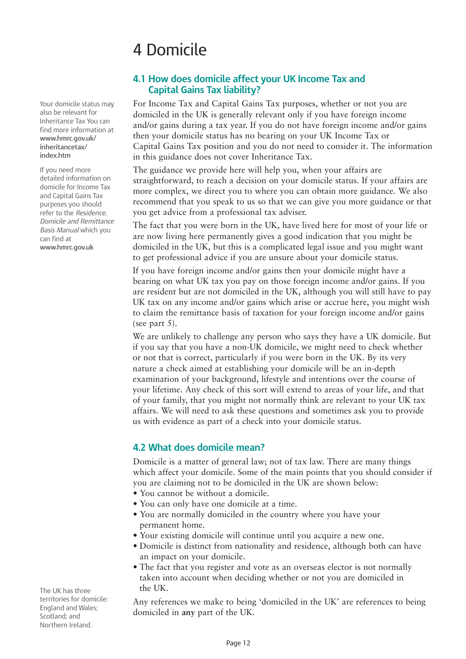# 4 Domicile

<span id="page-11-0"></span> Your domicile status may also be relevant for Inheritance Tax You can find more information at **www.hmrc.gov.uk/ inheritancetax/ index.htm**

 If you need more domicile for Income Tax and Capital Gains Tax purposes you should refer to the *Residence, Domicile and Remittance* can find at detailed information on *Basis Manual* which you **www.hmrc.gov.uk**

### **4.1 How does domicile affect your UK Income Tax and Capital Gains Tax liability?**

 For Income Tax and Capital Gains Tax purposes, whether or not you are domiciled in the UK is generally relevant only if you have foreign income and/or gains during a tax year. If you do not have foreign income and/or gains then your domicile status has no bearing on your UK Income Tax or Capital Gains Tax position and you do not need to consider it. The information in this guidance does not cover Inheritance Tax.

 The guidance we provide here will help you, when your affairs are straightforward, to reach a decision on your domicile status. If your affairs are more complex, we direct you to where you can obtain more guidance. We also recommend that you speak to us so that we can give you more guidance or that you get advice from a professional tax adviser.

 The fact that you were born in the UK, have lived here for most of your life or are now living here permanently gives a good indication that you might be domiciled in the UK, but this is a complicated legal issue and you might want to get professional advice if you are unsure about your domicile status.

 If you have foreign income and/or gains then your domicile might have a bearing on what UK tax you pay on those foreign income and/or gains. If you are resident but are not domiciled in the UK, although you will still have to pay UK tax on any income and/or gains which arise or accrue here, you might wish to claim the remittance basis of taxation for your foreign income and/or gains (see part 5).

 We are unlikely to challenge any person who says they have a UK domicile. But if you say that you have a non-UK domicile, we might need to check whether or not that is correct, particularly if you were born in the UK. By its very nature a check aimed at establishing your domicile will be an in-depth examination of your background, lifestyle and intentions over the course of your lifetime. Any check of this sort will extend to areas of your life, and that of your family, that you might not normally think are relevant to your UK tax affairs. We will need to ask these questions and sometimes ask you to provide us with evidence as part of a check into your domicile status.

### **4.2 What does domicile mean?**

 Domicile is a matter of general law; not of tax law. There are many things which affect your domicile. Some of the main points that you should consider if you are claiming not to be domiciled in the UK are shown below:

- You cannot be without a domicile.
- You can only have one domicile at a time.
- You are normally domiciled in the country where you have your permanent home.
- Your existing domicile will continue until you acquire a new one.
- • Domicile is distinct from nationality and residence, although both can have an impact on your domicile.
- • The fact that you register and vote as an overseas elector is not normally taken into account when deciding whether or not you are domiciled in the UK.

 Any references we make to being 'domiciled in the UK' are references to being domiciled in **any** part of the UK.

 The UK has three territories for domicile: England and Wales; Scotland; and Northern Ireland.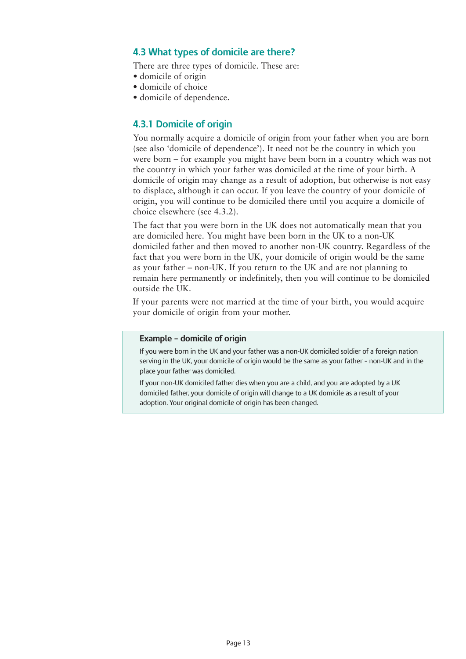#### **4.3 What types of domicile are there?**

There are three types of domicile. These are:

- domicile of origin
- domicile of choice
- domicile of dependence.

### **4.3.1 Domicile of origin**

 You normally acquire a domicile of origin from your father when you are born (see also 'domicile of dependence'). It need not be the country in which you were born – for example you might have been born in a country which was not the country in which your father was domiciled at the time of your birth. A domicile of origin may change as a result of adoption, but otherwise is not easy to displace, although it can occur. If you leave the country of your domicile of origin, you will continue to be domiciled there until you acquire a domicile of choice elsewhere (see 4.3.2).

 The fact that you were born in the UK does not automatically mean that you are domiciled here. You might have been born in the UK to a non-UK domiciled father and then moved to another non-UK country. Regardless of the fact that you were born in the UK, your domicile of origin would be the same as your father – non-UK. If you return to the UK and are not planning to remain here permanently or indefinitely, then you will continue to be domiciled outside the UK.

 If your parents were not married at the time of your birth, you would acquire your domicile of origin from your mother.

#### **Example – domicile of origin**

If you were born in the UK and your father was a non-UK domiciled soldier of a foreign nation serving in the UK, your domicile of origin would be the same as your father - non-UK and in the place your father was domiciled.

If your non-UK domiciled father dies when you are a child, and you are adopted by a UK domiciled father, your domicile of origin will change to a UK domicile as a result of your adoption. Your original domicile of origin has been changed.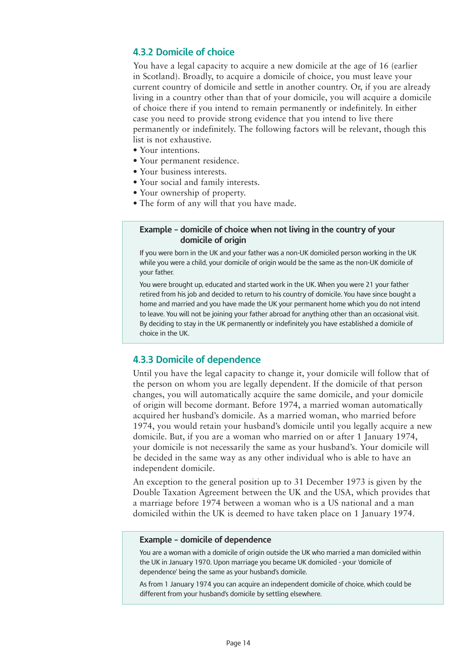#### **4.3.2 Domicile of choice**

 You have a legal capacity to acquire a new domicile at the age of 16 (earlier in Scotland). Broadly, to acquire a domicile of choice, you must leave your current country of domicile and settle in another country. Or, if you are already living in a country other than that of your domicile, you will acquire a domicile of choice there if you intend to remain permanently or indefinitely. In either case you need to provide strong evidence that you intend to live there permanently or indefinitely. The following factors will be relevant, though this list is not exhaustive.

- Your intentions.
- Your permanent residence.
- Your business interests.
- Your social and family interests.
- Your ownership of property.
- The form of any will that you have made.

#### **Example – domicile of choice when not living in the country of your domicile of origin**

If you were born in the UK and your father was a non-UK domiciled person working in the UK while you were a child, your domicile of origin would be the same as the non-UK domicile of your father.

 You were brought up, educated and started work in the UK. When you were 21 your father retired from his job and decided to return to his country of domicile. You have since bought a home and married and you have made the UK your permanent home which you do not intend to leave. You will not be joining your father abroad for anything other than an occasional visit. By deciding to stay in the UK permanently or indefinitely you have established a domicile of choice in the UK.

### **4.3.3 Domicile of dependence**

 Until you have the legal capacity to change it, your domicile will follow that of the person on whom you are legally dependent. If the domicile of that person changes, you will automatically acquire the same domicile, and your domicile of origin will become dormant. Before 1974, a married woman automatically acquired her husband's domicile. As a married woman, who married before 1974, you would retain your husband's domicile until you legally acquire a new domicile. But, if you are a woman who married on or after 1 January 1974, your domicile is not necessarily the same as your husband's. Your domicile will be decided in the same way as any other individual who is able to have an independent domicile.

 An exception to the general position up to 31 December 1973 is given by the Double Taxation Agreement between the UK and the USA, which provides that a marriage before 1974 between a woman who is a US national and a man domiciled within the UK is deemed to have taken place on 1 January 1974.

#### **Example – domicile of dependence**

 You are a woman with a domicile of origin outside the UK who married a man domiciled within the UK in January 1970. Upon marriage you became UK domiciled your 'domicile of dependence' being the same as your husband's domicile.

 As from 1 January 1974 you can acquire an independent domicile of choice, which could be different from your husband's domicile by settling elsewhere.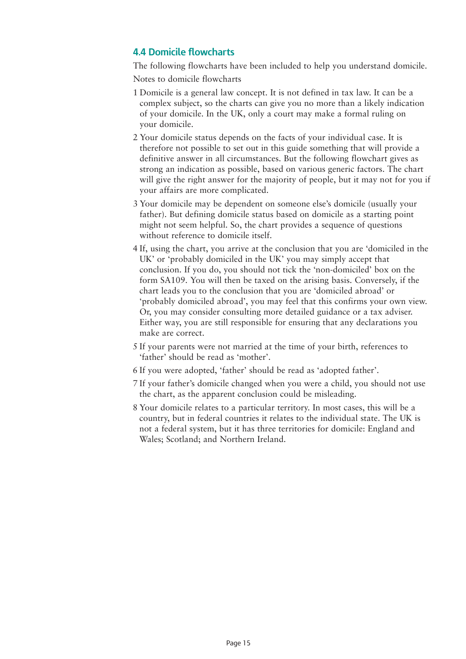## **4.4 Domicile flowcharts**

 The following flowcharts have been included to help you understand domicile. Notes to domicile flowcharts

- 1 Domicile is a general law concept. It is not defined in tax law. It can be a complex subject, so the charts can give you no more than a likely indication of your domicile. In the UK, only a court may make a formal ruling on your domicile.
- 2 Your domicile status depends on the facts of your individual case. It is therefore not possible to set out in this guide something that will provide a definitive answer in all circumstances. But the following flowchart gives as strong an indication as possible, based on various generic factors. The chart will give the right answer for the majority of people, but it may not for you if your affairs are more complicated.
- 3 Your domicile may be dependent on someone else's domicile (usually your father). But defining domicile status based on domicile as a starting point might not seem helpful. So, the chart provides a sequence of questions without reference to domicile itself.
- 4 If, using the chart, you arrive at the conclusion that you are 'domiciled in the UK' or 'probably domiciled in the UK' you may simply accept that conclusion. If you do, you should not tick the 'non-domiciled' box on the form SA109. You will then be taxed on the arising basis. Conversely, if the chart leads you to the conclusion that you are 'domiciled abroad' or 'probably domiciled abroad', you may feel that this confirms your own view. Or, you may consider consulting more detailed guidance or a tax adviser. Either way, you are still responsible for ensuring that any declarations you make are correct.
- 5 If your parents were not married at the time of your birth, references to 'father' should be read as 'mother'.
- 6 If you were adopted, 'father' should be read as 'adopted father'.
- 7 If your father's domicile changed when you were a child, you should not use the chart, as the apparent conclusion could be misleading.
- 8 Your domicile relates to a particular territory. In most cases, this will be a country, but in federal countries it relates to the individual state. The UK is not a federal system, but it has three territories for domicile: England and Wales; Scotland; and Northern Ireland.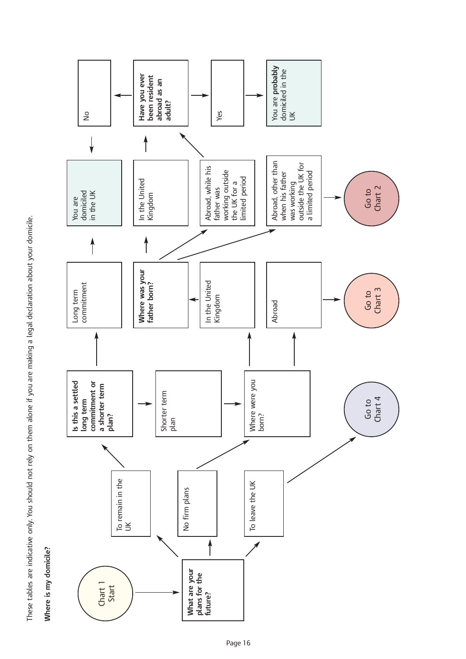

# Where is my domicile? **Where is my domicile?**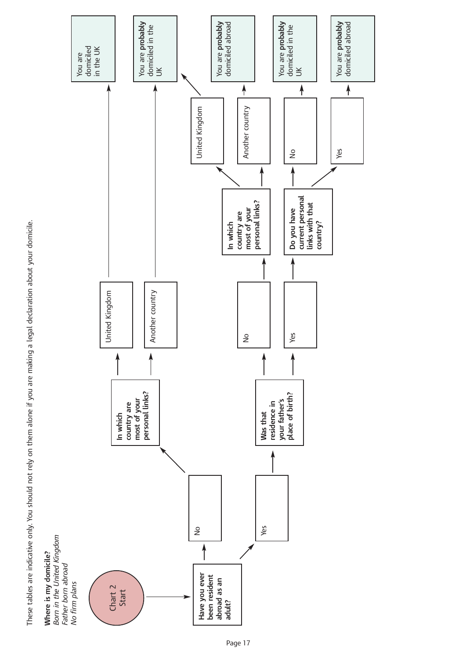# Where is my domicile? **Where is my domicile?**

Born in the United Kingdom *Born in the United Kingdom* Father born abroad<br>No firm plans *Father born abroad*

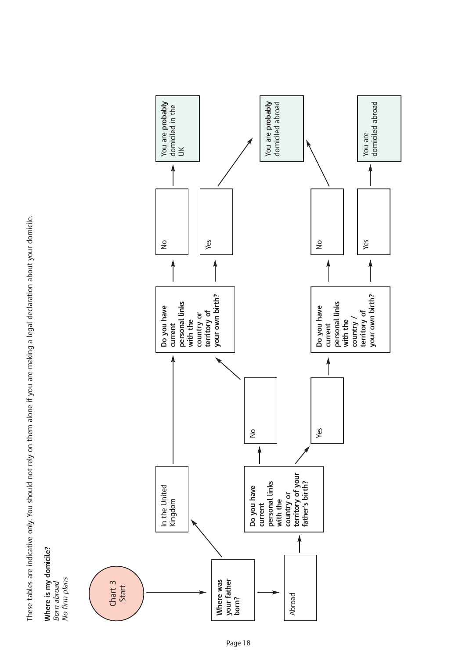Where is my domicile? **Where is my domicile?** *Born abroad*

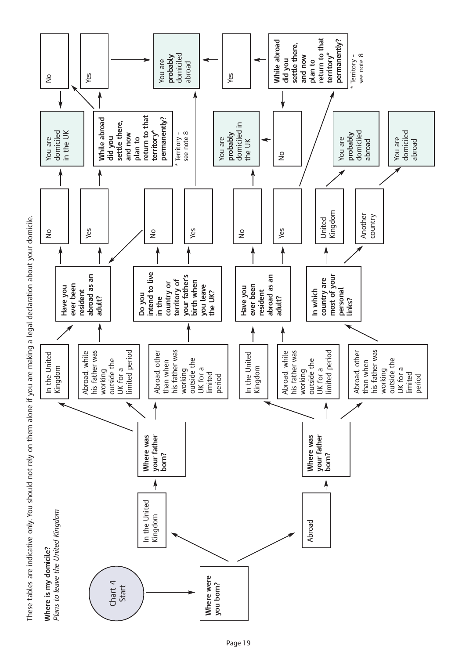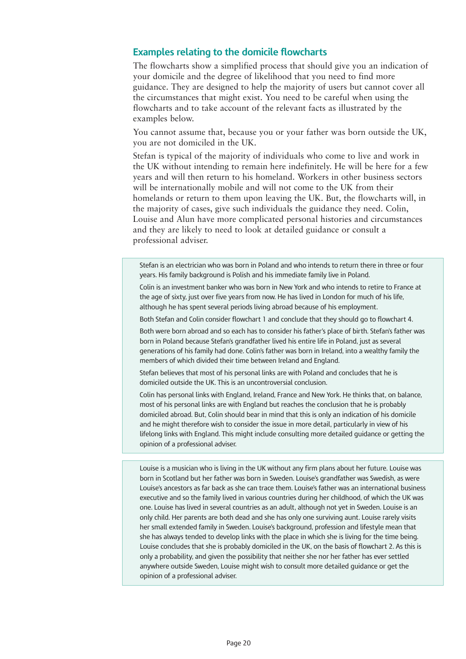#### **Examples relating to the domicile flowcharts**

 The flowcharts show a simplified process that should give you an indication of your domicile and the degree of likelihood that you need to find more guidance. They are designed to help the majority of users but cannot cover all the circumstances that might exist. You need to be careful when using the flowcharts and to take account of the relevant facts as illustrated by the examples below.

 You cannot assume that, because you or your father was born outside the UK, you are not domiciled in the UK.

 Stefan is typical of the majority of individuals who come to live and work in the UK without intending to remain here indefinitely. He will be here for a few years and will then return to his homeland. Workers in other business sectors will be internationally mobile and will not come to the UK from their homelands or return to them upon leaving the UK. But, the flowcharts will, in the majority of cases, give such individuals the guidance they need. Colin, Louise and Alun have more complicated personal histories and circumstances and they are likely to need to look at detailed guidance or consult a professional adviser.

 Stefan is an electrician who was born in Poland and who intends to return there in three or four years. His family background is Polish and his immediate family live in Poland.

 Colin is an investment banker who was born in New York and who intends to retire to France at the age of sixty, just over five years from now. He has lived in London for much of his life, although he has spent several periods living abroad because of his employment.

Both Stefan and Colin consider flowchart 1 and conclude that they should go to flowchart 4.

 Both were born abroad and so each has to consider his father's place of birth. Stefan's father was born in Poland because Stefan's grandfather lived his entire life in Poland, just as several generations of his family had done. Colin's father was born in Ireland, into a wealthy family the members of which divided their time between Ireland and England.

 Stefan believes that most of his personal links are with Poland and concludes that he is domiciled outside the UK. This is an uncontroversial conclusion.

 Colin has personal links with England, Ireland, France and New York. He thinks that, on balance, most of his personal links are with England but reaches the conclusion that he is probably domiciled abroad. But, Colin should bear in mind that this is only an indication of his domicile and he might therefore wish to consider the issue in more detail, particularly in view of his lifelong links with England. This might include consulting more detailed guidance or getting the opinion of a professional adviser.

 Louise is a musician who is living in the UK without any firm plans about her future. Louise was born in Scotland but her father was born in Sweden. Louise's grandfather was Swedish, as were Louise's ancestors as far back as she can trace them. Louise's father was an international business executive and so the family lived in various countries during her childhood, of which the UK was one. Louise has lived in several countries as an adult, although not yet in Sweden. Louise is an only child. Her parents are both dead and she has only one surviving aunt. Louise rarely visits her small extended family in Sweden. Louise's background, profession and lifestyle mean that she has always tended to develop links with the place in which she is living for the time being. Louise concludes that she is probably domiciled in the UK, on the basis of flowchart 2. As this is only a probability, and given the possibility that neither she nor her father has ever settled anywhere outside Sweden, Louise might wish to consult more detailed guidance or get the opinion of a professional adviser.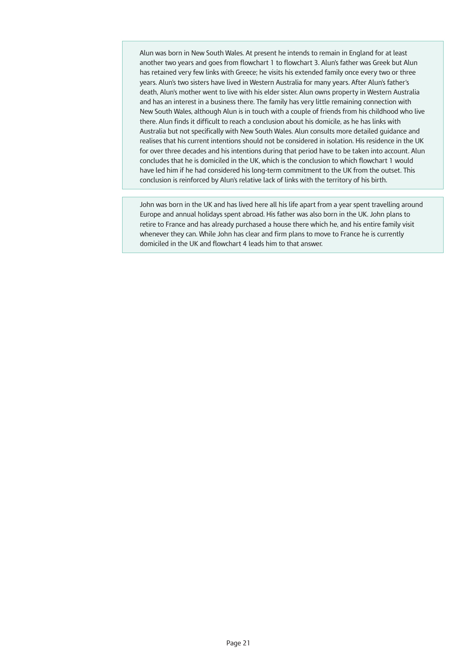Alun was born in New South Wales. At present he intends to remain in England for at least another two years and goes from flowchart 1 to flowchart 3. Alun's father was Greek but Alun has retained very few links with Greece; he visits his extended family once every two or three years. Alun's two sisters have lived in Western Australia for many years. After Alun's father's death, Alun's mother went to live with his elder sister. Alun owns property in Western Australia and has an interest in a business there. The family has very little remaining connection with New South Wales, although Alun is in touch with a couple of friends from his childhood who live there. Alun finds it difficult to reach a conclusion about his domicile, as he has links with Australia but not specifically with New South Wales. Alun consults more detailed guidance and realises that his current intentions should not be considered in isolation. His residence in the UK for over three decades and his intentions during that period have to be taken into account. Alun concludes that he is domiciled in the UK, which is the conclusion to which flowchart 1 would have led him if he had considered his long-term commitment to the UK from the outset. This conclusion is reinforced by Alun's relative lack of links with the territory of his birth.

 John was born in the UK and has lived here all his life apart from a year spent travelling around Europe and annual holidays spent abroad. His father was also born in the UK. John plans to retire to France and has already purchased a house there which he, and his entire family visit whenever they can. While John has clear and firm plans to move to France he is currently domiciled in the UK and flowchart 4 leads him to that answer.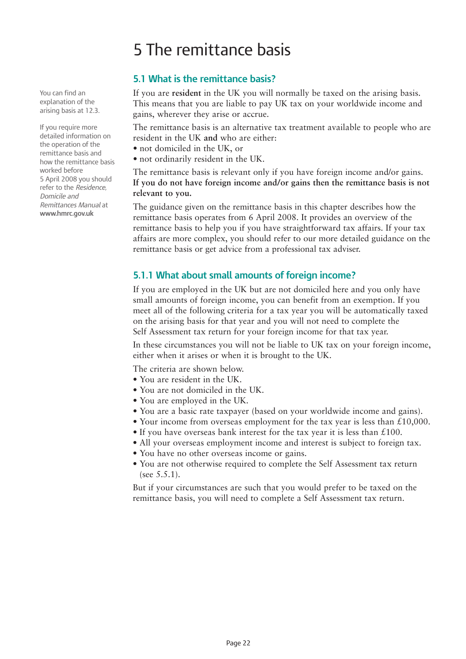# 5 The remittance basis

## **5.1 What is the remittance basis?**

 If you are **resident** in the UK you will normally be taxed on the arising basis. This means that you are liable to pay UK tax on your worldwide income and gains, wherever they arise or accrue.

 The remittance basis is an alternative tax treatment available to people who are resident in the UK **and** who are either:

• not domiciled in the UK, or

• not ordinarily resident in the UK.

 The remittance basis is relevant only if you have foreign income and/or gains.  **If you do not have foreign income and/or gains then the remittance basis is not relevant to you.**

 The guidance given on the remittance basis in this chapter describes how the remittance basis operates from 6 April 2008. It provides an overview of the remittance basis to help you if you have straightforward tax affairs. If your tax affairs are more complex, you should refer to our more detailed guidance on the remittance basis or get advice from a professional tax adviser.

## **5.1.1 What about small amounts of foreign income?**

 If you are employed in the UK but are not domiciled here and you only have small amounts of foreign income, you can benefit from an exemption. If you meet all of the following criteria for a tax year you will be automatically taxed on the arising basis for that year and you will not need to complete the Self Assessment tax return for your foreign income for that tax year.

 In these circumstances you will not be liable to UK tax on your foreign income, either when it arises or when it is brought to the UK.

- The criteria are shown below.
- You are resident in the UK.
- You are not domiciled in the UK.
- You are employed in the UK.
- You are a basic rate taxpayer (based on your worldwide income and gains).
- Your income from overseas employment for the tax year is less than £10,000.
- If you have overseas bank interest for the tax year it is less than  $£100$ .
- All your overseas employment income and interest is subject to foreign tax.
- You have no other overseas income or gains.
- You are not otherwise required to complete the Self Assessment tax return (see 5.5.1).

 But if your circumstances are such that you would prefer to be taxed on the remittance basis, you will need to complete a Self Assessment tax return.

<span id="page-21-0"></span> You can find an explanation of the arising basis at 12.3.

 If you require more the operation of the remittance basis and how the remittance basis worked before 5 April 2008 you should refer to the *Residence,* detailed information on *Domicile and Remittances Manual* at **www.hmrc.gov.uk**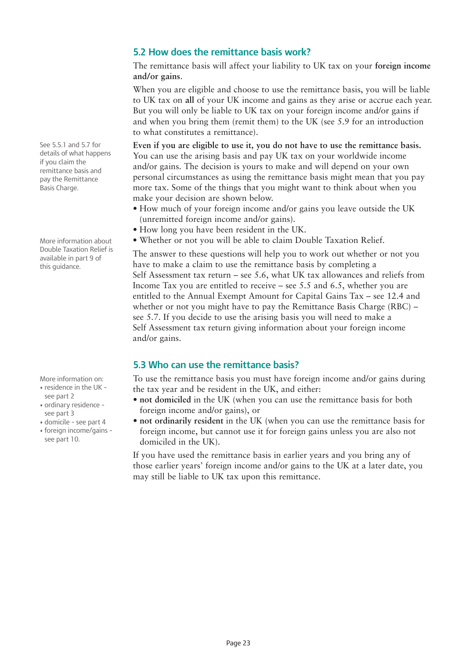#### **5.2 How does the remittance basis work?**

 The remittance basis will affect your liability to UK tax on your **foreign income and/or gains**.

 When you are eligible and choose to use the remittance basis, you will be liable to UK tax on **all** of your UK income and gains as they arise or accrue each year. But you will only be liable to UK tax on your foreign income and/or gains if and when you bring them (remit them) to the UK (see 5.9 for an introduction to what constitutes a remittance).

Even if you are eligible to use it, you do not have to use the remittance basis. You can use the arising basis and pay UK tax on your worldwide income and/or gains. The decision is yours to make and will depend on your own personal circumstances as using the remittance basis might mean that you pay more tax. Some of the things that you might want to think about when you make your decision are shown below.

- How much of your foreign income and/or gains you leave outside the UK (unremitted foreign income and/or gains).
- How long you have been resident in the UK.
- Whether or not you will be able to claim Double Taxation Relief.

 The answer to these questions will help you to work out whether or not you have to make a claim to use the remittance basis by completing a Self Assessment tax return – see 5.6, what UK tax allowances and reliefs from Income Tax you are entitled to receive – see 5.5 and 6.5, whether you are entitled to the Annual Exempt Amount for Capital Gains Tax – see 12.4 and whether or not you might have to pay the Remittance Basis Charge (RBC) – see 5.7. If you decide to use the arising basis you will need to make a Self Assessment tax return giving information about your foreign income and/or gains.

### **5.3 Who can use the remittance basis?**

 To use the remittance basis you must have foreign income and/or gains during the tax year and be resident in the UK, and either:

- **not domiciled** in the UK (when you can use the remittance basis for both foreign income and/or gains), or
- **not ordinarily resident** in the UK (when you can use the remittance basis for foreign income, but cannot use it for foreign gains unless you are also not domiciled in the UK).

 If you have used the remittance basis in earlier years and you bring any of those earlier years' foreign income and/or gains to the UK at a later date, you may still be liable to UK tax upon this remittance.

 See 5.5.1 and 5.7 for details of what happens if you claim the remittance basis and pay the Remittance Basis Charge.

 Double Taxation Relief is available in part 9 of More information about this guidance.

More information on:

- residence in the UK see part 2
- ordinary residence see part 3

see part 10.

 • domicile – see part 4 • foreign income/gains –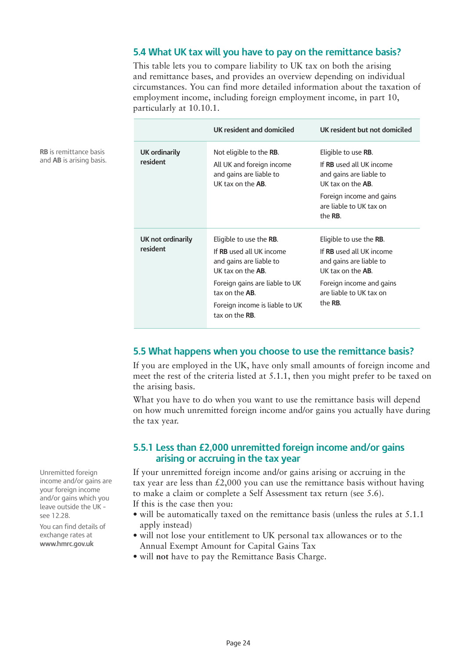#### **5.4 What UK tax will you have to pay on the remittance basis?**

 This table lets you to compare liability to UK tax on both the arising and remittance bases, and provides an overview depending on individual circumstances. You can find more detailed information about the taxation of employment income, including foreign employment income, in part 10, particularly at 10.10.1.

|                               | UK resident and domiciled                                                                                                                                                                                                            | UK resident but not domiciled                                                                                                                                             |
|-------------------------------|--------------------------------------------------------------------------------------------------------------------------------------------------------------------------------------------------------------------------------------|---------------------------------------------------------------------------------------------------------------------------------------------------------------------------|
| UK ordinarily<br>resident     | Not eligible to the <b>RB</b> .<br>All UK and foreign income<br>and gains are liable to<br>UK tax on the $AB$ .                                                                                                                      | Eligible to use RB.<br>If RB used all UK income<br>and gains are liable to<br>UK tax on the <b>AB</b> .<br>Foreign income and gains<br>are liable to UK tax on<br>the RB. |
| UK not ordinarily<br>resident | Eligible to use the <b>RB</b> .<br>If RB used all UK income<br>and gains are liable to<br>UK tax on the $AB$<br>Foreign gains are liable to UK<br>tax on the <b>AB</b> .<br>Foreign income is liable to UK<br>tax on the <b>RB</b> . | Eligible to use the RB.<br>If RB used all UK income<br>and gains are liable to<br>UK tax on the $AB$<br>Foreign income and gains<br>are liable to UK tax on<br>the RB.    |

 **RB** is remittance basis and **AB** is arising basis.

### **5.5 What happens when you choose to use the remittance basis?**

 If you are employed in the UK, have only small amounts of foreign income and meet the rest of the criteria listed at 5.1.1, then you might prefer to be taxed on the arising basis.

 What you have to do when you want to use the remittance basis will depend on how much unremitted foreign income and/or gains you actually have during the tax year.

#### **5.5.1 Less than £2,000 unremitted foreign income and/or gains arising or accruing in the tax year**

 If your unremitted foreign income and/or gains arising or accruing in the tax year are less than  $\text{\pounds}2,000$  you can use the remittance basis without having to make a claim or complete a Self Assessment tax return (see 5.6). If this is the case then you:

- will be automatically taxed on the remittance basis (unless the rules at 5.1.1 apply instead)
- • will not lose your entitlement to UK personal tax allowances or to the Annual Exempt Amount for Capital Gains Tax
- will **not** have to pay the Remittance Basis Charge.

 income and/or gains are your foreign income and/or gains which you leave outside the UK – Unremitted foreign see 12.28.

 You can find details of exchange rates at **www.hmrc.gov.uk**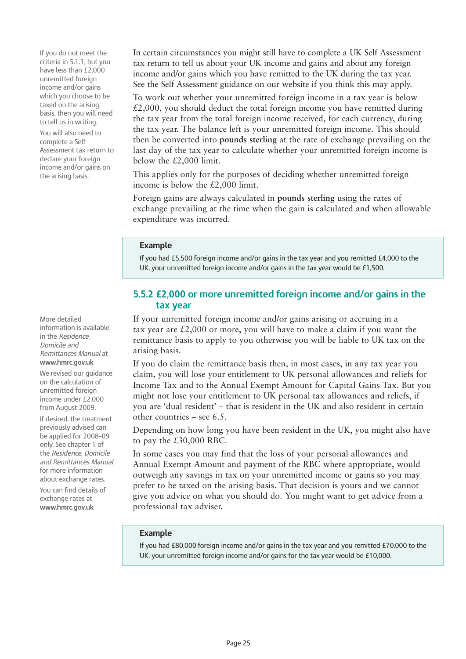If you do not meet the criteria in 5.1.1, but you have less than £2,000 income and/or gains which you choose to be taxed on the arising basis, then you will need to tell us in writing. unremitted foreign

 You will also need to complete a Self Assessment tax return to declare your foreign income and/or gains on the arising basis.

 In certain circumstances you might still have to complete a UK Self Assessment tax return to tell us about your UK income and gains and about any foreign income and/or gains which you have remitted to the UK during the tax year. See the Self Assessment guidance on our website if you think this may apply.

 To work out whether your unremitted foreign income in a tax year is below  $£2,000$ , you should deduct the total foreign income you have remitted during the tax year from the total foreign income received, for each currency, during then be converted into **pounds sterling** at the rate of exchange prevailing on the last day of the tax year to calculate whether your unremitted foreign income is below the  $£2,000$  limit. the tax year. The balance left is your unremitted foreign income. This should

 This applies only for the purposes of deciding whether unremitted foreign income is below the £2,000 limit.

 Foreign gains are always calculated in **pounds sterling** using the rates of exchange prevailing at the time when the gain is calculated and when allowable expenditure was incurred.

#### **Example**

 If you had £5,500 foreign income and/or gains in the tax year and you remitted £4,000 to the UK, your unremitted foreign income and/or gains in the tax year would be £1,500.

#### **5.5.2 £2,000 or more unremitted foreign income and/or gains in the tax year**

 If your unremitted foreign income and/or gains arising or accruing in a tax year are  $\pounds2,000$  or more, you will have to make a claim if you want the remittance basis to apply to you otherwise you will be liable to UK tax on the arising basis.

 If you do claim the remittance basis then, in most cases, in any tax year you claim, you will lose your entitlement to UK personal allowances and reliefs for Income Tax and to the Annual Exempt Amount for Capital Gains Tax. But you might not lose your entitlement to UK personal tax allowances and reliefs, if you are 'dual resident' – that is resident in the UK and also resident in certain other countries – see 6.5.

 Depending on how long you have been resident in the UK, you might also have to pay the  $£30,000$  RBC.

 In some cases you may find that the loss of your personal allowances and Annual Exempt Amount and payment of the RBC where appropriate, would outweigh any savings in tax on your unremitted income or gains so you may prefer to be taxed on the arising basis. That decision is yours and we cannot give you advice on what you should do. You might want to get advice from a professional tax adviser.

#### **Example**

 If you had £80,000 foreign income and/or gains in the tax year and you remitted £70,000 to the UK, your unremitted foreign income and/or gains for the tax year would be £10,000.

 information is available in the *Residence,* We revised our guidance on the calculation of income under £2,000 from August 2009. More detailed *Domicile and Remittances Manual* at **www.hmrc.gov.uk** unremitted foreign

 If desired, the treatment previously advised can be applied for 2008–09 only. See chapter 1 of for more information about exchange rates. the *Residence, Domicile and Remittances Manual*

 You can find details of exchange rates at **www.hmrc.gov.uk**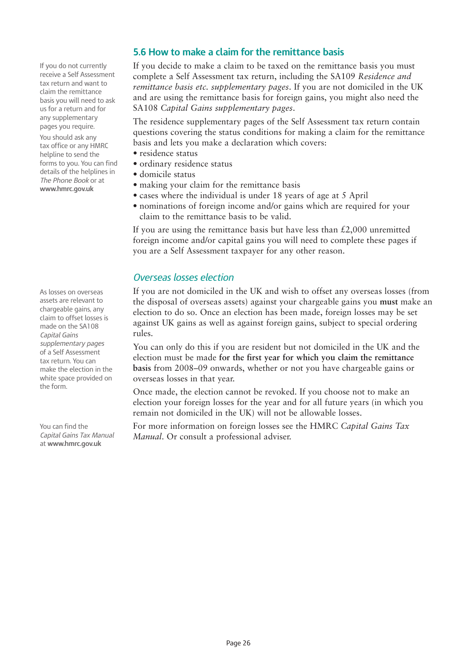If you do not currently receive a Self Assessment tax return and want to claim the remittance basis you will need to ask us for a return and for pages you require. any supplementary

 You should ask any tax office or any HMRC helpline to send the forms to you. You can find details of the helplines in  *The Phone Book* or at **www.hmrc.gov.uk**

 As losses on overseas assets are relevant to chargeable gains, any claim to offset losses is made on the SA108 of a Self Assessment tax return. You can make the election in the white space provided on *Capital Gains supplementary pages* the form.

 You can find the  *Capital Gains Tax Manual* at **www.hmrc.gov.uk**

#### **5.6 How to make a claim for the remittance basis**

 If you decide to make a claim to be taxed on the remittance basis you must complete a Self Assessment tax return, including the SA109 *Residence and remittance basis etc. supplementary pages*. If you are not domiciled in the UK and are using the remittance basis for foreign gains, you might also need the  SA108 *Capital Gains supplementary pages*.

 The residence supplementary pages of the Self Assessment tax return contain questions covering the status conditions for making a claim for the remittance basis and lets you make a declaration which covers:

- residence status
- ordinary residence status
- domicile status
- making your claim for the remittance basis
- cases where the individual is under 18 years of age at 5 April
- • nominations of foreign income and/or gains which are required for your claim to the remittance basis to be valid.

If you are using the remittance basis but have less than  $\pounds2,000$  unremitted foreign income and/or capital gains you will need to complete these pages if you are a Self Assessment taxpayer for any other reason.

#### *Overseas losses election*

 If you are not domiciled in the UK and wish to offset any overseas losses (from the disposal of overseas assets) against your chargeable gains you **must** make an election to do so. Once an election has been made, foreign losses may be set against UK gains as well as against foreign gains, subject to special ordering rules.

 You can only do this if you are resident but not domiciled in the UK and the  election must be made **for the first year for which you claim the remittance basis** from 2008–09 onwards, whether or not you have chargeable gains or overseas losses in that year.

 Once made, the election cannot be revoked. If you choose not to make an election your foreign losses for the year and for all future years (in which you remain not domiciled in the UK) will not be allowable losses.

  For more information on foreign losses see the HMRC *Capital Gains Tax Manual*. Or consult a professional adviser.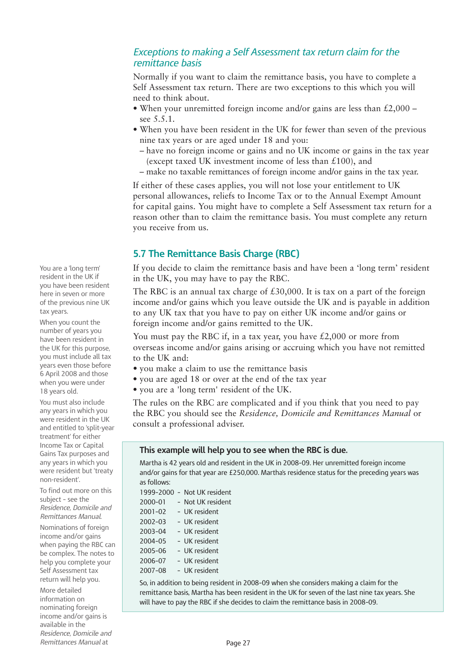#### *Exceptions to making a Self Assessment tax return claim for the remittance basis*

 Normally if you want to claim the remittance basis, you have to complete a Self Assessment tax return. There are two exceptions to this which you will need to think about.

- When your unremitted foreign income and/or gains are less than  $\text{\pounds}2,000$  see 5.5.1.
- When you have been resident in the UK for fewer than seven of the previous nine tax years or are aged under 18 and you:
	- have no foreign income or gains and no UK income or gains in the tax year (except taxed UK investment income of less than  $£100$ ), and
	- make no taxable remittances of foreign income and/or gains in the tax year.

 If either of these cases applies, you will not lose your entitlement to UK personal allowances, reliefs to Income Tax or to the Annual Exempt Amount for capital gains. You might have to complete a Self Assessment tax return for a reason other than to claim the remittance basis. You must complete any return you receive from us.

### **5.7 The Remittance Basis Charge (RBC)**

 If you decide to claim the remittance basis and have been a 'long term' resident in the UK, you may have to pay the RBC.

 The RBC is an annual tax charge of £30,000. It is tax on a part of the foreign income and/or gains which you leave outside the UK and is payable in addition to any UK tax that you have to pay on either UK income and/or gains or foreign income and/or gains remitted to the UK.

You must pay the RBC if, in a tax year, you have  $\text{\pounds}2,000$  or more from overseas income and/or gains arising or accruing which you have not remitted to the UK and:

- you make a claim to use the remittance basis
- you are aged 18 or over at the end of the tax year
- you are a 'long term' resident of the UK.

 The rules on the RBC are complicated and if you think that you need to pay  the RBC you should see the *Residence, Domicile and Remittances Manual* or consult a professional adviser.

#### **This example will help you to see when the RBC is due.**

 Martha is 42 years old and resident in the UK in 2008–09. Her unremitted foreign income and/or gains for that year are £250,000. Martha's residence status for the preceding years was as follows:

- 1999–2000 Not UK resident
- 2000–01 Not UK resident 2001–02 – UK resident 2002–03 – UK resident 2003–04 – UK resident 2004–05 – UK resident 2005–06 – UK resident 2006–07 – UK resident
	-
- 2007–08 UK resident

 So, in addition to being resident in 2008–09 when she considers making a claim for the remittance basis, Martha has been resident in the UK for seven of the last nine tax years. She will have to pay the RBC if she decides to claim the remittance basis in 2008–09.

 You are a 'long term' resident in the UK if you have been resident here in seven or more of the previous nine UK tax years.

 When you count the number of years you have been resident in the UK for this purpose, you must include all tax years even those before 6 April 2008 and those when you were under 18 years old.

 You must also include any years in which you were resident in the UK and entitled to 'split-year treatment' for either Income Tax or Capital Gains Tax purposes and any years in which you were resident but 'treaty non-resident'.

 To find out more on this subject – see the  *Residence, Domicile and Remittances Manual*.

 Nominations of foreign income and/or gains when paying the RBC can be complex. The notes to help you complete your return will help you. Self Assessment tax

 income and/or gains is available in the  *Residence, Domicile and* More detailed information on nominating foreign *Remittances Manual* at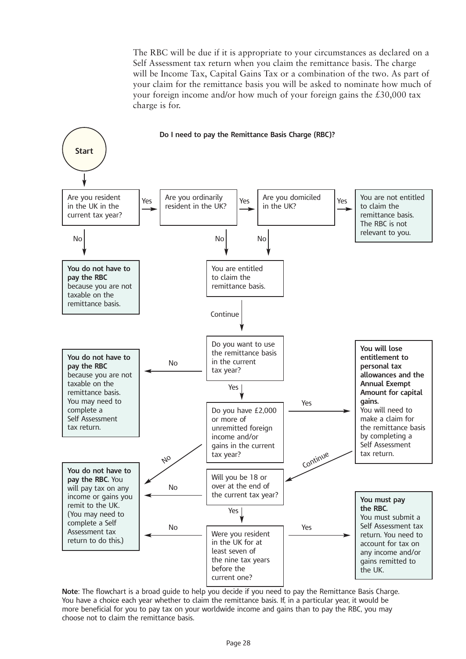The RBC will be due if it is appropriate to your circumstances as declared on a Self Assessment tax return when you claim the remittance basis. The charge will be Income Tax, Capital Gains Tax or a combination of the two. As part of your claim for the remittance basis you will be asked to nominate how much of your foreign income and/or how much of your foreign gains the £30,000 tax charge is for.



 **Note**: The flowchart is a broad guide to help you decide if you need to pay the Remittance Basis Charge. You have a choice each year whether to claim the remittance basis. If, in a particular year, it would be more beneficial for you to pay tax on your worldwide income and gains than to pay the RBC, you may choose not to claim the remittance basis.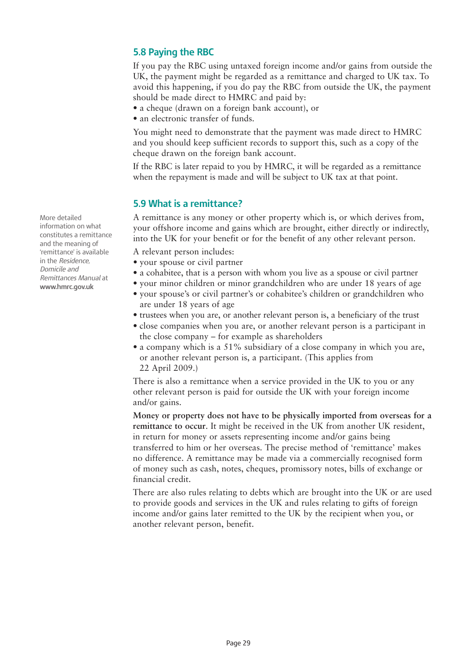#### **5.8 Paying the RBC**

 If you pay the RBC using untaxed foreign income and/or gains from outside the UK, the payment might be regarded as a remittance and charged to UK tax. To avoid this happening, if you do pay the RBC from outside the UK, the payment should be made direct to HMRC and paid by:

- a cheque (drawn on a foreign bank account), or
- an electronic transfer of funds.

 You might need to demonstrate that the payment was made direct to HMRC and you should keep sufficient records to support this, such as a copy of the cheque drawn on the foreign bank account.

 If the RBC is later repaid to you by HMRC, it will be regarded as a remittance when the repayment is made and will be subject to UK tax at that point.

#### **5.9 What is a remittance?**

 A remittance is any money or other property which is, or which derives from, your offshore income and gains which are brought, either directly or indirectly, into the UK for your benefit or for the benefit of any other relevant person.

A relevant person includes:

- your spouse or civil partner
- a cohabitee, that is a person with whom you live as a spouse or civil partner
- your minor children or minor grandchildren who are under 18 years of age
- your spouse's or civil partner's or cohabitee's children or grandchildren who are under 18 years of age
- trustees when you are, or another relevant person is, a beneficiary of the trust
- close companies when you are, or another relevant person is a participant in the close company – for example as shareholders
- a company which is a 51% subsidiary of a close company in which you are, or another relevant person is, a participant. (This applies from 22 April 2009.)

 There is also a remittance when a service provided in the UK to you or any other relevant person is paid for outside the UK with your foreign income and/or gains.

 **Money or property does not have to be physically imported from overseas for a remittance to occur**. It might be received in the UK from another UK resident, in return for money or assets representing income and/or gains being transferred to him or her overseas. The precise method of 'remittance' makes no difference. A remittance may be made via a commercially recognised form of money such as cash, notes, cheques, promissory notes, bills of exchange or financial credit.

 There are also rules relating to debts which are brought into the UK or are used to provide goods and services in the UK and rules relating to gifts of foreign income and/or gains later remitted to the UK by the recipient when you, or another relevant person, benefit.

 information on what constitutes a remittance and the meaning of 'remittance' is available in the *Residence,* More detailed *Domicile and Remittances Manual* at **www.hmrc.gov.uk**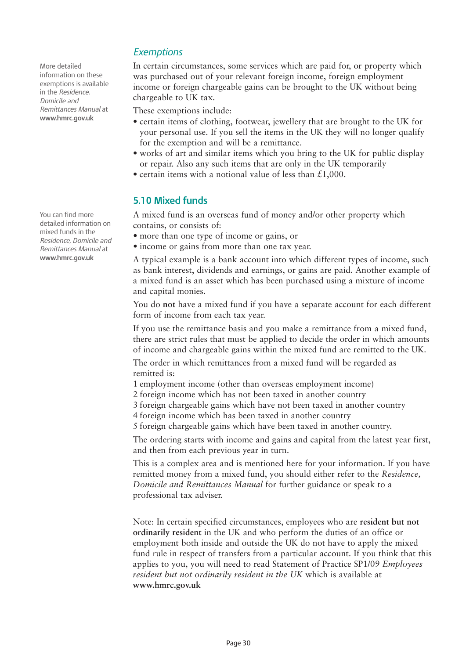information on these exemptions is available in the *Residence,* More detailed *Domicile and Remittances Manual* at **www.hmrc.gov.uk**

 You can find more mixed funds in the  *Residence, Domicile and* detailed information on *Remittances Manual* at **www.hmrc.gov.uk**

#### *Exemptions*

 In certain circumstances, some services which are paid for, or property which was purchased out of your relevant foreign income, foreign employment income or foreign chargeable gains can be brought to the UK without being chargeable to UK tax.

These exemptions include:

- certain items of clothing, footwear, jewellery that are brought to the UK for your personal use. If you sell the items in the UK they will no longer qualify for the exemption and will be a remittance.
- works of art and similar items which you bring to the UK for public display or repair. Also any such items that are only in the UK temporarily
- certain items with a notional value of less than  $£1,000$ .

#### **5.10 Mixed funds**

 A mixed fund is an overseas fund of money and/or other property which contains, or consists of:

• more than one type of income or gains, or

• income or gains from more than one tax year.

 A typical example is a bank account into which different types of income, such as bank interest, dividends and earnings, or gains are paid. Another example of a mixed fund is an asset which has been purchased using a mixture of income and capital monies.

 You do **not** have a mixed fund if you have a separate account for each different form of income from each tax year.

 If you use the remittance basis and you make a remittance from a mixed fund, there are strict rules that must be applied to decide the order in which amounts of income and chargeable gains within the mixed fund are remitted to the UK.

 The order in which remittances from a mixed fund will be regarded as remitted is:

1 employment income (other than overseas employment income)

2 foreign income which has not been taxed in another country

3 foreign chargeable gains which have not been taxed in another country

4 foreign income which has been taxed in another country

5 foreign chargeable gains which have been taxed in another country.

 The ordering starts with income and gains and capital from the latest year first, and then from each previous year in turn.

 This is a complex area and is mentioned here for your information. If you have remitted money from a mixed fund, you should either refer to the *Residence, Domicile and Remittances Manual* for further guidance or speak to a professional tax adviser.

  Note: In certain specified circumstances, employees who are **resident but not ordinarily resident** in the UK and who perform the duties of an office or employment both inside and outside the UK do not have to apply the mixed fund rule in respect of transfers from a particular account. If you think that this applies to you, you will need to read Statement of Practice SP1/09 *Employees resident but not ordinarily resident in the UK* which is available at **www.hmrc.gov.uk**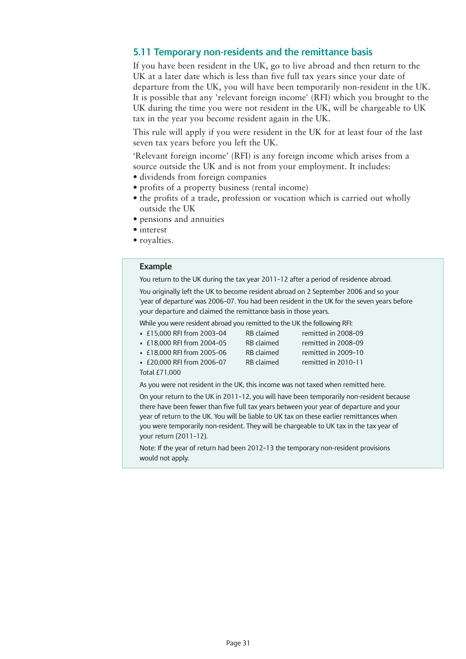#### **5.11 Temporary nonresidents and the remittance basis**

 If you have been resident in the UK, go to live abroad and then return to the UK at a later date which is less than five full tax years since your date of departure from the UK, you will have been temporarily non-resident in the UK. It is possible that any 'relevant foreign income' (RFI) which you brought to the UK during the time you were not resident in the UK, will be chargeable to UK tax in the year you become resident again in the UK.

 This rule will apply if you were resident in the UK for at least four of the last seven tax years before you left the UK.

 'Relevant foreign income' (RFI) is any foreign income which arises from a source outside the UK and is not from your employment. It includes:

- dividends from foreign companies
- profits of a property business (rental income)
- the profits of a trade, profession or vocation which is carried out wholly outside the UK
- pensions and annuities
- interest
- royalties.

#### **Example**

You return to the UK during the tax year 2011–12 after a period of residence abroad.

 You originally left the UK to become resident abroad on 2 September 2006 and so your 'year of departure' was 2006–07. You had been resident in the UK for the seven years before your departure and claimed the remittance basis in those years.

While you were resident abroad you remitted to the UK the following RFI:

|  |  | • £15,000 RFI from 2003-04 |  |
|--|--|----------------------------|--|

 • £18,000 RFI from 2004–05 RB claimed remitted in 2008–09 • £18,000 RFI from 2005–06 RB claimed remitted in 2009–10

RB claimed

remitted in 2008-09

 • £20,000 RFI from 2006–07 RB claimed remitted in 2010–11 Total £71,000

As you were not resident in the UK, this income was not taxed when remitted here.

 On your return to the UK in 2011–12, you will have been temporarily nonresident because there have been fewer than five full tax years between your year of departure and your year of return to the UK. You will be liable to UK tax on these earlier remittances when you were temporarily non-resident. They will be chargeable to UK tax in the tax year of your return (2011–12).

Note: If the year of return had been 2012–13 the temporary non-resident provisions would not apply.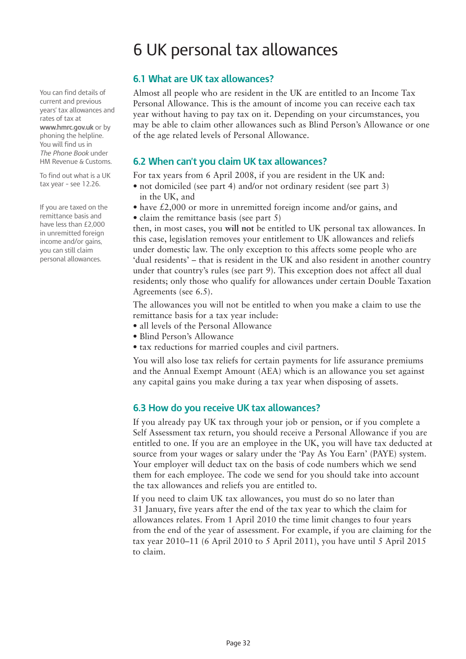# 6 UK personal tax allowances

#### **6.1 What are UK tax allowances?**

 Almost all people who are resident in the UK are entitled to an Income Tax Personal Allowance. This is the amount of income you can receive each tax year without having to pay tax on it. Depending on your circumstances, you may be able to claim other allowances such as Blind Person's Allowance or one of the age related levels of Personal Allowance.

#### **6.2 When can't you claim UK tax allowances?**

For tax years from 6 April 2008, if you are resident in the UK and:

- not domiciled (see part 4) and/or not ordinary resident (see part 3) in the UK, and
- have £2,000 or more in unremitted foreign income and/or gains, and
- claim the remittance basis (see part 5)

 then, in most cases, you **will not** be entitled to UK personal tax allowances. In this case, legislation removes your entitlement to UK allowances and reliefs under domestic law. The only exception to this affects some people who are 'dual residents' – that is resident in the UK and also resident in another country under that country's rules (see part 9). This exception does not affect all dual residents; only those who qualify for allowances under certain Double Taxation Agreements (see 6.5).

 The allowances you will not be entitled to when you make a claim to use the remittance basis for a tax year include:

- all levels of the Personal Allowance
- Blind Person's Allowance
- tax reductions for married couples and civil partners.

 You will also lose tax reliefs for certain payments for life assurance premiums and the Annual Exempt Amount (AEA) which is an allowance you set against any capital gains you make during a tax year when disposing of assets.

#### **6.3 How do you receive UK tax allowances?**

 If you already pay UK tax through your job or pension, or if you complete a Self Assessment tax return, you should receive a Personal Allowance if you are entitled to one. If you are an employee in the UK, you will have tax deducted at source from your wages or salary under the 'Pay As You Earn' (PAYE) system. Your employer will deduct tax on the basis of code numbers which we send them for each employee. The code we send for you should take into account the tax allowances and reliefs you are entitled to.

 If you need to claim UK tax allowances, you must do so no later than 31 January, five years after the end of the tax year to which the claim for allowances relates. From 1 April 2010 the time limit changes to four years from the end of the year of assessment. For example, if you are claiming for the tax year 2010–11 (6 April 2010 to 5 April 2011), you have until 5 April 2015 to claim.

<span id="page-31-0"></span> You can find details of current and previous years' tax allowances and rates of tax at phoning the helpline. You will find us in  *The Phone Book* under HM Revenue & Customs. **www.hmrc.gov.uk** or by

 To find out what is a UK tax year – see 12.26.

 If you are taxed on the remittance basis and have less than £2,000 income and/or gains, you can still claim in unremitted foreign personal allowances.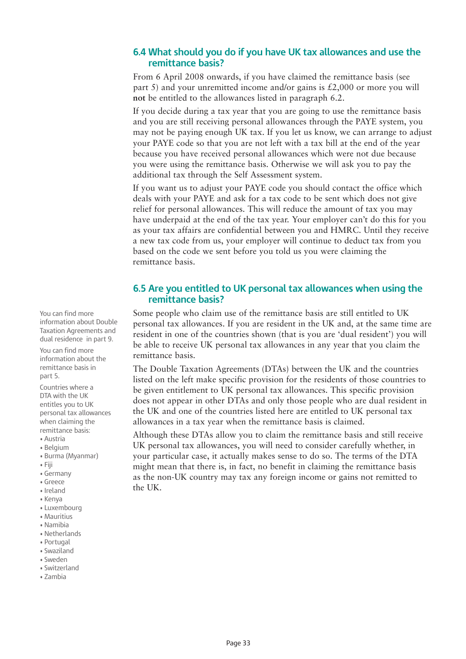#### **6.4 What should you do if you have UK tax allowances and use the remittance basis?**

 From 6 April 2008 onwards, if you have claimed the remittance basis (see part 5) and your unremitted income and/or gains is  $\text{\pounds}2,000$  or more you will **not** be entitled to the allowances listed in paragraph 6.2.

 If you decide during a tax year that you are going to use the remittance basis and you are still receiving personal allowances through the PAYE system, you may not be paying enough UK tax. If you let us know, we can arrange to adjust your PAYE code so that you are not left with a tax bill at the end of the year because you have received personal allowances which were not due because you were using the remittance basis. Otherwise we will ask you to pay the additional tax through the Self Assessment system.

 If you want us to adjust your PAYE code you should contact the office which deals with your PAYE and ask for a tax code to be sent which does not give relief for personal allowances. This will reduce the amount of tax you may have underpaid at the end of the tax year. Your employer can't do this for you as your tax affairs are confidential between you and HMRC. Until they receive a new tax code from us, your employer will continue to deduct tax from you based on the code we sent before you told us you were claiming the remittance basis.

#### **6.5 Are you entitled to UK personal tax allowances when using the remittance basis?**

 Some people who claim use of the remittance basis are still entitled to UK personal tax allowances. If you are resident in the UK and, at the same time are resident in one of the countries shown (that is you are 'dual resident') you will be able to receive UK personal tax allowances in any year that you claim the remittance basis.

 The Double Taxation Agreements (DTAs) between the UK and the countries listed on the left make specific provision for the residents of those countries to be given entitlement to UK personal tax allowances. This specific provision does not appear in other DTAs and only those people who are dual resident in the UK and one of the countries listed here are entitled to UK personal tax allowances in a tax year when the remittance basis is claimed.

 Although these DTAs allow you to claim the remittance basis and still receive UK personal tax allowances, you will need to consider carefully whether, in your particular case, it actually makes sense to do so. The terms of the DTA might mean that there is, in fact, no benefit in claiming the remittance basis as the non-UK country may tax any foreign income or gains not remitted to the UK.

 You can find more information about Double dual residence in part 9. Taxation Agreements and

 You can find more information about the remittance basis in part 5.

 Countries where a DTA with the UK entitles you to UK personal tax allowances when claiming the remittance basis:

- Austria
- Belgium
- Burma (Myanmar)
- Fiji
- Germany
- Greece
- Ireland
- Kenya
- Luxembourg • Mauritius
- Namibia
- Netherlands
- Portugal
- Swaziland
- Sweden
- Switzerland
- Zambia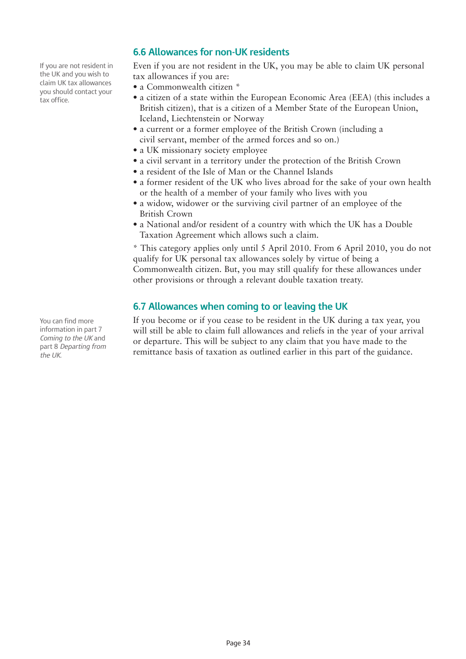If you are not resident in the UK and you wish to claim UK tax allowances you should contact your tax office.

 You can find more information in part 7  *Coming to the UK* and part 8 *Departing from the UK*.

## **6.6 Allowances for nonUK residents**

 Even if you are not resident in the UK, you may be able to claim UK personal tax allowances if you are:

- a Commonwealth citizen \*
- • a citizen of a state within the European Economic Area (EEA) (this includes a British citizen), that is a citizen of a Member State of the European Union, Iceland, Liechtenstein or Norway
- a current or a former employee of the British Crown (including a civil servant, member of the armed forces and so on.)
- a UK missionary society employee
- a civil servant in a territory under the protection of the British Crown
- a resident of the Isle of Man or the Channel Islands
- a former resident of the UK who lives abroad for the sake of your own health or the health of a member of your family who lives with you
- • a widow, widower or the surviving civil partner of an employee of the British Crown
- Taxation Agreement which allows such a claim. • a National and/or resident of a country with which the UK has a Double

 \* This category applies only until 5 April 2010. From 6 April 2010, you do not qualify for UK personal tax allowances solely by virtue of being a Commonwealth citizen. But, you may still qualify for these allowances under other provisions or through a relevant double taxation treaty.

## **6.7 Allowances when coming to or leaving the UK**

 If you become or if you cease to be resident in the UK during a tax year, you will still be able to claim full allowances and reliefs in the year of your arrival or departure. This will be subject to any claim that you have made to the remittance basis of taxation as outlined earlier in this part of the guidance.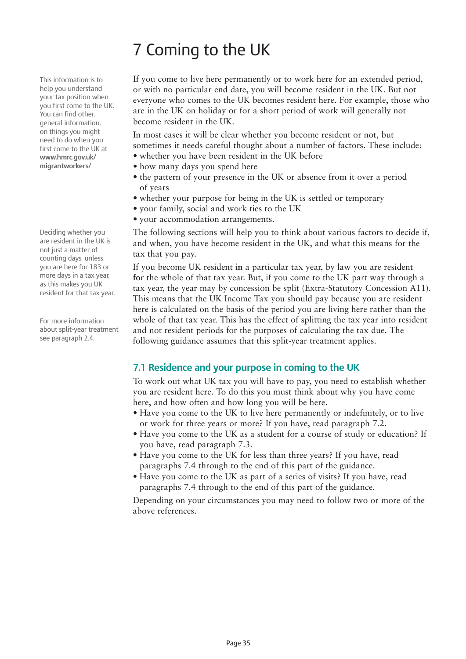# 7 Coming to the UK

 If you come to live here permanently or to work here for an extended period, or with no particular end date, you will become resident in the UK. But not everyone who comes to the UK becomes resident here. For example, those who are in the UK on holiday or for a short period of work will generally not become resident in the UK.

 In most cases it will be clear whether you become resident or not, but sometimes it needs careful thought about a number of factors. These include:

- whether you have been resident in the UK before
- how many days you spend here
- the pattern of your presence in the UK or absence from it over a period of years
- whether your purpose for being in the UK is settled or temporary
- your family, social and work ties to the UK
- your accommodation arrangements.

 The following sections will help you to think about various factors to decide if, and when, you have become resident in the UK, and what this means for the tax that you pay.

 If you become UK resident **in** a particular tax year, by law you are resident **for** the whole of that tax year. But, if you come to the UK part way through a tax year, the year may by concession be split (Extra-Statutory Concession A11). This means that the UK Income Tax you should pay because you are resident here is calculated on the basis of the period you are living here rather than the whole of that tax year. This has the effect of splitting the tax year into resident and not resident periods for the purposes of calculating the tax due. The following guidance assumes that this split-year treatment applies.

### **7.1 Residence and your purpose in coming to the UK**

 To work out what UK tax you will have to pay, you need to establish whether you are resident here. To do this you must think about why you have come here, and how often and how long you will be here.

- Have you come to the UK to live here permanently or indefinitely, or to live or work for three years or more? If you have, read paragraph 7.2.
- • Have you come to the UK as a student for a course of study or education? If you have, read paragraph 7.3.
- Have you come to the UK for less than three years? If you have, read paragraphs 7.4 through to the end of this part of the guidance.
- • Have you come to the UK as part of a series of visits? If you have, read paragraphs 7.4 through to the end of this part of the guidance.

 Depending on your circumstances you may need to follow two or more of the above references.

 Deciding whether you are resident in the UK is not just a matter of counting days, unless you are here for 183 or more days in a tax year, as this makes you UK resident for that tax year.

<span id="page-34-0"></span> This information is to help you understand your tax position when you first come to the UK. You can find other,

 on things you might need to do when you first come to the UK at

**www.hmrc.gov.uk/ migrantworkers/**

general information,

 For more information about split-year treatment see paragraph 2.4.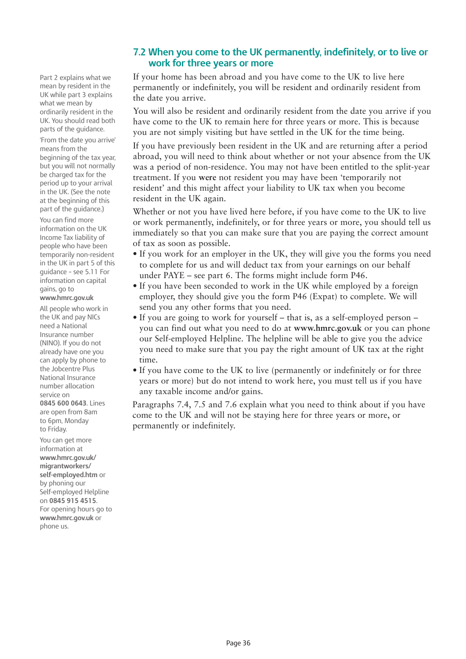#### **7.2 When you come to the UK permanently, indefinitely, or to live or work for three years or more**

 If your home has been abroad and you have come to the UK to live here permanently or indefinitely, you will be resident and ordinarily resident from the date you arrive.

 You will also be resident and ordinarily resident from the date you arrive if you have come to the UK to remain here for three years or more. This is because you are not simply visiting but have settled in the UK for the time being.

 If you have previously been resident in the UK and are returning after a period abroad, you will need to think about whether or not your absence from the UK was a period of non-residence. You may not have been entitled to the split-year treatment. If you **were** not resident you may have been 'temporarily not resident' and this might affect your liability to UK tax when you become resident in the UK again.

 Whether or not you have lived here before, if you have come to the UK to live or work permanently, indefinitely, or for three years or more, you should tell us immediately so that you can make sure that you are paying the correct amount of tax as soon as possible.

- • If you work for an employer in the UK, they will give you the forms you need to complete for us and will deduct tax from your earnings on our behalf under PAYE – see part 6. The forms might include form P46.
- If you have been seconded to work in the UK while employed by a foreign employer, they should give you the form P46 (Expat) to complete. We will send you any other forms that you need.
- If you are going to work for yourself  $-$  that is, as a self-employed person  $-$  you can find out what you need to do at **www.hmrc.gov.uk** or you can phone our Self-employed Helpline. The helpline will be able to give you the advice you need to make sure that you pay the right amount of UK tax at the right time.
- If you have come to the UK to live (permanently or indefinitely or for three years or more) but do not intend to work here, you must tell us if you have any taxable income and/or gains.

 Paragraphs 7.4, 7.5 and 7.6 explain what you need to think about if you have come to the UK and will not be staying here for three years or more, or permanently or indefinitely.

 Part 2 explains what we mean by resident in the UK while part 3 explains what we mean by ordinarily resident in the UK. You should read both parts of the guidance.

 'From the date you arrive' means from the beginning of the tax year, but you will not normally be charged tax for the period up to your arrival in the UK. (See the note at the beginning of this part of the guidance.) You can find more

 information on the UK Income Tax liability of people who have been in the UK in part 5 of this guidance – see 5.11 For information on capital gains, go to temporarily non-resident

#### **www.hmrc.gov.uk**

 All people who work in the UK and pay NICs need a National (NINO). If you do not already have one you can apply by phone to the Jobcentre Plus service on  **0845 600 0643**. Lines are open from 8am to 6pm, Monday Insurance number National Insurance number allocation to Friday.

 You can get more by phoning our  on **0845 915 4515**. For opening hours go to phone us. information at **www.hmrc.gov.uk/ migrantworkers/** self-employed.htm or Self-employed Helpline **www.hmrc.gov.uk** or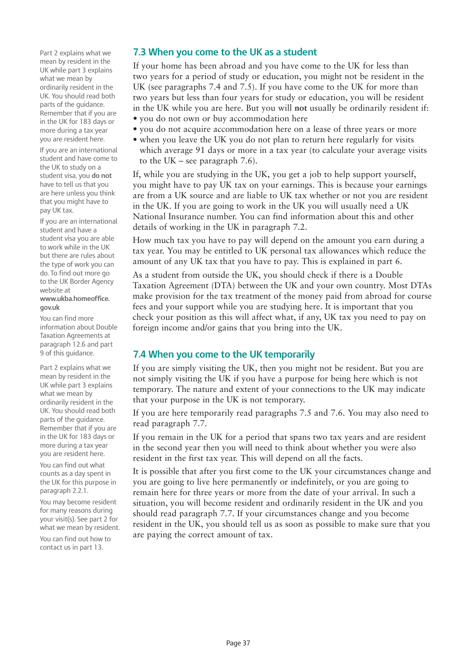Part 2 explains what we mean by resident in the UK while part 3 explains what we mean by ordinarily resident in the UK. You should read both parts of the guidance. Remember that if you are in the UK for 183 days or more during a tax year you are resident here.

 If you are an international student and have come to the UK to study on a student visa, you **do not** have to tell us that you are here unless you think that you might have to pay UK tax.

 If you are an international student and have a student visa you are able to work while in the UK but there are rules about the type of work you can do. To find out more go to the UK Border Agency website at **www.ukba.homeoffice. gov.uk**

 You can find more information about Double paragraph 12.6 and part 9 of this guidance. Taxation Agreements at

 Part 2 explains what we mean by resident in the UK while part 3 explains what we mean by ordinarily resident in the UK. You should read both parts of the guidance. Remember that if you are in the UK for 183 days or more during a tax year you are resident here.

 You can find out what counts as a day spent in the UK for this purpose in paragraph 2.2.1.

 You may become resident for many reasons during your visit(s). See part 2 for what we mean by resident.

 You can find out how to contact us in part 13.

# **7.3 When you come to the UK as a student**

 If your home has been abroad and you have come to the UK for less than two years for a period of study or education, you might not be resident in the UK (see paragraphs 7.4 and 7.5). If you have come to the UK for more than two years but less than four years for study or education, you will be resident in the UK while you are here. But you will **not** usually be ordinarily resident if: • you do not own or buy accommodation here

- you do not acquire accommodation here on a lease of three years or more
- when you leave the UK you do not plan to return here regularly for visits which average 91 days or more in a tax year (to calculate your average visits to the UK – see paragraph 7.6).

 If, while you are studying in the UK, you get a job to help support yourself, you might have to pay UK tax on your earnings. This is because your earnings are from a UK source and are liable to UK tax whether or not you are resident in the UK. If you are going to work in the UK you will usually need a UK National Insurance number. You can find information about this and other details of working in the UK in paragraph 7.2.

 How much tax you have to pay will depend on the amount you earn during a tax year. You may be entitled to UK personal tax allowances which reduce the amount of any UK tax that you have to pay. This is explained in part 6.

 As a student from outside the UK, you should check if there is a Double Taxation Agreement (DTA) between the UK and your own country. Most DTAs make provision for the tax treatment of the money paid from abroad for course fees and your support while you are studying here. It is important that you check your position as this will affect what, if any, UK tax you need to pay on foreign income and/or gains that you bring into the UK.

# **7.4 When you come to the UK temporarily**

 If you are simply visiting the UK, then you might not be resident. But you are not simply visiting the UK if you have a purpose for being here which is not temporary. The nature and extent of your connections to the UK may indicate that your purpose in the UK is not temporary.

 If you are here temporarily read paragraphs 7.5 and 7.6. You may also need to read paragraph 7.7.

 If you remain in the UK for a period that spans two tax years and are resident in the second year then you will need to think about whether you were also resident in the first tax year. This will depend on all the facts.

 It is possible that after you first come to the UK your circumstances change and you are going to live here permanently or indefinitely, or you are going to remain here for three years or more from the date of your arrival. In such a situation, you will become resident and ordinarily resident in the UK and you should read paragraph 7.7. If your circumstances change and you become resident in the UK, you should tell us as soon as possible to make sure that you are paying the correct amount of tax.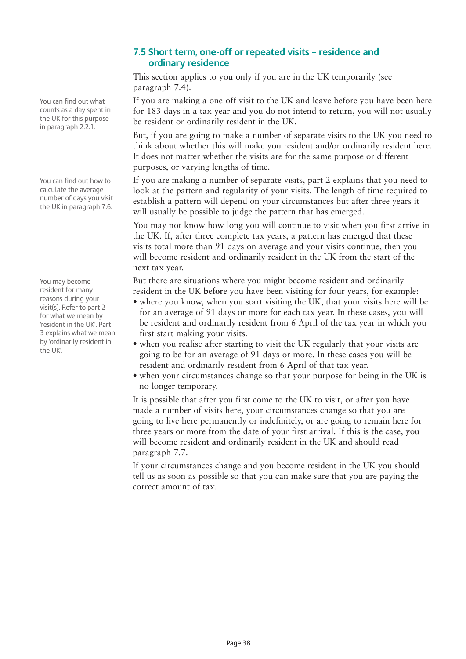You can find out what counts as a day spent in the UK for this purpose in paragraph 2.2.1.

 You can find out how to calculate the average number of days you visit the UK in paragraph 7.6.

 You may become resident for many reasons during your visit(s). Refer to part 2 for what we mean by 'resident in the UK'. Part 3 explains what we mean by 'ordinarily resident in the UK'.

# **7.5 Short term, oneoff or repeated visits – residence and ordinary residence**

 This section applies to you only if you are in the UK temporarily (see paragraph 7.4).

If you are making a one-off visit to the UK and leave before you have been here for 183 days in a tax year and you do not intend to return, you will not usually be resident or ordinarily resident in the UK.

 But, if you are going to make a number of separate visits to the UK you need to think about whether this will make you resident and/or ordinarily resident here. It does not matter whether the visits are for the same purpose or different purposes, or varying lengths of time.

 If you are making a number of separate visits, part 2 explains that you need to look at the pattern and regularity of your visits. The length of time required to establish a pattern will depend on your circumstances but after three years it will usually be possible to judge the pattern that has emerged.

 You may not know how long you will continue to visit when you first arrive in the UK. If, after three complete tax years, a pattern has emerged that these visits total more than 91 days on average and your visits continue, then you will become resident and ordinarily resident in the UK from the start of the next tax year.

 But there are situations where you might become resident and ordinarily resident in the UK **before** you have been visiting for four years, for example:

- where you know, when you start visiting the UK, that your visits here will be for an average of 91 days or more for each tax year. In these cases, you will be resident and ordinarily resident from 6 April of the tax year in which you first start making your visits.
- • when you realise after starting to visit the UK regularly that your visits are going to be for an average of 91 days or more. In these cases you will be resident and ordinarily resident from 6 April of that tax year.
- • when your circumstances change so that your purpose for being in the UK is no longer temporary.

 It is possible that after you first come to the UK to visit, or after you have made a number of visits here, your circumstances change so that you are going to live here permanently or indefinitely, or are going to remain here for three years or more from the date of your first arrival. If this is the case, you will become resident **and** ordinarily resident in the UK and should read paragraph 7.7.

 If your circumstances change and you become resident in the UK you should tell us as soon as possible so that you can make sure that you are paying the correct amount of tax.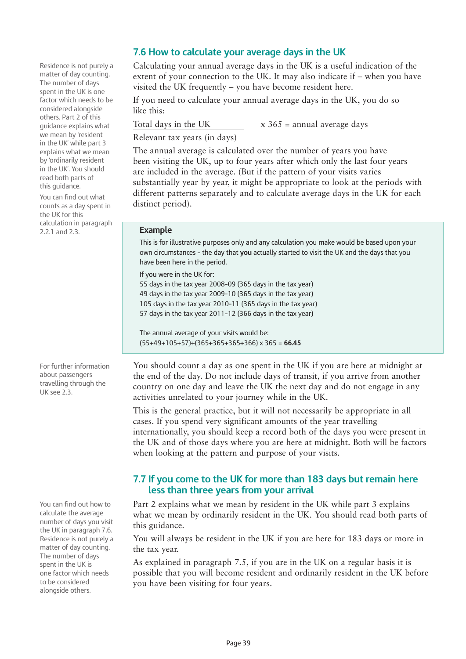Residence is not purely a matter of day counting. The number of days spent in the UK is one factor which needs to be others. Part 2 of this guidance explains what we mean by 'resident in the UK' while part 3 explains what we mean by 'ordinarily resident in the UK'. You should read both parts of considered alongside this guidance.

 You can find out what counts as a day spent in the UK for this calculation in paragraph 2.2.1 and 2.3.

 For further information travelling through the UK see 2.3. about passengers

 You can find out how to calculate the average number of days you visit the UK in paragraph 7.6. Residence is not purely a matter of day counting. The number of days spent in the UK is one factor which needs to be considered alongside others.

#### **7.6 How to calculate your average days in the UK**

 Calculating your annual average days in the UK is a useful indication of the extent of your connection to the UK. It may also indicate if – when you have visited the UK frequently – you have become resident here.

 If you need to calculate your annual average days in the UK, you do so like this:

Total days in the UK  $x\,365 =$  annual average days

Relevant tax years (in days)

 The annual average is calculated over the number of years you have been visiting the UK, up to four years after which only the last four years are included in the average. (But if the pattern of your visits varies substantially year by year, it might be appropriate to look at the periods with different patterns separately and to calculate average days in the UK for each distinct period).

#### **Example**

 This is for illustrative purposes only and any calculation you make would be based upon your own circumstances – the day that **you** actually started to visit the UK and the days that you have been here in the period.

 If you were in the UK for: 55 days in the tax year 2008–09 (365 days in the tax year) 49 days in the tax year 2009–10 (365 days in the tax year) 105 days in the tax year 2010–11 (365 days in the tax year) 57 days in the tax year 2011–12 (366 days in the tax year)

 The annual average of your visits would be: (55+49+105+57)÷(365+365+365+366) x 365 = **66.45**

 You should count a day as one spent in the UK if you are here at midnight at the end of the day. Do not include days of transit, if you arrive from another country on one day and leave the UK the next day and do not engage in any activities unrelated to your journey while in the UK.

 This is the general practice, but it will not necessarily be appropriate in all cases. If you spend very significant amounts of the year travelling internationally, you should keep a record both of the days you were present in the UK and of those days where you are here at midnight. Both will be factors when looking at the pattern and purpose of your visits.

#### **7.7 If you come to the UK for more than 183 days but remain here less than three years from your arrival**

 Part 2 explains what we mean by resident in the UK while part 3 explains what we mean by ordinarily resident in the UK. You should read both parts of this guidance.

 You will always be resident in the UK if you are here for 183 days or more in the tax year.

 As explained in paragraph 7.5, if you are in the UK on a regular basis it is possible that you will become resident and ordinarily resident in the UK before you have been visiting for four years.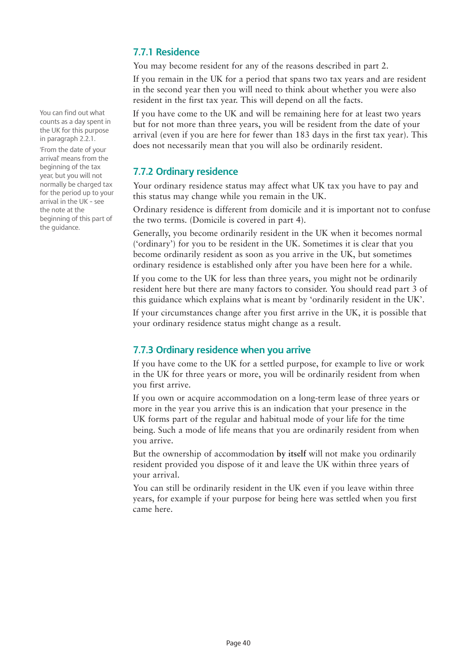# **7.7.1 Residence**

You may become resident for any of the reasons described in part 2.

 If you remain in the UK for a period that spans two tax years and are resident in the second year then you will need to think about whether you were also resident in the first tax year. This will depend on all the facts.

 If you have come to the UK and will be remaining here for at least two years but for not more than three years, you will be resident from the date of your arrival (even if you are here for fewer than 183 days in the first tax year). This does not necessarily mean that you will also be ordinarily resident.

# **7.7.2 Ordinary residence**

 Your ordinary residence status may affect what UK tax you have to pay and this status may change while you remain in the UK.

 Ordinary residence is different from domicile and it is important not to confuse the two terms. (Domicile is covered in part 4).

 Generally, you become ordinarily resident in the UK when it becomes normal ('ordinary') for you to be resident in the UK. Sometimes it is clear that you become ordinarily resident as soon as you arrive in the UK, but sometimes ordinary residence is established only after you have been here for a while.

 If you come to the UK for less than three years, you might not be ordinarily resident here but there are many factors to consider. You should read part 3 of this guidance which explains what is meant by 'ordinarily resident in the UK'.

 If your circumstances change after you first arrive in the UK, it is possible that your ordinary residence status might change as a result.

#### **7.7.3 Ordinary residence when you arrive**

 If you have come to the UK for a settled purpose, for example to live or work in the UK for three years or more, you will be ordinarily resident from when you first arrive.

If you own or acquire accommodation on a long-term lease of three years or more in the year you arrive this is an indication that your presence in the UK forms part of the regular and habitual mode of your life for the time being. Such a mode of life means that you are ordinarily resident from when you arrive.

 But the ownership of accommodation **by itself** will not make you ordinarily resident provided you dispose of it and leave the UK within three years of your arrival.

 You can still be ordinarily resident in the UK even if you leave within three years, for example if your purpose for being here was settled when you first came here.

 You can find out what counts as a day spent in the UK for this purpose in paragraph 2.2.1.

 'From the date of your arrival' means from the beginning of the tax year, but you will not normally be charged tax for the period up to your arrival in the UK – see the note at the beginning of this part of the guidance.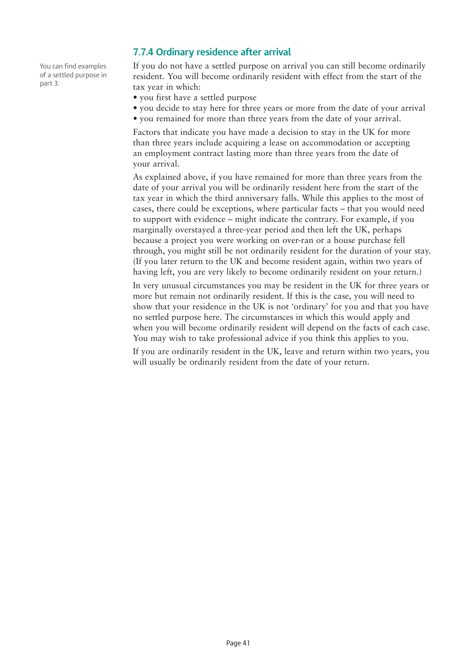You can find examples of a settled purpose in part 3.

# **7.7.4 Ordinary residence after arrival**

 If you do not have a settled purpose on arrival you can still become ordinarily resident. You will become ordinarily resident with effect from the start of the tax year in which:

- you first have a settled purpose
- you decide to stay here for three years or more from the date of your arrival
- you remained for more than three years from the date of your arrival.

 Factors that indicate you have made a decision to stay in the UK for more than three years include acquiring a lease on accommodation or accepting an employment contract lasting more than three years from the date of your arrival.

 As explained above, if you have remained for more than three years from the date of your arrival you will be ordinarily resident here from the start of the tax year in which the third anniversary falls. While this applies to the most of cases, there could be exceptions, where particular facts – that you would need to support with evidence – might indicate the contrary. For example, if you marginally overstayed a three-year period and then left the UK, perhaps because a project you were working on over-ran or a house purchase fell through, you might still be not ordinarily resident for the duration of your stay. (If you later return to the UK and become resident again, within two years of having left, you are very likely to become ordinarily resident on your return.)

 In very unusual circumstances you may be resident in the UK for three years or more but remain not ordinarily resident. If this is the case, you will need to show that your residence in the UK is not 'ordinary' for you and that you have no settled purpose here. The circumstances in which this would apply and when you will become ordinarily resident will depend on the facts of each case. You may wish to take professional advice if you think this applies to you.

 If you are ordinarily resident in the UK, leave and return within two years, you will usually be ordinarily resident from the date of your return.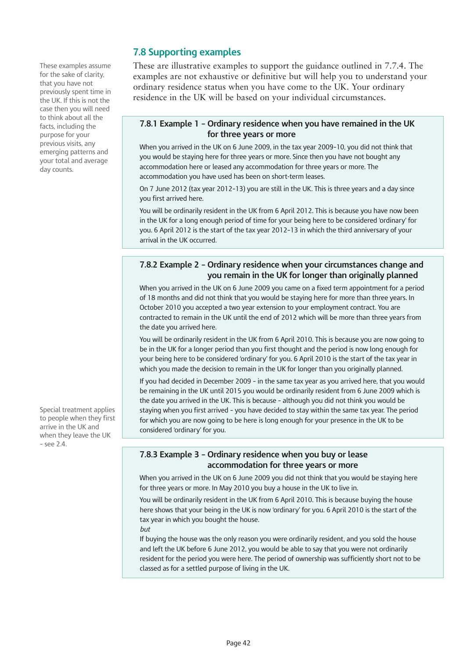These examples assume for the sake of clarity, that you have not previously spent time in the UK. If this is not the case then you will need to think about all the facts, including the purpose for your previous visits, any emerging patterns and your total and average day counts.

 Special treatment applies to people when they first arrive in the UK and when they leave the UK – see 2.4.

# **7.8 Supporting examples**

 These are illustrative examples to support the guidance outlined in 7.7.4. The examples are not exhaustive or definitive but will help you to understand your ordinary residence status when you have come to the UK. Your ordinary residence in the UK will be based on your individual circumstances.

#### **7.8.1 Example 1 – Ordinary residence when you have remained in the UK for three years or more**

 When you arrived in the UK on 6 June 2009, in the tax year 2009–10, you did not think that you would be staying here for three years or more. Since then you have not bought any accommodation here or leased any accommodation for three years or more. The accommodation you have used has been on short-term leases.

 On 7 June 2012 (tax year 2012–13) you are still in the UK. This is three years and a day since you first arrived here.

 You will be ordinarily resident in the UK from 6 April 2012. This is because you have now been in the UK for a long enough period of time for your being here to be considered 'ordinary' for you. 6 April 2012 is the start of the tax year 2012–13 in which the third anniversary of your arrival in the UK occurred.

#### **7.8.2 Example 2 – Ordinary residence when your circumstances change and you remain in the UK for longer than originally planned**

 When you arrived in the UK on 6 June 2009 you came on a fixed term appointment for a period of 18 months and did not think that you would be staying here for more than three years. In October 2010 you accepted a two year extension to your employment contract. You are contracted to remain in the UK until the end of 2012 which will be more than three years from the date you arrived here.

 You will be ordinarily resident in the UK from 6 April 2010. This is because you are now going to be in the UK for a longer period than you first thought and the period is now long enough for your being here to be considered 'ordinary' for you. 6 April 2010 is the start of the tax year in which you made the decision to remain in the UK for longer than you originally planned.

 If you had decided in December 2009 – in the same tax year as you arrived here, that you would be remaining in the UK until 2015 you would be ordinarily resident from 6 June 2009 which is the date you arrived in the UK. This is because – although you did not think you would be staying when you first arrived – you have decided to stay within the same tax year. The period for which you are now going to be here is long enough for your presence in the UK to be considered 'ordinary' for you.

#### **7.8.3 Example 3 – Ordinary residence when you buy or lease accommodation for three years or more**

 When you arrived in the UK on 6 June 2009 you did not think that you would be staying here for three years or more. In May 2010 you buy a house in the UK to live in.

 You will be ordinarily resident in the UK from 6 April 2010. This is because buying the house here shows that your being in the UK is now 'ordinary' for you. 6 April 2010 is the start of the tax year in which you bought the house.

*but*

 If buying the house was the only reason you were ordinarily resident, and you sold the house and left the UK before 6 June 2012, you would be able to say that you were not ordinarily resident for the period you were here. The period of ownership was sufficiently short not to be classed as for a settled purpose of living in the UK.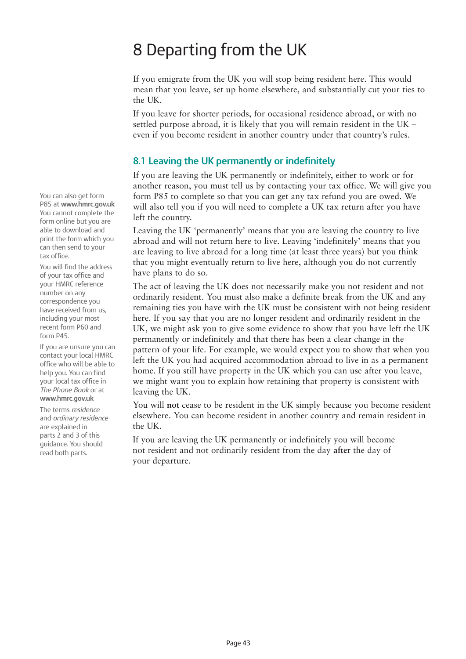# 8 Departing from the UK

 If you emigrate from the UK you will stop being resident here. This would mean that you leave, set up home elsewhere, and substantially cut your ties to the UK.

 If you leave for shorter periods, for occasional residence abroad, or with no settled purpose abroad, it is likely that you will remain resident in the UK – even if you become resident in another country under that country's rules.

# **8.1 Leaving the UK permanently or indefinitely**

 If you are leaving the UK permanently or indefinitely, either to work or for another reason, you must tell us by contacting your tax office. We will give you form P85 to complete so that you can get any tax refund you are owed. We will also tell you if you will need to complete a UK tax return after you have left the country.

 Leaving the UK 'permanently' means that you are leaving the country to live abroad and will not return here to live. Leaving 'indefinitely' means that you are leaving to live abroad for a long time (at least three years) but you think that you might eventually return to live here, although you do not currently have plans to do so.

 The act of leaving the UK does not necessarily make you not resident and not ordinarily resident. You must also make a definite break from the UK and any remaining ties you have with the UK must be consistent with not being resident here. If you say that you are no longer resident and ordinarily resident in the UK, we might ask you to give some evidence to show that you have left the UK permanently or indefinitely and that there has been a clear change in the pattern of your life. For example, we would expect you to show that when you left the UK you had acquired accommodation abroad to live in as a permanent home. If you still have property in the UK which you can use after you leave, we might want you to explain how retaining that property is consistent with leaving the UK.

 You will **not** cease to be resident in the UK simply because you become resident elsewhere. You can become resident in another country and remain resident in the UK.

 If you are leaving the UK permanently or indefinitely you will become not resident and not ordinarily resident from the day **after** the day of your departure.

 You can also get form P85 at **www.hmrc.gov.uk** You cannot complete the form online but you are able to download and print the form which you can then send to your tax office.

 You will find the address of your tax office and your HMRC reference number on any have received from us, including your most recent form P60 and correspondence you form P45.

 If you are unsure you can contact your local HMRC office who will be able to help you. You can find your local tax office in  *The Phone Book* or at **www.hmrc.gov.uk**

 The terms *residence* are explained in parts 2 and 3 of this guidance. You should read both parts. and *ordinary residence*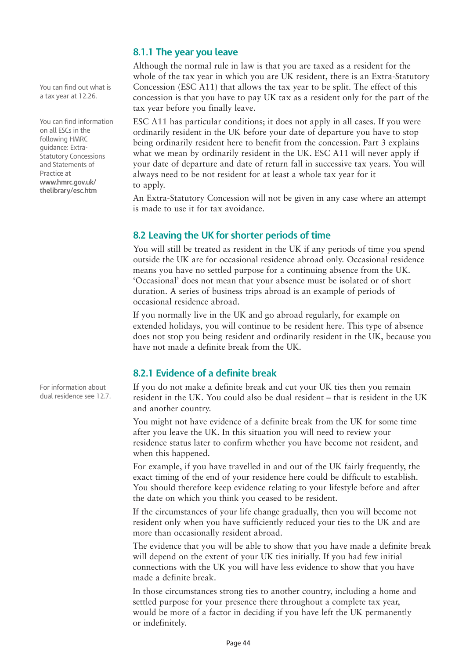# **8.1.1 The year you leave**

 Although the normal rule in law is that you are taxed as a resident for the whole of the tax year in which you are UK resident, there is an Extra-Statutory Concession (ESC A11) that allows the tax year to be split. The effect of this concession is that you have to pay UK tax as a resident only for the part of the tax year before you finally leave.

 ESC A11 has particular conditions; it does not apply in all cases. If you were ordinarily resident in the UK before your date of departure you have to stop being ordinarily resident here to benefit from the concession. Part 3 explains what we mean by ordinarily resident in the UK. ESC A11 will never apply if your date of departure and date of return fall in successive tax years. You will always need to be not resident for at least a whole tax year for it to apply.

An Extra-Statutory Concession will not be given in any case where an attempt is made to use it for tax avoidance.

# **8.2 Leaving the UK for shorter periods of time**

 You will still be treated as resident in the UK if any periods of time you spend outside the UK are for occasional residence abroad only. Occasional residence means you have no settled purpose for a continuing absence from the UK. 'Occasional' does not mean that your absence must be isolated or of short duration. A series of business trips abroad is an example of periods of occasional residence abroad.

 If you normally live in the UK and go abroad regularly, for example on extended holidays, you will continue to be resident here. This type of absence does not stop you being resident and ordinarily resident in the UK, because you have not made a definite break from the UK.

# **8.2.1 Evidence of a definite break**

 If you do not make a definite break and cut your UK ties then you remain resident in the UK. You could also be dual resident – that is resident in the UK and another country.

 You might not have evidence of a definite break from the UK for some time after you leave the UK. In this situation you will need to review your residence status later to confirm whether you have become not resident, and when this happened.

 For example, if you have travelled in and out of the UK fairly frequently, the exact timing of the end of your residence here could be difficult to establish. You should therefore keep evidence relating to your lifestyle before and after the date on which you think you ceased to be resident.

 If the circumstances of your life change gradually, then you will become not resident only when you have sufficiently reduced your ties to the UK and are more than occasionally resident abroad.

 The evidence that you will be able to show that you have made a definite break will depend on the extent of your UK ties initially. If you had few initial connections with the UK you will have less evidence to show that you have made a definite break.

 In those circumstances strong ties to another country, including a home and settled purpose for your presence there throughout a complete tax year, would be more of a factor in deciding if you have left the UK permanently or indefinitely.

 You can find out what is a tax year at 12.26.

 You can find information on all ESCs in the following HMRC guidance: Extra-Statutory Concessions and Statements of Practice at **www.hmrc.gov.uk/ thelibrary/esc.htm**

 dual residence see 12.7. For information about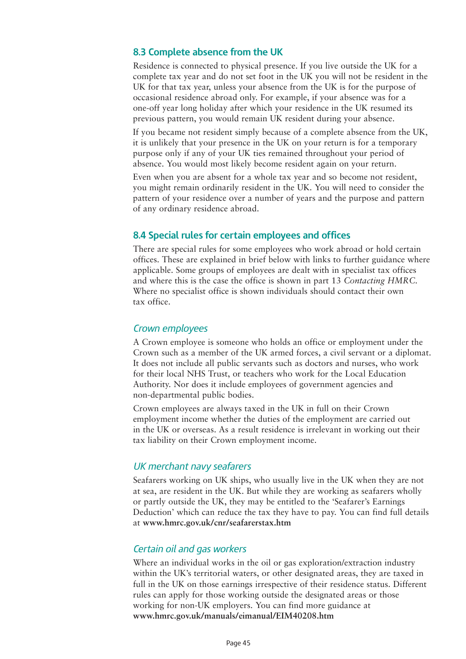#### **8.3 Complete absence from the UK**

 Residence is connected to physical presence. If you live outside the UK for a complete tax year and do not set foot in the UK you will not be resident in the UK for that tax year, unless your absence from the UK is for the purpose of occasional residence abroad only. For example, if your absence was for a one-off year long holiday after which your residence in the UK resumed its previous pattern, you would remain UK resident during your absence.

 If you became not resident simply because of a complete absence from the UK, it is unlikely that your presence in the UK on your return is for a temporary purpose only if any of your UK ties remained throughout your period of absence. You would most likely become resident again on your return.

 Even when you are absent for a whole tax year and so become not resident, you might remain ordinarily resident in the UK. You will need to consider the pattern of your residence over a number of years and the purpose and pattern of any ordinary residence abroad.

# **8.4 Special rules for certain employees and offices**

 There are special rules for some employees who work abroad or hold certain offices. These are explained in brief below with links to further guidance where applicable. Some groups of employees are dealt with in specialist tax offices and where this is the case the office is shown in part 13 *Contacting HMRC*. Where no specialist office is shown individuals should contact their own tax office.

#### *Crown employees*

 A Crown employee is someone who holds an office or employment under the Crown such as a member of the UK armed forces, a civil servant or a diplomat. It does not include all public servants such as doctors and nurses, who work for their local NHS Trust, or teachers who work for the Local Education Authority. Nor does it include employees of government agencies and non-departmental public bodies.

 Crown employees are always taxed in the UK in full on their Crown employment income whether the duties of the employment are carried out in the UK or overseas. As a result residence is irrelevant in working out their tax liability on their Crown employment income.

#### *UK merchant navy seafarers*

 Seafarers working on UK ships, who usually live in the UK when they are not at sea, are resident in the UK. But while they are working as seafarers wholly or partly outside the UK, they may be entitled to the 'Seafarer's Earnings Deduction' which can reduce the tax they have to pay. You can find full details at **www.hmrc.gov.uk/cnr/seafarerstax.htm**

#### *Certain oil and gas workers*

 Where an individual works in the oil or gas exploration/extraction industry within the UK's territorial waters, or other designated areas, they are taxed in full in the UK on those earnings irrespective of their residence status. Different rules can apply for those working outside the designated areas or those working for non-UK employers. You can find more guidance at **www.hmrc.gov.uk/manuals/eimanual/EIM40208.htm**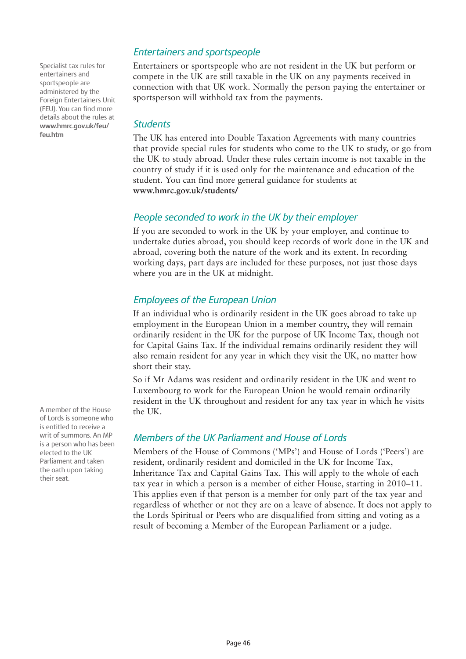Specialist tax rules for administered by the (FEU). You can find more details about the rules at entertainers and sportspeople are Foreign Entertainers Unit **www.hmrc.gov.uk/feu/ feu.htm**

#### *Entertainers and sportspeople*

 Entertainers or sportspeople who are not resident in the UK but perform or compete in the UK are still taxable in the UK on any payments received in connection with that UK work. Normally the person paying the entertainer or sportsperson will withhold tax from the payments.

#### *Students*

 The UK has entered into Double Taxation Agreements with many countries that provide special rules for students who come to the UK to study, or go from the UK to study abroad. Under these rules certain income is not taxable in the country of study if it is used only for the maintenance and education of the student. You can find more general guidance for students at **www.hmrc.gov.uk/students/**

# *People seconded to work in the UK by their employer*

 If you are seconded to work in the UK by your employer, and continue to undertake duties abroad, you should keep records of work done in the UK and abroad, covering both the nature of the work and its extent. In recording working days, part days are included for these purposes, not just those days where you are in the UK at midnight.

# *Employees of the European Union*

 If an individual who is ordinarily resident in the UK goes abroad to take up employment in the European Union in a member country, they will remain ordinarily resident in the UK for the purpose of UK Income Tax, though not for Capital Gains Tax. If the individual remains ordinarily resident they will also remain resident for any year in which they visit the UK, no matter how short their stay.

 So if Mr Adams was resident and ordinarily resident in the UK and went to Luxembourg to work for the European Union he would remain ordinarily resident in the UK throughout and resident for any tax year in which he visits the UK.

# *Members of the UK Parliament and House of Lords*

 Members of the House of Commons ('MPs') and House of Lords ('Peers') are resident, ordinarily resident and domiciled in the UK for Income Tax, Inheritance Tax and Capital Gains Tax. This will apply to the whole of each tax year in which a person is a member of either House, starting in 2010–11. This applies even if that person is a member for only part of the tax year and regardless of whether or not they are on a leave of absence. It does not apply to the Lords Spiritual or Peers who are disqualified from sitting and voting as a result of becoming a Member of the European Parliament or a judge.

 A member of the House of Lords is someone who is entitled to receive a writ of summons. An MP is a person who has been elected to the UK Parliament and taken the oath upon taking their seat.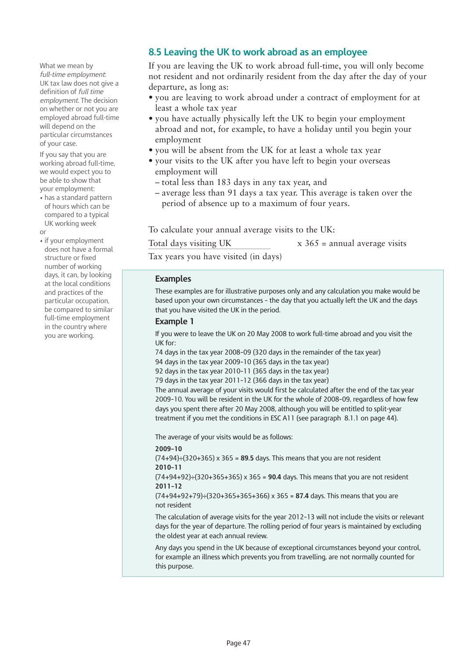What we mean by UK tax law does not give a definition of *full time employment*. The decision on whether or not you are employed abroad full-time will depend on the of your case. *fulltime employment*: particular circumstances

 If you say that you are working abroad full-time, we would expect you to be able to show that your employment:

 • has a standard pattern of hours which can be compared to a typical UK working week

#### or

 • if your employment does not have a formal structure or fixed number of working days, it can, by looking at the local conditions and practices of the be compared to similar in the country where you are working. particular occupation, full-time employment

# **8.5 Leaving the UK to work abroad as an employee**

If you are leaving the UK to work abroad full-time, you will only become not resident and not ordinarily resident from the day after the day of your departure, as long as:

- you are leaving to work abroad under a contract of employment for at least a whole tax year
- • you have actually physically left the UK to begin your employment abroad and not, for example, to have a holiday until you begin your employment
- you will be absent from the UK for at least a whole tax year
- • your visits to the UK after you have left to begin your overseas employment will
	- total less than 183 days in any tax year, and
	- – average less than 91 days a tax year. This average is taken over the period of absence up to a maximum of four years.

To calculate your annual average visits to the UK:

Total days visiting UK  $x 365 =$  annual average visits

Tax years you have visited (in days)

#### **Examples**

 These examples are for illustrative purposes only and any calculation you make would be based upon your own circumstances – the day that you actually left the UK and the days that you have visited the UK in the period.

#### **Example 1**

If you were to leave the UK on 20 May 2008 to work full-time abroad and you visit the UK for:

74 days in the tax year 2008–09 (320 days in the remainder of the tax year)

94 days in the tax year 2009–10 (365 days in the tax year)

92 days in the tax year 2010–11 (365 days in the tax year)

79 days in the tax year 2011–12 (366 days in the tax year)

 The annual average of your visits would first be calculated after the end of the tax year 2009–10. You will be resident in the UK for the whole of 2008–09, regardless of how few days you spent there after 20 May 2008, although you will be entitled to split-year treatment if you met the conditions in ESC A11 (see paragraph 8.1.1 on page 44).

The average of your visits would be as follows:

#### **2009–10**

 (74+94)÷(320+365) x 365 = **89.5** days. This means that you are not resident **2010–11**

 (74+94+92)÷(320+365+365) x 365 = **90.4** days. This means that you are not resident **2011–12**

 (74+94+92+79)÷(320+365+365+366) x 365 = **87.4** days. This means that you are not resident

 The calculation of average visits for the year 2012–13 will not include the visits or relevant days for the year of departure. The rolling period of four years is maintained by excluding the oldest year at each annual review.

 Any days you spend in the UK because of exceptional circumstances beyond your control, for example an illness which prevents you from travelling, are not normally counted for this purpose.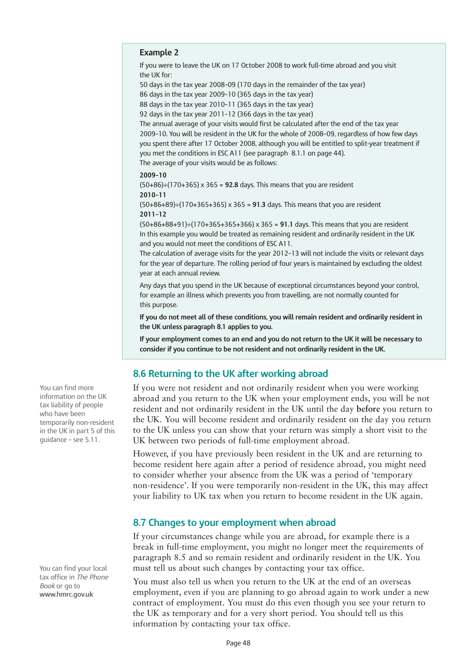#### **Example 2**

If you were to leave the UK on 17 October 2008 to work full-time abroad and you visit the UK for:

50 days in the tax year 2008–09 (170 days in the remainder of the tax year)

86 days in the tax year 2009–10 (365 days in the tax year)

88 days in the tax year 2010–11 (365 days in the tax year)

92 days in the tax year 2011–12 (366 days in the tax year)

 The annual average of your visits would first be calculated after the end of the tax year 2009–10. You will be resident in the UK for the whole of 2008–09, regardless of how few days you spent there after 17 October 2008, although you will be entitled to split-year treatment if you met the conditions in ESC A11 (see paragraph 8.1.1 on page 44).

The average of your visits would be as follows:

#### **2009–10**

 (50+86)÷(170+365) x 365 = **92.8** days. This means that you are resident **2010–11**

 (50+86+89)÷(170+365+365) x 365 = **91.3** days. This means that you are resident **2011–12**

 (50+86+88+91)÷(170+365+365+366) x 365 = **91.1** days. This means that you are resident In this example you would be treated as remaining resident and ordinarily resident in the UK and you would not meet the conditions of ESC A11.

 The calculation of average visits for the year 2012–13 will not include the visits or relevant days for the year of departure. The rolling period of four years is maintained by excluding the oldest year at each annual review.

 Any days that you spend in the UK because of exceptional circumstances beyond your control, for example an illness which prevents you from travelling, are not normally counted for this purpose.

If you do not meet all of these conditions, you will remain resident and ordinarily resident in  **the UK unless paragraph 8.1 applies to you.**

If your employment comes to an end and you do not return to the UK it will be necessary to  **consider if you continue to be not resident and not ordinarily resident in the UK.**

#### **8.6 Returning to the UK after working abroad**

 If you were not resident and not ordinarily resident when you were working abroad and you return to the UK when your employment ends, you will be not resident and not ordinarily resident in the UK until the day **before** you return to the UK. You will become resident and ordinarily resident on the day you return to the UK unless you can show that your return was simply a short visit to the UK between two periods of full-time employment abroad.

 However, if you have previously been resident in the UK and are returning to become resident here again after a period of residence abroad, you might need to consider whether your absence from the UK was a period of 'temporary non-residence'. If you were temporarily non-resident in the UK, this may affect your liability to UK tax when you return to become resident in the UK again.

#### **8.7 Changes to your employment when abroad**

 If your circumstances change while you are abroad, for example there is a break in full-time employment, you might no longer meet the requirements of paragraph 8.5 and so remain resident and ordinarily resident in the UK. You must tell us about such changes by contacting your tax office.

 You must also tell us when you return to the UK at the end of an overseas employment, even if you are planning to go abroad again to work under a new contract of employment. You must do this even though you see your return to the UK as temporary and for a very short period. You should tell us this information by contacting your tax office.

 You can find more information on the UK tax liability of people who have been in the UK in part 5 of this guidance – see 5.11. temporarily non-resident

 You can find your local tax office in *The Phone Book* or go to **www.hmrc.gov.uk**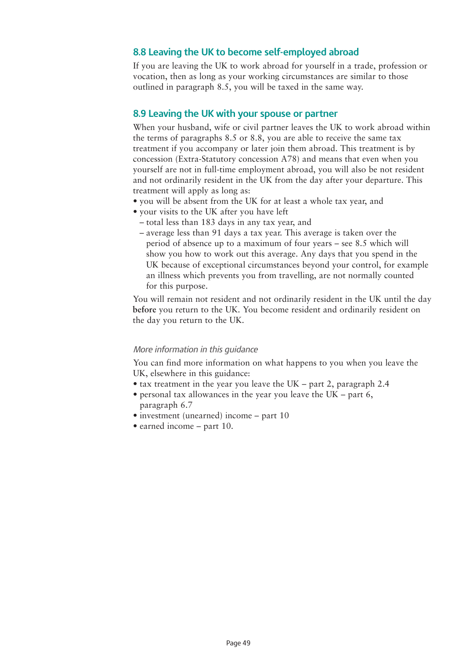#### **8.8 Leaving the UK to become selfemployed abroad**

 If you are leaving the UK to work abroad for yourself in a trade, profession or vocation, then as long as your working circumstances are similar to those outlined in paragraph 8.5, you will be taxed in the same way.

#### **8.9 Leaving the UK with your spouse or partner**

 When your husband, wife or civil partner leaves the UK to work abroad within the terms of paragraphs 8.5 or 8.8, you are able to receive the same tax treatment if you accompany or later join them abroad. This treatment is by concession (Extra-Statutory concession A78) and means that even when you yourself are not in full-time employment abroad, you will also be not resident and not ordinarily resident in the UK from the day after your departure. This treatment will apply as long as:

- you will be absent from the UK for at least a whole tax year, and
- your visits to the UK after you have left
- total less than 183 days in any tax year, and
- average less than 91 days a tax year. This average is taken over the period of absence up to a maximum of four years – see 8.5 which will show you how to work out this average. Any days that you spend in the UK because of exceptional circumstances beyond your control, for example an illness which prevents you from travelling, are not normally counted for this purpose.

 You will remain not resident and not ordinarily resident in the UK until the day **before** you return to the UK. You become resident and ordinarily resident on the day you return to the UK.

#### *More information in this guidance*

 You can find more information on what happens to you when you leave the UK, elsewhere in this guidance:

- tax treatment in the year you leave the UK part 2, paragraph 2.4
- • personal tax allowances in the year you leave the UK part 6, paragraph 6.7
- investment (unearned) income part 10
- earned income part 10.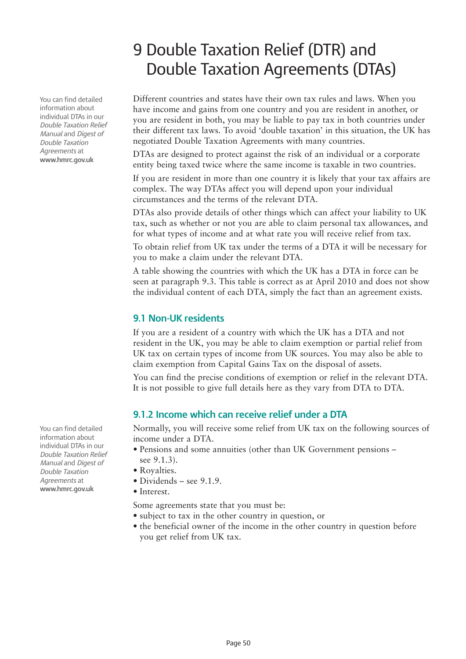# 9 Double Taxation Relief (DTR) and Double Taxation Agreements (DTAs)

 Different countries and states have their own tax rules and laws. When you have income and gains from one country and you are resident in another, or you are resident in both, you may be liable to pay tax in both countries under their different tax laws. To avoid 'double taxation' in this situation, the UK has negotiated Double Taxation Agreements with many countries.

 DTAs are designed to protect against the risk of an individual or a corporate entity being taxed twice where the same income is taxable in two countries.

 If you are resident in more than one country it is likely that your tax affairs are complex. The way DTAs affect you will depend upon your individual circumstances and the terms of the relevant DTA.

 DTAs also provide details of other things which can affect your liability to UK tax, such as whether or not you are able to claim personal tax allowances, and for what types of income and at what rate you will receive relief from tax.

 To obtain relief from UK tax under the terms of a DTA it will be necessary for you to make a claim under the relevant DTA.

 A table showing the countries with which the UK has a DTA in force can be seen at paragraph 9.3. This table is correct as at April 2010 and does not show the individual content of each DTA, simply the fact than an agreement exists.

# **9.1 Non-UK** residents

 If you are a resident of a country with which the UK has a DTA and not resident in the UK, you may be able to claim exemption or partial relief from UK tax on certain types of income from UK sources. You may also be able to claim exemption from Capital Gains Tax on the disposal of assets.

 You can find the precise conditions of exemption or relief in the relevant DTA. It is not possible to give full details here as they vary from DTA to DTA.

# **9.1.2 Income which can receive relief under a DTA**

 Normally, you will receive some relief from UK tax on the following sources of income under a DTA.

- • Pensions and some annuities (other than UK Government pensions see 9.1.3).
- Royalties.
- Dividends see 9.1.9.
- Interest.

Some agreements state that you must be:

- subject to tax in the other country in question, or
- the beneficial owner of the income in the other country in question before you get relief from UK tax.

 You can find detailed individual DTAs in our  *Double Taxation Relief* information about *Manual* and *Digest of Double Taxation Agreements* at **www.hmrc.gov.uk**

You can find detailed

information about

 individual DTAs in our  *Double Taxation Relief*

*Manual* and *Digest of Double Taxation Agreements* at **www.hmrc.gov.uk**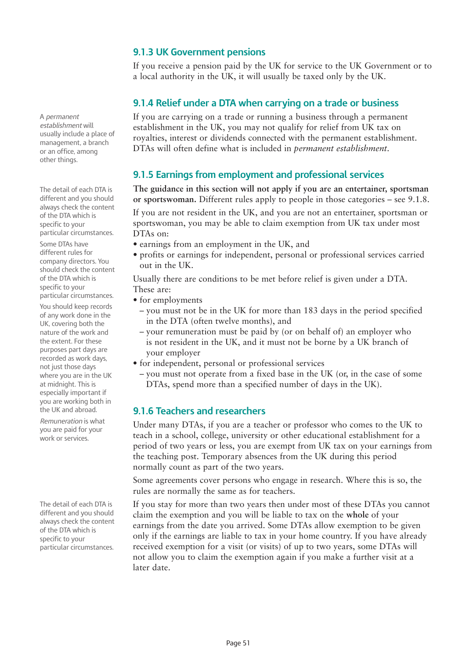#### **9.1.3 UK Government pensions**

 If you receive a pension paid by the UK for service to the UK Government or to a local authority in the UK, it will usually be taxed only by the UK.

## **9.1.4 Relief under a DTA when carrying on a trade or business**

 If you are carrying on a trade or running a business through a permanent establishment in the UK, you may not qualify for relief from UK tax on royalties, interest or dividends connected with the permanent establishment. DTAs will often define what is included in *permanent establishment*.

# **9.1.5 Earnings from employment and professional services**

 **The guidance in this section will not apply if you are an entertainer, sportsman or sportswoman.** Different rules apply to people in those categories – see 9.1.8. If you are not resident in the UK, and you are not an entertainer, sportsman or sportswoman, you may be able to claim exemption from UK tax under most DTAs on:

- earnings from an employment in the UK, and
- profits or earnings for independent, personal or professional services carried out in the UK.

 Usually there are conditions to be met before relief is given under a DTA. These are:

- for employments
	- – you must not be in the UK for more than 183 days in the period specified in the DTA (often twelve months), and
	- your remuneration must be paid by (or on behalf of) an employer who is not resident in the UK, and it must not be borne by a UK branch of your employer
- for independent, personal or professional services
	- – you must not operate from a fixed base in the UK (or, in the case of some DTAs, spend more than a specified number of days in the UK).

# **9.1.6 Teachers and researchers**

 Under many DTAs, if you are a teacher or professor who comes to the UK to teach in a school, college, university or other educational establishment for a period of two years or less, you are exempt from UK tax on your earnings from the teaching post. Temporary absences from the UK during this period normally count as part of the two years.

 Some agreements cover persons who engage in research. Where this is so, the rules are normally the same as for teachers.

 If you stay for more than two years then under most of these DTAs you cannot claim the exemption and you will be liable to tax on the **whole** of your earnings from the date you arrived. Some DTAs allow exemption to be given only if the earnings are liable to tax in your home country. If you have already received exemption for a visit (or visits) of up to two years, some DTAs will not allow you to claim the exemption again if you make a further visit at a later date.

 usually include a place of management, a branch or an office, among A *permanent establishment* will other things.

 The detail of each DTA is different and you should always check the content of the DTA which is specific to your particular circumstances.

 Some DTAs have different rules for company directors. You should check the content of the DTA which is specific to your particular circumstances.

 You should keep records of any work done in the UK, covering both the nature of the work and the extent. For these purposes part days are recorded as work days, not just those days where you are in the UK at midnight. This is especially important if you are working both in the UK and abroad.

 you are paid for your work or services. *Remuneration* is what

 The detail of each DTA is different and you should always check the content of the DTA which is specific to your particular circumstances.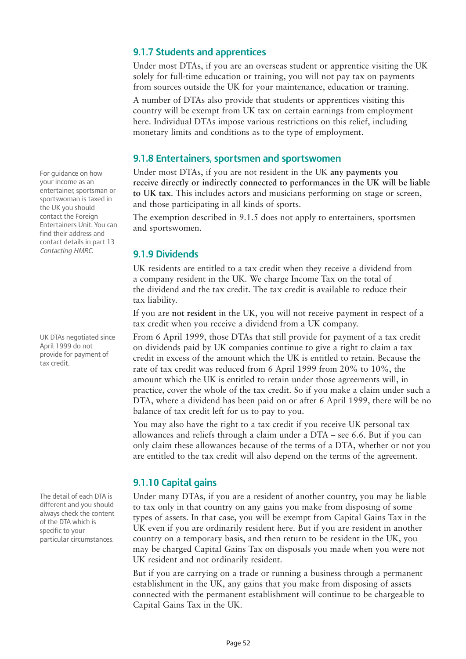## **9.1.7 Students and apprentices**

 Under most DTAs, if you are an overseas student or apprentice visiting the UK solely for full-time education or training, you will not pay tax on payments from sources outside the UK for your maintenance, education or training.

 A number of DTAs also provide that students or apprentices visiting this country will be exempt from UK tax on certain earnings from employment here. Individual DTAs impose various restrictions on this relief, including monetary limits and conditions as to the type of employment.

# **9.1.8 Entertainers, sportsmen and sportswomen**

  Under most DTAs, if you are not resident in the UK **any payments you receive directly or indirectly connected to performances in the UK will be liable to UK tax**. This includes actors and musicians performing on stage or screen, and those participating in all kinds of sports.

 The exemption described in 9.1.5 does not apply to entertainers, sportsmen and sportswomen.

# **9.1.9 Dividends**

 UK residents are entitled to a tax credit when they receive a dividend from a company resident in the UK. We charge Income Tax on the total of the dividend and the tax credit. The tax credit is available to reduce their tax liability.

 If you are **not resident** in the UK, you will not receive payment in respect of a tax credit when you receive a dividend from a UK company.

 From 6 April 1999, those DTAs that still provide for payment of a tax credit on dividends paid by UK companies continue to give a right to claim a tax credit in excess of the amount which the UK is entitled to retain. Because the rate of tax credit was reduced from 6 April 1999 from 20% to 10%, the amount which the UK is entitled to retain under those agreements will, in practice, cover the whole of the tax credit. So if you make a claim under such a DTA, where a dividend has been paid on or after 6 April 1999, there will be no balance of tax credit left for us to pay to you.

 You may also have the right to a tax credit if you receive UK personal tax allowances and reliefs through a claim under a DTA – see 6.6. But if you can only claim these allowances because of the terms of a DTA, whether or not you are entitled to the tax credit will also depend on the terms of the agreement.

# **9.1.10 Capital gains**

 Under many DTAs, if you are a resident of another country, you may be liable to tax only in that country on any gains you make from disposing of some types of assets. In that case, you will be exempt from Capital Gains Tax in the UK even if you are ordinarily resident here. But if you are resident in another country on a temporary basis, and then return to be resident in the UK, you may be charged Capital Gains Tax on disposals you made when you were not UK resident and not ordinarily resident.

 But if you are carrying on a trade or running a business through a permanent establishment in the UK, any gains that you make from disposing of assets connected with the permanent establishment will continue to be chargeable to Capital Gains Tax in the UK.

 For guidance on how your income as an entertainer, sportsman or sportswoman is taxed in the UK you should contact the Foreign Entertainers Unit. You can find their address and contact details in part 13 *Contacting HMRC*.

 UK DTAs negotiated since April 1999 do not provide for payment of tax credit.

 The detail of each DTA is different and you should always check the content of the DTA which is specific to your particular circumstances.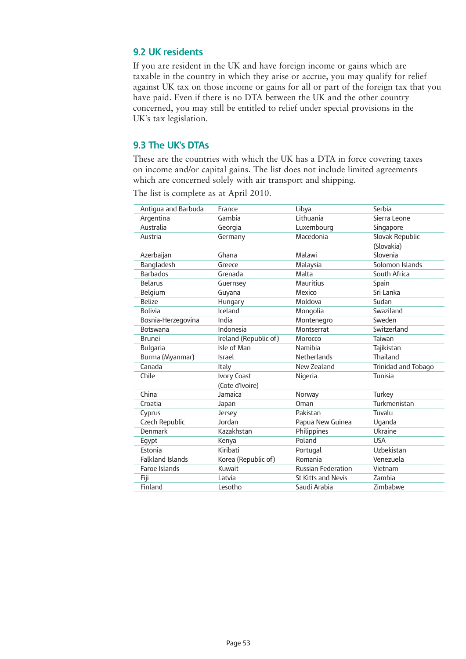## **9.2 UK residents**

 If you are resident in the UK and have foreign income or gains which are taxable in the country in which they arise or accrue, you may qualify for relief against UK tax on those income or gains for all or part of the foreign tax that you have paid. Even if there is no DTA between the UK and the other country concerned, you may still be entitled to relief under special provisions in the UK's tax legislation.

# **9.3 The UK's DTAs**

 These are the countries with which the UK has a DTA in force covering taxes on income and/or capital gains. The list does not include limited agreements which are concerned solely with air transport and shipping.

| Antiqua and Barbuda     | France                | Libya                     | Serbia              |
|-------------------------|-----------------------|---------------------------|---------------------|
| Argentina               | Gambia                | Lithuania                 | Sierra Leone        |
| Australia               | Georgia               | Luxembourg                | Singapore           |
| Austria                 | Germany               | Macedonia                 | Slovak Republic     |
|                         |                       |                           | (Slovakia)          |
| Azerbaijan              | Ghana                 | Malawi                    | Slovenia            |
| Bangladesh              | Greece                | Malaysia                  | Solomon Islands     |
| <b>Barbados</b>         | Grenada               | Malta                     | South Africa        |
| <b>Belarus</b>          | Guernsey              | Mauritius                 | Spain               |
| Belgium                 | Guyana                | Mexico                    | Sri Lanka           |
| <b>Belize</b>           | Hungary               | Moldova                   | Sudan               |
| <b>Bolivia</b>          | Iceland               | Mongolia                  | Swaziland           |
| Bosnia-Herzegovina      | India                 | Montenegro                | Sweden              |
| Botswana                | Indonesia             | Montserrat                | Switzerland         |
| <b>Brunei</b>           | Ireland (Republic of) | Morocco                   | Taiwan              |
| Bulgaria                | Isle of Man           | Namibia                   | Tajikistan          |
| Burma (Myanmar)         | <b>Israel</b>         | <b>Netherlands</b>        | Thailand            |
| Canada                  | Italy                 | New Zealand               | Trinidad and Tobago |
| Chile                   | <b>Ivory Coast</b>    | Nigeria                   | Tunisia             |
|                         | (Cote d'Ivoire)       |                           |                     |
| China                   | Jamaica               | Norway                    | Turkey              |
| Croatia                 | Japan                 | Oman                      | Turkmenistan        |
| Cyprus                  | Jersey                | Pakistan                  | Tuvalu              |
| Czech Republic          | Jordan                | Papua New Guinea          | Uganda              |
| Denmark                 | Kazakhstan            | Philippines               | Ukraine             |
| Egypt                   | Kenya                 | Poland                    | <b>USA</b>          |
| Estonia                 | Kiribati              | Portugal                  | Uzbekistan          |
| <b>Falkland Islands</b> | Korea (Republic of)   | Romania                   | Venezuela           |
| Faroe Islands           | Kuwait                | <b>Russian Federation</b> | Vietnam             |
| Fiji                    | Latvia                | <b>St Kitts and Nevis</b> | Zambia              |
| Finland                 | Lesotho               | Saudi Arabia              | Zimbabwe            |

The list is complete as at April 2010.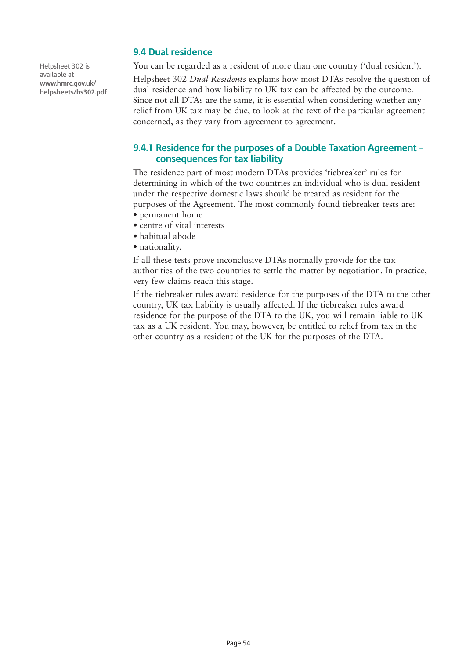Helpsheet 302 is available at **www.hmrc.gov.uk/ helpsheets/hs302.pdf**

#### **9.4 Dual residence**

You can be regarded as a resident of more than one country ('dual resident').

 Helpsheet 302 *Dual Residents* explains how most DTAs resolve the question of dual residence and how liability to UK tax can be affected by the outcome. Since not all DTAs are the same, it is essential when considering whether any relief from UK tax may be due, to look at the text of the particular agreement concerned, as they vary from agreement to agreement.

## **9.4.1 Residence for the purposes of a Double Taxation Agreement – consequences for tax liability**

 The residence part of most modern DTAs provides 'tiebreaker' rules for determining in which of the two countries an individual who is dual resident under the respective domestic laws should be treated as resident for the purposes of the Agreement. The most commonly found tiebreaker tests are: • permanent home

- centre of vital interests
- habitual abode
- nationality.

 If all these tests prove inconclusive DTAs normally provide for the tax authorities of the two countries to settle the matter by negotiation. In practice, very few claims reach this stage.

 If the tiebreaker rules award residence for the purposes of the DTA to the other country, UK tax liability is usually affected. If the tiebreaker rules award residence for the purpose of the DTA to the UK, you will remain liable to UK tax as a UK resident. You may, however, be entitled to relief from tax in the other country as a resident of the UK for the purposes of the DTA.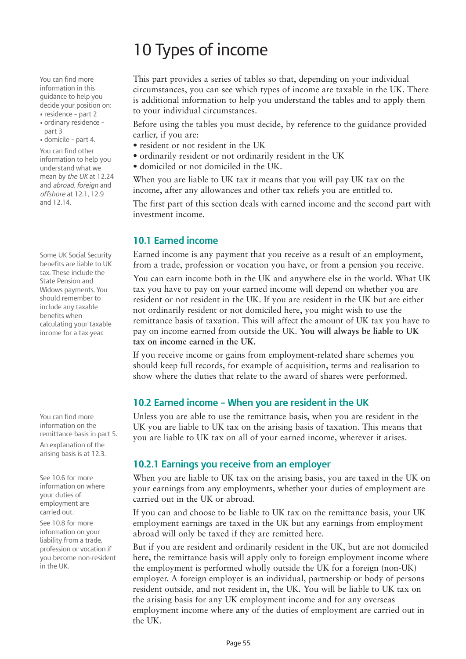# 10 Types of income

 This part provides a series of tables so that, depending on your individual circumstances, you can see which types of income are taxable in the UK. There is additional information to help you understand the tables and to apply them to your individual circumstances.

 Before using the tables you must decide, by reference to the guidance provided earlier, if you are:

- resident or not resident in the UK
- ordinarily resident or not ordinarily resident in the UK
- domiciled or not domiciled in the UK.

 When you are liable to UK tax it means that you will pay UK tax on the income, after any allowances and other tax reliefs you are entitled to.

 The first part of this section deals with earned income and the second part with investment income.

# **10.1 Earned income**

 Earned income is any payment that you receive as a result of an employment, from a trade, profession or vocation you have, or from a pension you receive. You can earn income both in the UK and anywhere else in the world. What UK tax you have to pay on your earned income will depend on whether you are resident or not resident in the UK. If you are resident in the UK but are either not ordinarily resident or not domiciled here, you might wish to use the remittance basis of taxation. This will affect the amount of UK tax you have to  pay on income earned from outside the UK. **You will always be liable to UK tax on income earned in the UK.**

If you receive income or gains from employment-related share schemes you should keep full records, for example of acquisition, terms and realisation to show where the duties that relate to the award of shares were performed.

## **10.2 Earned income – When you are resident in the UK**

 Unless you are able to use the remittance basis, when you are resident in the UK you are liable to UK tax on the arising basis of taxation. This means that you are liable to UK tax on all of your earned income, wherever it arises.

# **10.2.1 Earnings you receive from an employer**

 When you are liable to UK tax on the arising basis, you are taxed in the UK on your earnings from any employments, whether your duties of employment are carried out in the UK or abroad.

 If you can and choose to be liable to UK tax on the remittance basis, your UK employment earnings are taxed in the UK but any earnings from employment abroad will only be taxed if they are remitted here.

 But if you are resident and ordinarily resident in the UK, but are not domiciled here, the remittance basis will apply only to foreign employment income where the employment is performed wholly outside the UK for a foreign (non-UK) employer. A foreign employer is an individual, partnership or body of persons resident outside, and not resident in, the UK. You will be liable to UK tax on the arising basis for any UK employment income and for any overseas employment income where **any** of the duties of employment are carried out in the UK.

 You can find more information in this guidance to help you decide your position on:

- residence part 2 • ordinary residence – part 3
- domicile part 4.

 You can find other information to help you understand what we mean by *the UK* at 12.24 and *abroad*, *foreign* and *offshore* at 12.1, 12.9 and 12.14.

 Some UK Social Security benefits are liable to UK tax. These include the State Pension and Widows payments. You should remember to include any taxable calculating your taxable income for a tax year. benefits when

 You can find more information on the remittance basis in part 5. An explanation of the arising basis is at 12.3.

 See 10.6 for more information on where your duties of employment are carried out.

 See 10.8 for more information on your liability from a trade, profession or vocation if you become non-resident in the UK.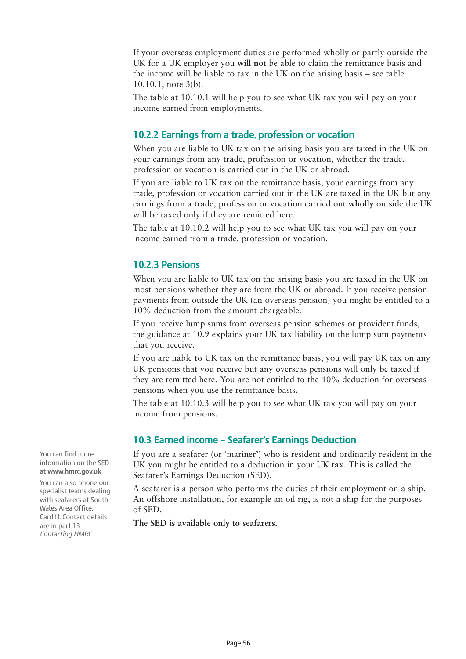If your overseas employment duties are performed wholly or partly outside the UK for a UK employer you **will not** be able to claim the remittance basis and the income will be liable to tax in the UK on the arising basis – see table 10.10.1, note 3(b).

 The table at 10.10.1 will help you to see what UK tax you will pay on your income earned from employments.

## **10.2.2 Earnings from a trade, profession or vocation**

 When you are liable to UK tax on the arising basis you are taxed in the UK on your earnings from any trade, profession or vocation, whether the trade, profession or vocation is carried out in the UK or abroad.

 If you are liable to UK tax on the remittance basis, your earnings from any trade, profession or vocation carried out in the UK are taxed in the UK but any earnings from a trade, profession or vocation carried out **wholly** outside the UK will be taxed only if they are remitted here.

 The table at 10.10.2 will help you to see what UK tax you will pay on your income earned from a trade, profession or vocation.

# **10.2.3 Pensions**

 When you are liable to UK tax on the arising basis you are taxed in the UK on most pensions whether they are from the UK or abroad. If you receive pension payments from outside the UK (an overseas pension) you might be entitled to a 10% deduction from the amount chargeable.

 If you receive lump sums from overseas pension schemes or provident funds, the guidance at 10.9 explains your UK tax liability on the lump sum payments that you receive.

 If you are liable to UK tax on the remittance basis, you will pay UK tax on any UK pensions that you receive but any overseas pensions will only be taxed if they are remitted here. You are not entitled to the 10% deduction for overseas pensions when you use the remittance basis.

 The table at 10.10.3 will help you to see what UK tax you will pay on your income from pensions.

# **10.3 Earned income – Seafarer's Earnings Deduction**

 If you are a seafarer (or 'mariner') who is resident and ordinarily resident in the UK you might be entitled to a deduction in your UK tax. This is called the Seafarer's Earnings Deduction (SED).

 A seafarer is a person who performs the duties of their employment on a ship. An offshore installation, for example an oil rig, is not a ship for the purposes of SED.

 **The SED is available only to seafarers.**

 You can find more information on the SED at **www.hmrc.gov.uk**

 You can also phone our specialist teams dealing with seafarers at South Wales Area Office, Cardiff. Contact details are in part 13 *Contacting HMRC*.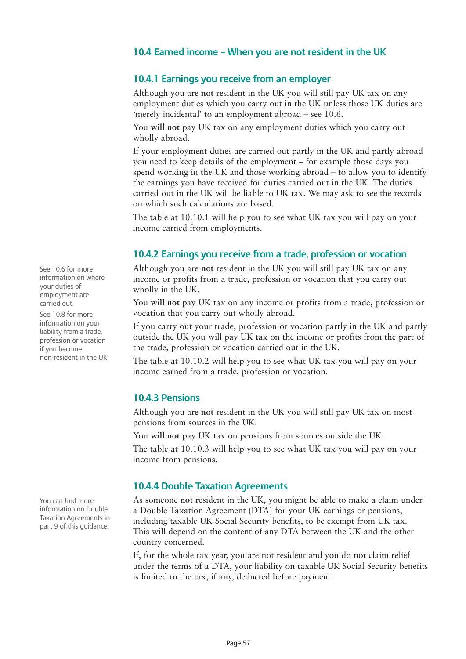# **10.4 Earned income – When you are not resident in the UK**

# **10.4.1 Earnings you receive from an employer**

 Although you are **not** resident in the UK you will still pay UK tax on any employment duties which you carry out in the UK unless those UK duties are 'merely incidental' to an employment abroad – see 10.6.

 You **will not** pay UK tax on any employment duties which you carry out wholly abroad.

 If your employment duties are carried out partly in the UK and partly abroad you need to keep details of the employment – for example those days you spend working in the UK and those working abroad – to allow you to identify the earnings you have received for duties carried out in the UK. The duties carried out in the UK will be liable to UK tax. We may ask to see the records on which such calculations are based.

 The table at 10.10.1 will help you to see what UK tax you will pay on your income earned from employments.

# **10.4.2 Earnings you receive from a trade, profession or vocation**

 Although you are **not** resident in the UK you will still pay UK tax on any income or profits from a trade, profession or vocation that you carry out wholly in the UK.

 You **will not** pay UK tax on any income or profits from a trade, profession or vocation that you carry out wholly abroad.

 If you carry out your trade, profession or vocation partly in the UK and partly outside the UK you will pay UK tax on the income or profits from the part of the trade, profession or vocation carried out in the UK.

 The table at 10.10.2 will help you to see what UK tax you will pay on your income earned from a trade, profession or vocation.

# **10.4.3 Pensions**

 Although you are **not** resident in the UK you will still pay UK tax on most pensions from sources in the UK.

You **will not** pay UK tax on pensions from sources outside the UK.

 The table at 10.10.3 will help you to see what UK tax you will pay on your income from pensions.

## **10.4.4 Double Taxation Agreements**

 As someone **not** resident in the UK, you might be able to make a claim under a Double Taxation Agreement (DTA) for your UK earnings or pensions, including taxable UK Social Security benefits, to be exempt from UK tax. This will depend on the content of any DTA between the UK and the other country concerned.

 If, for the whole tax year, you are not resident and you do not claim relief under the terms of a DTA, your liability on taxable UK Social Security benefits is limited to the tax, if any, deducted before payment.

 See 10.6 for more information on where your duties of employment are carried out.

 See 10.8 for more information on your liability from a trade, profession or vocation if you become nonresident in the UK.

 You can find more information on Double part 9 of this guidance. Taxation Agreements in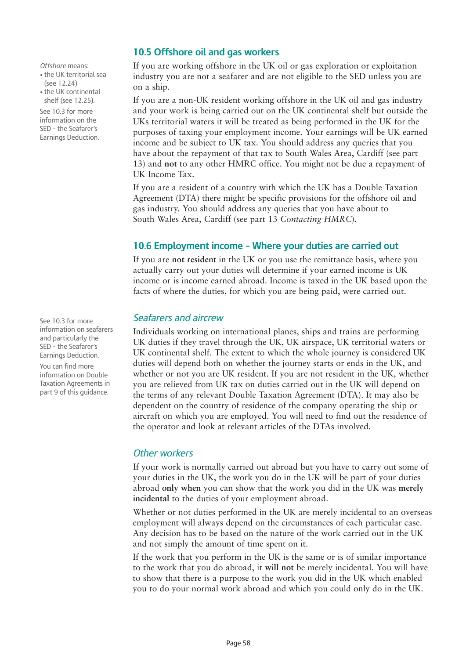*Offshore* means:

 • the UK territorial sea (see 12.24)

 • the UK continental shelf (see 12.25).

 See 10.3 for more information on the SED – the Seafarer's Earnings Deduction.

 See 10.3 for more information on seafarers and particularly the SED – the Seafarer's Earnings Deduction.

 You can find more information on Double part 9 of this guidance. Taxation Agreements in

# **10.5 Offshore oil and gas workers**

 If you are working offshore in the UK oil or gas exploration or exploitation industry you are not a seafarer and are not eligible to the SED unless you are on a ship.

If you are a non-UK resident working offshore in the UK oil and gas industry and your work is being carried out on the UK continental shelf but outside the UKs territorial waters it will be treated as being performed in the UK for the purposes of taxing your employment income. Your earnings will be UK earned income and be subject to UK tax. You should address any queries that you have about the repayment of that tax to South Wales Area, Cardiff (see part 13) and **not** to any other HMRC office. You might not be due a repayment of UK Income Tax.

 If you are a resident of a country with which the UK has a Double Taxation Agreement (DTA) there might be specific provisions for the offshore oil and gas industry. You should address any queries that you have about to South Wales Area, Cardiff (see part 13 *Contacting HMRC*).

# **10.6 Employment income – Where your duties are carried out**

 If you are **not resident** in the UK or you use the remittance basis, where you actually carry out your duties will determine if your earned income is UK income or is income earned abroad. Income is taxed in the UK based upon the facts of where the duties, for which you are being paid, were carried out.

## *Seafarers and aircrew*

 Individuals working on international planes, ships and trains are performing UK duties if they travel through the UK, UK airspace, UK territorial waters or UK continental shelf. The extent to which the whole journey is considered UK duties will depend both on whether the journey starts or ends in the UK, and whether or not you are UK resident. If you are not resident in the UK, whether you are relieved from UK tax on duties carried out in the UK will depend on the terms of any relevant Double Taxation Agreement (DTA). It may also be dependent on the country of residence of the company operating the ship or aircraft on which you are employed. You will need to find out the residence of the operator and look at relevant articles of the DTAs involved.

#### *Other workers*

 If your work is normally carried out abroad but you have to carry out some of your duties in the UK, the work you do in the UK will be part of your duties abroad **only when** you can show that the work you did in the UK was **merely incidental** to the duties of your employment abroad.

 Whether or not duties performed in the UK are merely incidental to an overseas employment will always depend on the circumstances of each particular case. Any decision has to be based on the nature of the work carried out in the UK and not simply the amount of time spent on it.

 If the work that you perform in the UK is the same or is of similar importance to the work that you do abroad, it **will not** be merely incidental. You will have to show that there is a purpose to the work you did in the UK which enabled you to do your normal work abroad and which you could only do in the UK.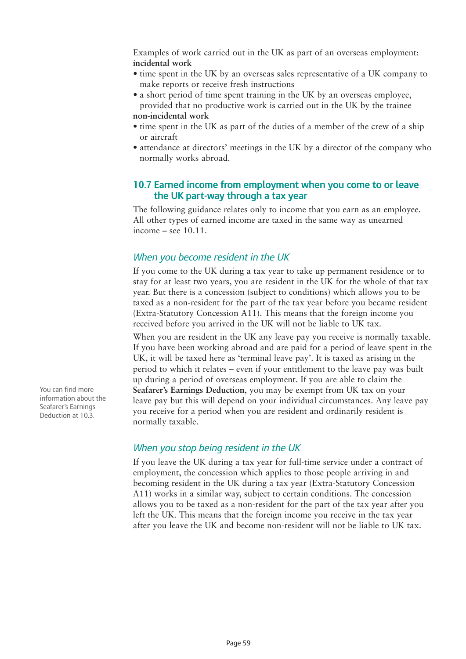Examples of work carried out in the UK as part of an overseas employment: **incidental work**

- time spent in the UK by an overseas sales representative of a UK company to make reports or receive fresh instructions
- • a short period of time spent training in the UK by an overseas employee, provided that no productive work is carried out in the UK by the trainee **nonincidental work**
- time spent in the UK as part of the duties of a member of the crew of a ship or aircraft
- • attendance at directors' meetings in the UK by a director of the company who normally works abroad.

# **10.7 Earned income from employment when you come to or leave the UK partway through a tax year**

 The following guidance relates only to income that you earn as an employee. All other types of earned income are taxed in the same way as unearned income – see 10.11.

# *When you become resident in the UK*

 If you come to the UK during a tax year to take up permanent residence or to stay for at least two years, you are resident in the UK for the whole of that tax year. But there is a concession (subject to conditions) which allows you to be taxed as a non-resident for the part of the tax year before you became resident (Extra-Statutory Concession A11). This means that the foreign income you received before you arrived in the UK will not be liable to UK tax.

 When you are resident in the UK any leave pay you receive is normally taxable. If you have been working abroad and are paid for a period of leave spent in the UK, it will be taxed here as 'terminal leave pay'. It is taxed as arising in the period to which it relates – even if your entitlement to the leave pay was built up during a period of overseas employment. If you are able to claim the  **Seafarer's Earnings Deduction**, you may be exempt from UK tax on your leave pay but this will depend on your individual circumstances. Any leave pay you receive for a period when you are resident and ordinarily resident is normally taxable.

# *When you stop being resident in the UK*

If you leave the UK during a tax year for full-time service under a contract of employment, the concession which applies to those people arriving in and becoming resident in the UK during a tax year (Extra-Statutory Concession A11) works in a similar way, subject to certain conditions. The concession allows you to be taxed as a non-resident for the part of the tax year after you left the UK. This means that the foreign income you receive in the tax year after you leave the UK and become non-resident will not be liable to UK tax.

 You can find more information about the Deduction at 10.3. Seafarer's Earnings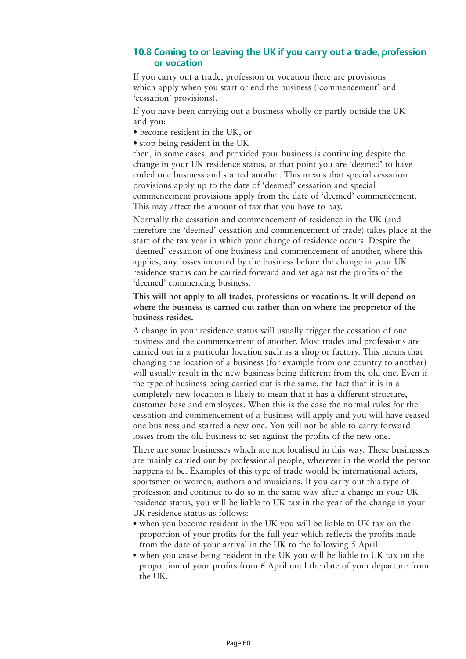#### **10.8 Coming to or leaving the UK if you carry out a trade, profession or vocation**

 If you carry out a trade, profession or vocation there are provisions which apply when you start or end the business ('commencement' and 'cessation' provisions).

 If you have been carrying out a business wholly or partly outside the UK and you:

- become resident in the UK, or
- stop being resident in the UK

 then, in some cases, and provided your business is continuing despite the change in your UK residence status, at that point you are 'deemed' to have ended one business and started another. This means that special cessation provisions apply up to the date of 'deemed' cessation and special commencement provisions apply from the date of 'deemed' commencement. This may affect the amount of tax that you have to pay.

 Normally the cessation and commencement of residence in the UK (and therefore the 'deemed' cessation and commencement of trade) takes place at the start of the tax year in which your change of residence occurs. Despite the 'deemed' cessation of one business and commencement of another, where this applies, any losses incurred by the business before the change in your UK residence status can be carried forward and set against the profits of the 'deemed' commencing business.

 **This will not apply to all trades, professions or vocations. It will depend on where the business is carried out rather than on where the proprietor of the business resides.**

 A change in your residence status will usually trigger the cessation of one business and the commencement of another. Most trades and professions are carried out in a particular location such as a shop or factory. This means that changing the location of a business (for example from one country to another) will usually result in the new business being different from the old one. Even if the type of business being carried out is the same, the fact that it is in a completely new location is likely to mean that it has a different structure, customer base and employees. When this is the case the normal rules for the cessation and commencement of a business will apply and you will have ceased one business and started a new one. You will not be able to carry forward losses from the old business to set against the profits of the new one.

 There are some businesses which are not localised in this way. These businesses are mainly carried out by professional people, wherever in the world the person happens to be. Examples of this type of trade would be international actors, sportsmen or women, authors and musicians. If you carry out this type of profession and continue to do so in the same way after a change in your UK residence status, you will be liable to UK tax in the year of the change in your UK residence status as follows:

- when you become resident in the UK you will be liable to UK tax on the proportion of your profits for the full year which reflects the profits made from the date of your arrival in the UK to the following 5 April
- • when you cease being resident in the UK you will be liable to UK tax on the proportion of your profits from 6 April until the date of your departure from the UK.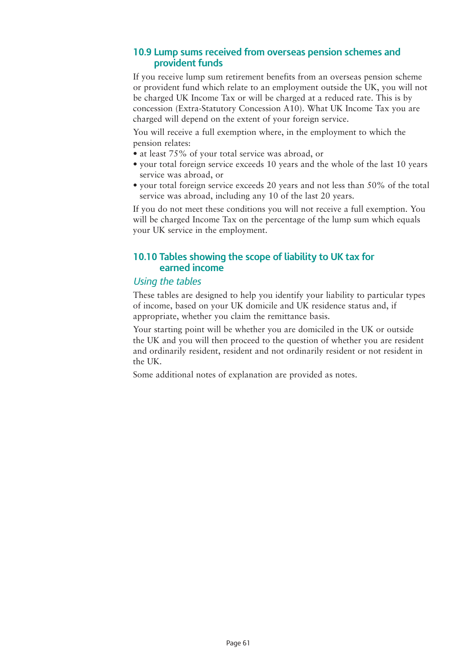## **10.9 Lump sums received from overseas pension schemes and provident funds**

 If you receive lump sum retirement benefits from an overseas pension scheme or provident fund which relate to an employment outside the UK, you will not be charged UK Income Tax or will be charged at a reduced rate. This is by concession (Extra-Statutory Concession A10). What UK Income Tax you are charged will depend on the extent of your foreign service.

 You will receive a full exemption where, in the employment to which the pension relates:

- at least 75% of your total service was abroad, or
- your total foreign service exceeds 10 years and the whole of the last 10 years service was abroad, or
- service was abroad, including any 10 of the last 20 years. • your total foreign service exceeds 20 years and not less than 50% of the total

 If you do not meet these conditions you will not receive a full exemption. You will be charged Income Tax on the percentage of the lump sum which equals your UK service in the employment.

# **10.10 Tables showing the scope of liability to UK tax for earned income**

# *Using the tables*

 These tables are designed to help you identify your liability to particular types of income, based on your UK domicile and UK residence status and, if appropriate, whether you claim the remittance basis.

 Your starting point will be whether you are domiciled in the UK or outside the UK and you will then proceed to the question of whether you are resident and ordinarily resident, resident and not ordinarily resident or not resident in the UK.

Some additional notes of explanation are provided as notes.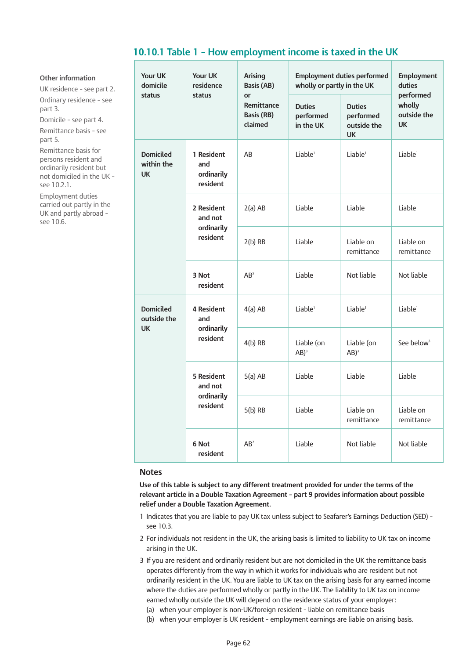# **10.10.1 Table 1 – How employment income is taxed in the UK**

#### **Other information**

 UK residence – see part 2. Ordinary residence – see part 3.

 Domicile – see part 4. Remittance basis – see part 5.

 Remittance basis for persons resident and ordinarily resident but not domiciled in the UK – see 10.2.1.

 carried out partly in the UK and partly abroad – Employment duties see 10.6.

| Your UK<br>domicile                                                                                                                            | Your UK<br>residence                        | Arising<br><b>Basis (AB)</b><br>or<br>Remittance<br><b>Basis (RB)</b><br>claimed | <b>Employment duties performed</b><br>wholly or partly in the UK |                                                        | Employment<br>duties                            |
|------------------------------------------------------------------------------------------------------------------------------------------------|---------------------------------------------|----------------------------------------------------------------------------------|------------------------------------------------------------------|--------------------------------------------------------|-------------------------------------------------|
| status                                                                                                                                         | status                                      |                                                                                  | <b>Duties</b><br>performed<br>in the UK                          | <b>Duties</b><br>performed<br>outside the<br><b>UK</b> | performed<br>wholly<br>outside the<br><b>UK</b> |
| <b>Domiciled</b><br>within the<br><b>UK</b>                                                                                                    | 1 Resident<br>and<br>ordinarily<br>resident | AB                                                                               | Liable <sup>1</sup>                                              | Liable <sup>1</sup>                                    | Liable <sup>1</sup>                             |
|                                                                                                                                                | 2 Resident<br>and not                       | $2(a)$ AB                                                                        | Liable                                                           | Liable                                                 | Liable                                          |
| ordinarily<br>resident                                                                                                                         | $2(b)$ RB                                   | Liable                                                                           | Liable on<br>remittance                                          | Liable on<br>remittance                                |                                                 |
|                                                                                                                                                | 3 Not<br>resident                           | $AB^2$                                                                           | Liable                                                           | Not liable                                             | Not liable                                      |
| <b>Domiciled</b><br>4 Resident<br>outside the<br>and<br><b>UK</b><br>ordinarily<br>resident<br>5 Resident<br>and not<br>ordinarily<br>resident | $4(a)$ AB                                   | Liable <sup>1</sup>                                                              | Liable <sup>1</sup>                                              | Liable <sup>1</sup>                                    |                                                 |
|                                                                                                                                                | $4(b)$ RB                                   | Liable (on<br>$AB)^3$                                                            | Liable (on<br>$AB)^3$                                            | See below <sup>3</sup>                                 |                                                 |
|                                                                                                                                                | $5(a)$ AB                                   | Liable                                                                           | Liable                                                           | Liable                                                 |                                                 |
|                                                                                                                                                |                                             | $5(b)$ RB                                                                        | Liable                                                           | Liable on<br>remittance                                | Liable on<br>remittance                         |
|                                                                                                                                                | 6 Not<br>resident                           | AB <sup>2</sup>                                                                  | Liable                                                           | Not liable                                             | Not liable                                      |

#### **Notes**

Use of this table is subject to any different treatment provided for under the terms of the relevant article in a Double Taxation Agreement – part 9 provides information about possible  **relief under a Double Taxation Agreement.**

- 1 Indicates that you are liable to pay UK tax unless subject to Seafarer's Earnings Deduction (SED) see 10.3.
- 2 For individuals not resident in the UK, the arising basis is limited to liability to UK tax on income arising in the UK.
- 3 If you are resident and ordinarily resident but are not domiciled in the UK the remittance basis operates differently from the way in which it works for individuals who are resident but not ordinarily resident in the UK. You are liable to UK tax on the arising basis for any earned income where the duties are performed wholly or partly in the UK. The liability to UK tax on income earned wholly outside the UK will depend on the residence status of your employer:
	- (a) when your employer is non-UK/foreign resident liable on remittance basis
	- (b) when your employer is UK resident employment earnings are liable on arising basis.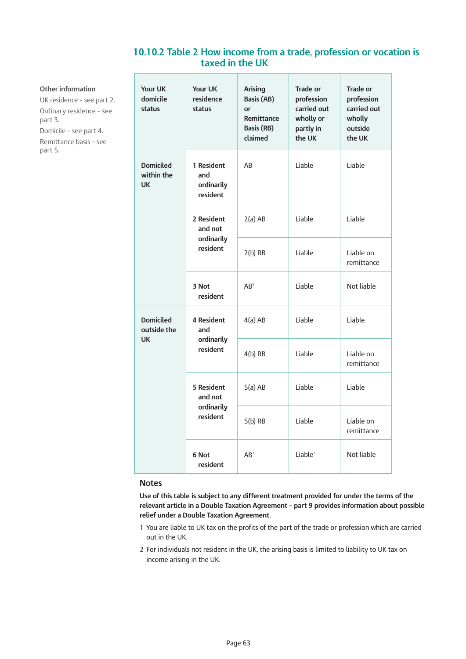# **10.10.2 Table 2 How income from a trade, profession or vocation is taxed in the UK**

<u> Tanzania (Tanzania ) da Ba</u>

#### **Other information**

 UK residence – see part 2. Ordinary residence – see part 3.

Domicile – see part 4.

 Remittance basis – see part 5.

| Your UK<br>domicile<br>status                                                               | Your UK<br>residence<br>status              | Arising<br><b>Basis (AB)</b><br>or<br>Remittance<br><b>Basis (RB)</b><br>claimed | <b>Trade or</b><br>profession<br>carried out<br>wholly or<br>partly in<br>the UK | Trade or<br>profession<br>carried out<br>wholly<br>outside<br>the UK |
|---------------------------------------------------------------------------------------------|---------------------------------------------|----------------------------------------------------------------------------------|----------------------------------------------------------------------------------|----------------------------------------------------------------------|
| <b>Domiciled</b><br>within the<br><b>UK</b>                                                 | 1 Resident<br>and<br>ordinarily<br>resident | AB                                                                               | Liable                                                                           | Liable                                                               |
|                                                                                             | 2 Resident<br>and not                       | $2(a)$ AB                                                                        | Liable                                                                           | Liable                                                               |
|                                                                                             | ordinarily<br>resident                      | $2(b)$ RB                                                                        | Liable                                                                           | Liable on<br>remittance                                              |
|                                                                                             | 3 Not<br>resident                           | AB <sup>2</sup>                                                                  | Liable                                                                           | Not liable                                                           |
| <b>Domiciled</b><br>4 Resident<br>outside the<br>and<br>ordinarily<br><b>UK</b><br>resident | $4(a)$ AB                                   | Liable                                                                           | Liable                                                                           |                                                                      |
|                                                                                             |                                             | $4(b)$ RB                                                                        | Liable                                                                           | Liable on<br>remittance                                              |
|                                                                                             | <b>5 Resident</b><br>and not                | $5(a)$ AB                                                                        | Liable                                                                           | Liable                                                               |
| resident                                                                                    | ordinarily                                  | $5(b)$ RB                                                                        | Liable                                                                           | Liable on<br>remittance                                              |
|                                                                                             | 6 Not<br>resident                           | AB <sup>2</sup>                                                                  | Liable <sup>1</sup>                                                              | Not liable                                                           |

#### **Notes**

Use of this table is subject to any different treatment provided for under the terms of the relevant article in a Double Taxation Agreement - part 9 provides information about possible  **relief under a Double Taxation Agreement.**

- 1 You are liable to UK tax on the profits of the part of the trade or profession which are carried out in the UK.
- 2 For individuals not resident in the UK, the arising basis is limited to liability to UK tax on income arising in the UK.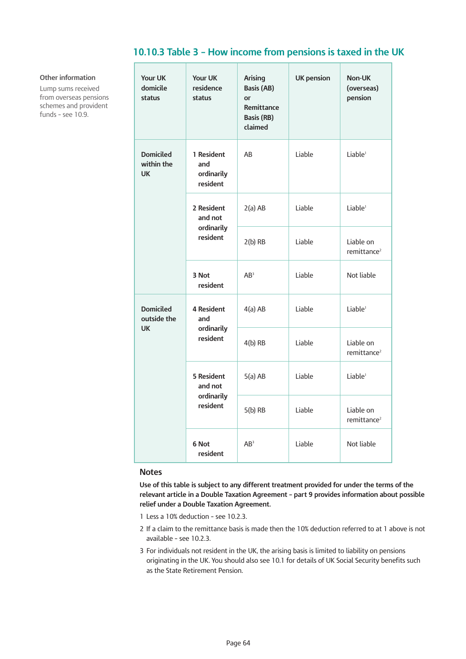# **10.10.3 Table 3 – How income from pensions is taxed in the UK**

#### **Other information**

 Lump sums received from overseas pensions schemes and provident funds – see 10.9.

 $\blacksquare$ 

| Your UK<br>domicile<br>status               | Your UK<br>residence<br>status              | Arising<br><b>Basis (AB)</b><br><b>or</b><br>Remittance<br><b>Basis (RB)</b><br>claimed | <b>UK pension</b>                    | <b>Non-UK</b><br>(overseas)<br>pension |
|---------------------------------------------|---------------------------------------------|-----------------------------------------------------------------------------------------|--------------------------------------|----------------------------------------|
| <b>Domiciled</b><br>within the<br><b>UK</b> | 1 Resident<br>and<br>ordinarily<br>resident | AB                                                                                      | Liable                               | Liable <sup>1</sup>                    |
|                                             | 2 Resident<br>and not                       | $2(a)$ AB                                                                               | Liable                               | Liable <sup>1</sup>                    |
|                                             | ordinarily<br>resident                      | $2(b)$ RB                                                                               | Liable                               | Liable on<br>remittance <sup>2</sup>   |
|                                             | 3 Not<br>resident                           | $AB^3$                                                                                  | Liable                               | Not liable                             |
| <b>Domiciled</b><br>outside the             | 4 Resident<br>and                           | $4(a)$ AB                                                                               | Liable                               | Liable <sup>1</sup>                    |
| ordinarily<br><b>UK</b><br>resident         | $4(b)$ RB                                   | Liable                                                                                  | Liable on<br>remittance <sup>2</sup> |                                        |
|                                             | 5 Resident<br>and not                       | $5(a)$ AB                                                                               | Liable                               | Liable <sup>1</sup>                    |
|                                             | ordinarily<br>resident                      | $5(b)$ RB                                                                               | Liable                               | Liable on<br>remittance <sup>2</sup>   |
|                                             | 6 Not<br>resident                           | AB <sup>3</sup>                                                                         | Liable                               | Not liable                             |

#### **Notes**

Use of this table is subject to any different treatment provided for under the terms of the relevant article in a Double Taxation Agreement – part 9 provides information about possible  **relief under a Double Taxation Agreement.**

- 1 Less a 10% deduction see 10.2.3.
- 2 If a claim to the remittance basis is made then the 10% deduction referred to at 1 above is not available – see 10.2.3.
- 3 For individuals not resident in the UK, the arising basis is limited to liability on pensions originating in the UK. You should also see 10.1 for details of UK Social Security benefits such as the State Retirement Pension.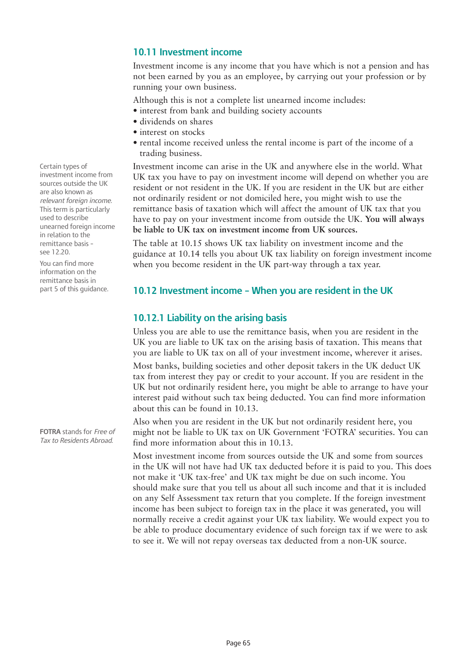#### **10.11 Investment income**

 Investment income is any income that you have which is not a pension and has not been earned by you as an employee, by carrying out your profession or by running your own business.

Although this is not a complete list unearned income includes:

- interest from bank and building society accounts
- dividends on shares
- interest on stocks
- • rental income received unless the rental income is part of the income of a trading business.

 Investment income can arise in the UK and anywhere else in the world. What UK tax you have to pay on investment income will depend on whether you are resident or not resident in the UK. If you are resident in the UK but are either not ordinarily resident or not domiciled here, you might wish to use the remittance basis of taxation which will affect the amount of UK tax that you  have to pay on your investment income from outside the UK. **You will always be liable to UK tax on investment income from UK sources.**

 The table at 10.15 shows UK tax liability on investment income and the guidance at 10.14 tells you about UK tax liability on foreign investment income when you become resident in the UK part-way through a tax year.

#### **10.12 Investment income – When you are resident in the UK**

#### **10.12.1 Liability on the arising basis**

 Unless you are able to use the remittance basis, when you are resident in the UK you are liable to UK tax on the arising basis of taxation. This means that you are liable to UK tax on all of your investment income, wherever it arises.

 Most banks, building societies and other deposit takers in the UK deduct UK tax from interest they pay or credit to your account. If you are resident in the UK but not ordinarily resident here, you might be able to arrange to have your interest paid without such tax being deducted. You can find more information about this can be found in 10.13.

 Also when you are resident in the UK but not ordinarily resident here, you might not be liable to UK tax on UK Government 'FOTRA' securities. You can find more information about this in 10.13.

 Most investment income from sources outside the UK and some from sources in the UK will not have had UK tax deducted before it is paid to you. This does not make it 'UK tax-free' and UK tax might be due on such income. You should make sure that you tell us about all such income and that it is included on any Self Assessment tax return that you complete. If the foreign investment income has been subject to foreign tax in the place it was generated, you will normally receive a credit against your UK tax liability. We would expect you to be able to produce documentary evidence of such foreign tax if we were to ask to see it. We will not repay overseas tax deducted from a non-UK source.

 Certain types of investment income from sources outside the UK are also known as  *relevant foreign income*. This term is particularly used to describe unearned foreign income in relation to the remittance basis – see 12.20.

 You can find more information on the remittance basis in part 5 of this guidance.

 **FOTRA** stands for *Free of Tax to Residents Abroad*.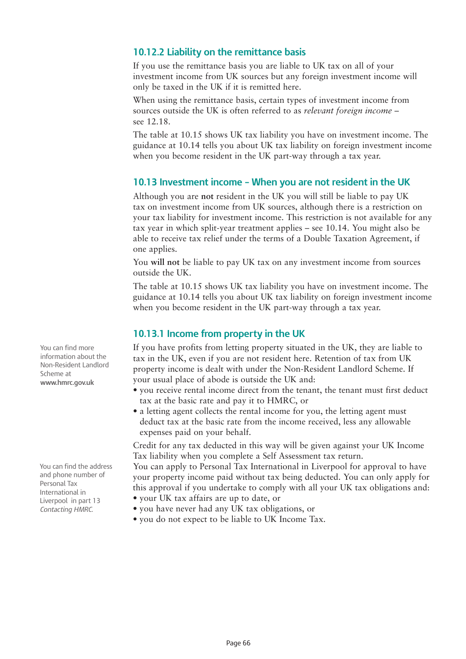# **10.12.2 Liability on the remittance basis**

 If you use the remittance basis you are liable to UK tax on all of your investment income from UK sources but any foreign investment income will only be taxed in the UK if it is remitted here.

 When using the remittance basis, certain types of investment income from  sources outside the UK is often referred to as *relevant foreign income* – see 12.18.

 The table at 10.15 shows UK tax liability you have on investment income. The guidance at 10.14 tells you about UK tax liability on foreign investment income when you become resident in the UK part-way through a tax year.

#### **10.13 Investment income – When you are not resident in the UK**

 Although you are **not** resident in the UK you will still be liable to pay UK tax on investment income from UK sources, although there is a restriction on your tax liability for investment income. This restriction is not available for any tax year in which split-year treatment applies – see 10.14. You might also be able to receive tax relief under the terms of a Double Taxation Agreement, if one applies.

 You **will not** be liable to pay UK tax on any investment income from sources outside the UK.

 The table at 10.15 shows UK tax liability you have on investment income. The guidance at 10.14 tells you about UK tax liability on foreign investment income when you become resident in the UK part-way through a tax year.

## **10.13.1 Income from property in the UK**

 If you have profits from letting property situated in the UK, they are liable to tax in the UK, even if you are not resident here. Retention of tax from UK property income is dealt with under the Non-Resident Landlord Scheme. If your usual place of abode is outside the UK and:

- you receive rental income direct from the tenant, the tenant must first deduct tax at the basic rate and pay it to HMRC, or
- a letting agent collects the rental income for you, the letting agent must deduct tax at the basic rate from the income received, less any allowable expenses paid on your behalf.

 Credit for any tax deducted in this way will be given against your UK Income Tax liability when you complete a Self Assessment tax return.

 You can apply to Personal Tax International in Liverpool for approval to have your property income paid without tax being deducted. You can only apply for this approval if you undertake to comply with all your UK tax obligations and: • your UK tax affairs are up to date, or

- 
- you have never had any UK tax obligations, or
- you do not expect to be liable to UK Income Tax.

 You can find more information about the Non-Resident Landlord Scheme at **www.hmrc.gov.uk**

 You can find the address and phone number of International in Liverpool in part 13 Personal Tax *Contacting HMRC*.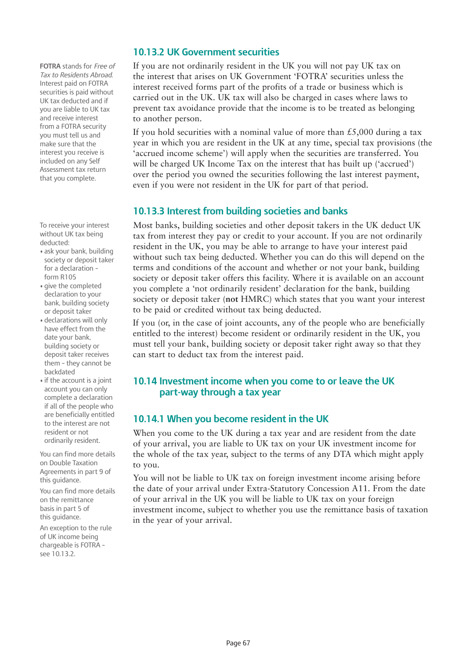**FOTRA** stands for *Free of Tax to Residents Abroad*. Interest paid on FOTRA securities is paid without UK tax deducted and if you are liable to UK tax and receive interest from a FOTRA security you must tell us and make sure that the interest you receive is included on any Self Assessment tax return that you complete.

 To receive your interest without UK tax being deducted:

- ask your bank, building society or deposit taker for a declaration – form R105
- give the completed declaration to your bank, building society or deposit taker
- declarations will only have effect from the date your bank, building society or deposit taker receives them – they cannot be backdated
- if the account is a joint account you can only complete a declaration if all of the people who to the interest are not resident or not are beneficially entitled ordinarily resident.

 You can find more details on Double Taxation Agreements in part 9 of this guidance.

 You can find more details on the remittance basis in part 5 of this guidance.

 An exception to the rule of UK income being chargeable is FOTRA – see 10.13.2.

# **10.13.2 UK Government securities**

 If you are not ordinarily resident in the UK you will not pay UK tax on the interest that arises on UK Government 'FOTRA' securities unless the interest received forms part of the profits of a trade or business which is carried out in the UK. UK tax will also be charged in cases where laws to prevent tax avoidance provide that the income is to be treated as belonging to another person.

If you hold securities with a nominal value of more than  $£5,000$  during a tax year in which you are resident in the UK at any time, special tax provisions (the 'accrued income scheme') will apply when the securities are transferred. You will be charged UK Income Tax on the interest that has built up ('accrued') over the period you owned the securities following the last interest payment, even if you were not resident in the UK for part of that period.

# **10.13.3 Interest from building societies and banks**

 Most banks, building societies and other deposit takers in the UK deduct UK tax from interest they pay or credit to your account. If you are not ordinarily resident in the UK, you may be able to arrange to have your interest paid without such tax being deducted. Whether you can do this will depend on the terms and conditions of the account and whether or not your bank, building society or deposit taker offers this facility. Where it is available on an account you complete a 'not ordinarily resident' declaration for the bank, building society or deposit taker (**not** HMRC) which states that you want your interest to be paid or credited without tax being deducted.

 If you (or, in the case of joint accounts, any of the people who are beneficially entitled to the interest) become resident or ordinarily resident in the UK, you must tell your bank, building society or deposit taker right away so that they can start to deduct tax from the interest paid.

# **10.14 Investment income when you come to or leave the UK partway through a tax year**

#### **10.14.1 When you become resident in the UK**

 When you come to the UK during a tax year and are resident from the date of your arrival, you are liable to UK tax on your UK investment income for the whole of the tax year, subject to the terms of any DTA which might apply to you.

 You will not be liable to UK tax on foreign investment income arising before the date of your arrival under Extra-Statutory Concession A11. From the date of your arrival in the UK you will be liable to UK tax on your foreign investment income, subject to whether you use the remittance basis of taxation in the year of your arrival.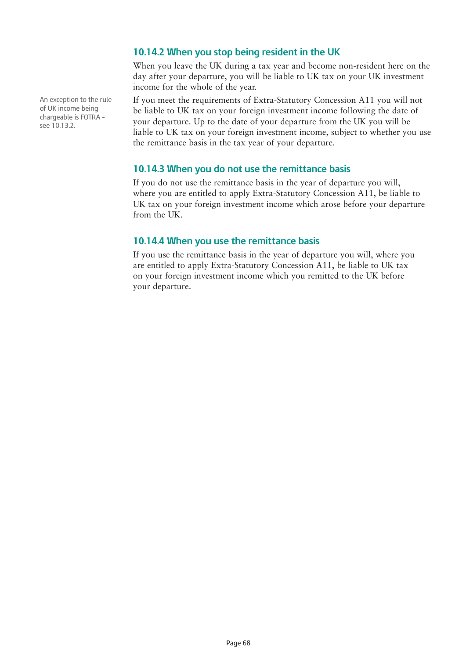#### **10.14.2 When you stop being resident in the UK**

When you leave the UK during a tax year and become non-resident here on the day after your departure, you will be liable to UK tax on your UK investment income for the whole of the year.

If you meet the requirements of Extra-Statutory Concession A11 you will not be liable to UK tax on your foreign investment income following the date of your departure. Up to the date of your departure from the UK you will be liable to UK tax on your foreign investment income, subject to whether you use the remittance basis in the tax year of your departure.

# **10.14.3 When you do not use the remittance basis**

 If you do not use the remittance basis in the year of departure you will, where you are entitled to apply Extra-Statutory Concession A11, be liable to UK tax on your foreign investment income which arose before your departure from the UK.

#### **10.14.4 When you use the remittance basis**

 If you use the remittance basis in the year of departure you will, where you are entitled to apply Extra-Statutory Concession A11, be liable to UK tax on your foreign investment income which you remitted to the UK before your departure.

 An exception to the rule of UK income being chargeable is FOTRA – see 10.13.2.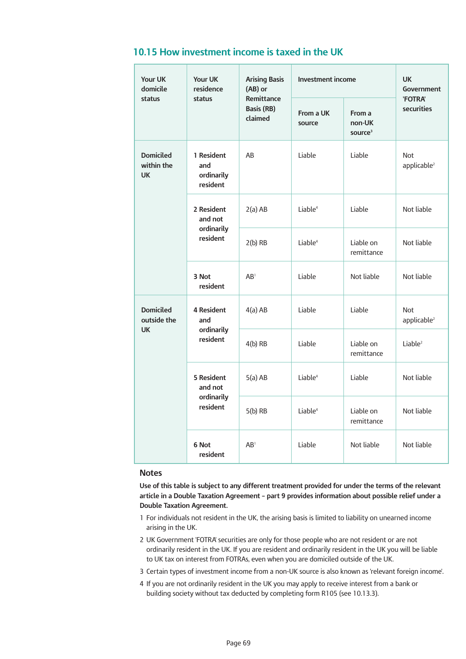| Your UK<br>domicile                                                                                                                            | Your UK<br>residence                        | <b>Arising Basis</b><br>(AB) or<br>Remittance<br><b>Basis (RB)</b><br>claimed | <b>Investment income</b> |                                         | <b>UK</b><br><b>Government</b>        |
|------------------------------------------------------------------------------------------------------------------------------------------------|---------------------------------------------|-------------------------------------------------------------------------------|--------------------------|-----------------------------------------|---------------------------------------|
| status                                                                                                                                         | status                                      |                                                                               | From a UK<br>source      | From a<br>non-UK<br>source <sup>3</sup> | 'FOTRA'<br>securities                 |
| <b>Domiciled</b><br>within the<br><b>UK</b>                                                                                                    | 1 Resident<br>and<br>ordinarily<br>resident | AB                                                                            | Liable                   | Liable                                  | <b>Not</b><br>applicable <sup>2</sup> |
|                                                                                                                                                | 2 Resident<br>and not                       | $2(a)$ AB                                                                     | Liable <sup>4</sup>      | Liable                                  | Not liable                            |
| ordinarily<br>resident                                                                                                                         | $2(b)$ RB                                   | Liable <sup>4</sup>                                                           | Liable on<br>remittance  | Not liable                              |                                       |
|                                                                                                                                                | 3 Not<br>resident                           | AB <sup>1</sup>                                                               | Liable                   | Not liable                              | Not liable                            |
| <b>Domiciled</b><br>4 Resident<br>outside the<br>and<br><b>UK</b><br>ordinarily<br>resident<br>5 Resident<br>and not<br>ordinarily<br>resident | $4(a)$ AB                                   | Liable                                                                        | Liable                   | <b>Not</b><br>applicable <sup>2</sup>   |                                       |
|                                                                                                                                                | $4(b)$ RB                                   | Liable                                                                        | Liable on<br>remittance  | Liable <sup>2</sup>                     |                                       |
|                                                                                                                                                | $5(a)$ AB                                   | Liable <sup>4</sup>                                                           | Liable                   | Not liable                              |                                       |
|                                                                                                                                                |                                             | $5(b)$ RB                                                                     | $l$ iable <sup>4</sup>   | Liable on<br>remittance                 | Not liable                            |
|                                                                                                                                                | 6 Not<br>resident                           | AB <sup>1</sup>                                                               | Liable                   | Not liable                              | Not liable                            |

#### **10.15 How investment income is taxed in the UK**

#### **Notes**

Use of this table is subject to any different treatment provided for under the terms of the relevant article in a Double Taxation Agreement - part 9 provides information about possible relief under a  **Double Taxation Agreement.**

- 1 For individuals not resident in the UK, the arising basis is limited to liability on unearned income arising in the UK.
- 2 UK Government 'FOTRA' securities are only for those people who are not resident or are not ordinarily resident in the UK. If you are resident and ordinarily resident in the UK you will be liable to UK tax on interest from FOTRAs, even when you are domiciled outside of the UK.

3 Certain types of investment income from a non-UK source is also known as 'relevant foreign income'.

 4 If you are not ordinarily resident in the UK you may apply to receive interest from a bank or building society without tax deducted by completing form R105 (see 10.13.3).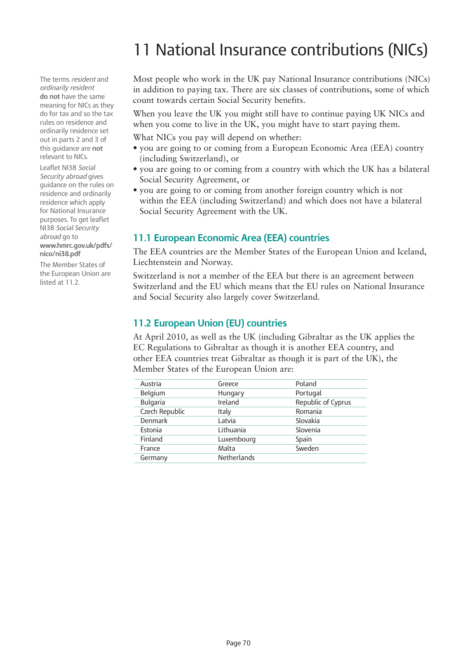The terms *resident* and **do not** have the same meaning for NICs as they do for tax and so the tax rules on residence and ordinarily residence set out in parts 2 and 3 of this guidance are **not** relevant to NICs. *ordinarily resident*

 Leaflet NI38 *Social* guidance on the rules on residence and ordinarily residence which apply for National Insurance purposes. To get leaflet *Security abroad* gives NI38 *Social Security abroad* go to **www.hmrc.gov.uk/pdfs/ nico/ni38.pdf**

 The Member States of the European Union are listed at 11.2.

# 11 National Insurance contributions (NICs)

 Most people who work in the UK pay National Insurance contributions (NICs) in addition to paying tax. There are six classes of contributions, some of which count towards certain Social Security benefits.

 When you leave the UK you might still have to continue paying UK NICs and when you come to live in the UK, you might have to start paying them.

What NICs you pay will depend on whether:

- you are going to or coming from a European Economic Area (EEA) country (including Switzerland), or
- you are going to or coming from a country with which the UK has a bilateral Social Security Agreement, or
- • you are going to or coming from another foreign country which is not within the EEA (including Switzerland) and which does not have a bilateral Social Security Agreement with the UK.

# **11.1 European Economic Area (EEA) countries**

 The EEA countries are the Member States of the European Union and Iceland, Liechtenstein and Norway.

 Switzerland is not a member of the EEA but there is an agreement between Switzerland and the EU which means that the EU rules on National Insurance and Social Security also largely cover Switzerland.

# **11.2 European Union (EU) countries**

 At April 2010, as well as the UK (including Gibraltar as the UK applies the EC Regulations to Gibraltar as though it is another EEA country, and other EEA countries treat Gibraltar as though it is part of the UK), the Member States of the European Union are:

| Austria        | Greece             | Poland             |
|----------------|--------------------|--------------------|
| Belgium        | Hungary            | Portugal           |
| Bulgaria       | Ireland            | Republic of Cyprus |
| Czech Republic | Italy              | Romania            |
| Denmark        | Latvia             | Slovakia           |
| Estonia        | Lithuania          | Slovenia           |
| Finland        | Luxembourg         | Spain              |
| France         | Malta              | Sweden             |
| Germany        | <b>Netherlands</b> |                    |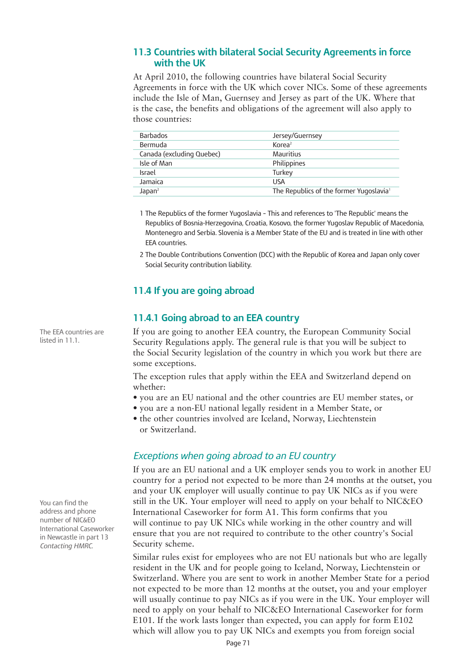## **11.3 Countries with bilateral Social Security Agreements in force with the UK**

 At April 2010, the following countries have bilateral Social Security Agreements in force with the UK which cover NICs. Some of these agreements include the Isle of Man, Guernsey and Jersey as part of the UK. Where that is the case, the benefits and obligations of the agreement will also apply to those countries:

| <b>Barbados</b>           | Jersey/Guernsey                                     |
|---------------------------|-----------------------------------------------------|
| Bermuda                   | $K$ orea <sup>2</sup>                               |
| Canada (excluding Quebec) | Mauritius                                           |
| Isle of Man               | Philippines                                         |
| <b>Israel</b>             | Turkey                                              |
| Jamaica                   | USA                                                 |
| Japan <sup>2</sup>        | The Republics of the former Yugoslavia <sup>1</sup> |

 1 The Republics of the former Yugoslavia – This and references to 'The Republic' means the Republics of Bosnia-Herzegovina, Croatia, Kosovo, the former Yugoslav Republic of Macedonia, Montenegro and Serbia. Slovenia is a Member State of the EU and is treated in line with other EEA countries.

 2 The Double Contributions Convention (DCC) with the Republic of Korea and Japan only cover Social Security contribution liability.

# **11.4 If you are going abroad**

#### **11.4.1 Going abroad to an EEA country**

 If you are going to another EEA country, the European Community Social Security Regulations apply. The general rule is that you will be subject to the Social Security legislation of the country in which you work but there are some exceptions.

 The exception rules that apply within the EEA and Switzerland depend on whether:

- you are an EU national and the other countries are EU member states, or
- you are a nonEU national legally resident in a Member State, or
- • the other countries involved are Iceland, Norway, Liechtenstein or Switzerland.

#### *Exceptions when going abroad to an EU country*

 If you are an EU national and a UK employer sends you to work in another EU country for a period not expected to be more than 24 months at the outset, you and your UK employer will usually continue to pay UK NICs as if you were still in the UK. Your employer will need to apply on your behalf to NIC&EO International Caseworker for form A1. This form confirms that you will continue to pay UK NICs while working in the other country and will ensure that you are not required to contribute to the other country's Social Security scheme.

 Similar rules exist for employees who are not EU nationals but who are legally resident in the UK and for people going to Iceland, Norway, Liechtenstein or Switzerland. Where you are sent to work in another Member State for a period not expected to be more than 12 months at the outset, you and your employer will usually continue to pay NICs as if you were in the UK. Your employer will need to apply on your behalf to NIC&EO International Caseworker for form E101. If the work lasts longer than expected, you can apply for form E102 which will allow you to pay UK NICs and exempts you from foreign social

 The EEA countries are listed in 11.1.

 You can find the address and phone number of NIC&EO in Newcastle in part 13 International Caseworker *Contacting HMRC*.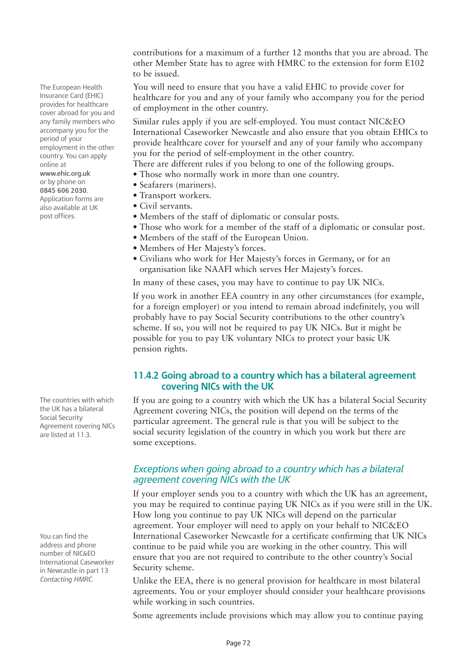contributions for a maximum of a further 12 months that you are abroad. The other Member State has to agree with HMRC to the extension for form E102 to be issued.

 You will need to ensure that you have a valid EHIC to provide cover for healthcare for you and any of your family who accompany you for the period of employment in the other country.

Similar rules apply if you are self-employed. You must contact NIC&EO International Caseworker Newcastle and also ensure that you obtain EHICs to provide healthcare cover for yourself and any of your family who accompany you for the period of self-employment in the other country.

There are different rules if you belong to one of the following groups.

- Those who normally work in more than one country.
- Seafarers (mariners).
- Transport workers.
- Civil servants.
- Members of the staff of diplomatic or consular posts.
- Those who work for a member of the staff of a diplomatic or consular post.
- Members of the staff of the European Union.
- Members of Her Majesty's forces.
- Civilians who work for Her Majesty's forces in Germany, or for an organisation like NAAFI which serves Her Majesty's forces.

In many of these cases, you may have to continue to pay UK NICs.

 If you work in another EEA country in any other circumstances (for example, for a foreign employer) or you intend to remain abroad indefinitely, you will probably have to pay Social Security contributions to the other country's scheme. If so, you will not be required to pay UK NICs. But it might be possible for you to pay UK voluntary NICs to protect your basic UK pension rights.

# **11.4.2 Going abroad to a country which has a bilateral agreement covering NICs with the UK**

 If you are going to a country with which the UK has a bilateral Social Security Agreement covering NICs, the position will depend on the terms of the particular agreement. The general rule is that you will be subject to the social security legislation of the country in which you work but there are some exceptions.

# *Exceptions when going abroad to a country which has a bilateral agreement covering NICs with the UK*

 If your employer sends you to a country with which the UK has an agreement, you may be required to continue paying UK NICs as if you were still in the UK. How long you continue to pay UK NICs will depend on the particular agreement. Your employer will need to apply on your behalf to NIC&EO International Caseworker Newcastle for a certificate confirming that UK NICs continue to be paid while you are working in the other country. This will ensure that you are not required to contribute to the other country's Social Security scheme.

 Unlike the EEA, there is no general provision for healthcare in most bilateral agreements. You or your employer should consider your healthcare provisions while working in such countries.

Some agreements include provisions which may allow you to continue paying

 The European Health Insurance Card (EHIC) provides for healthcare cover abroad for you and any family members who accompany you for the period of your employment in the other country. You can apply or by phone on  **0845 606 2030**. Application forms are also available at UK online at **www.ehic.org.uk** post offices.

 The countries with which the UK has a bilateral Agreement covering NICs are listed at 11.3. Social Security

 You can find the address and phone number of NIC&EO in Newcastle in part 13 International Caseworker *Contacting HMRC*.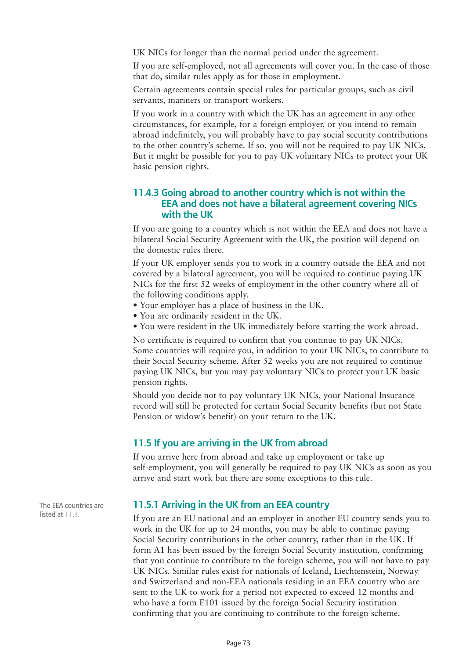UK NICs for longer than the normal period under the agreement.

If you are self-employed, not all agreements will cover you. In the case of those that do, similar rules apply as for those in employment.

 Certain agreements contain special rules for particular groups, such as civil servants, mariners or transport workers.

 If you work in a country with which the UK has an agreement in any other circumstances, for example, for a foreign employer, or you intend to remain abroad indefinitely, you will probably have to pay social security contributions to the other country's scheme. If so, you will not be required to pay UK NICs. But it might be possible for you to pay UK voluntary NICs to protect your UK basic pension rights.

#### **11.4.3 Going abroad to another country which is not within the EEA and does not have a bilateral agreement covering NICs with the UK**

 If you are going to a country which is not within the EEA and does not have a bilateral Social Security Agreement with the UK, the position will depend on the domestic rules there.

 If your UK employer sends you to work in a country outside the EEA and not covered by a bilateral agreement, you will be required to continue paying UK NICs for the first 52 weeks of employment in the other country where all of the following conditions apply.

- Your employer has a place of business in the UK.
- You are ordinarily resident in the UK.
- You were resident in the UK immediately before starting the work abroad.

 No certificate is required to confirm that you continue to pay UK NICs. Some countries will require you, in addition to your UK NICs, to contribute to their Social Security scheme. After 52 weeks you are not required to continue paying UK NICs, but you may pay voluntary NICs to protect your UK basic pension rights.

 Should you decide not to pay voluntary UK NICs, your National Insurance record will still be protected for certain Social Security benefits (but not State Pension or widow's benefit) on your return to the UK.

#### **11.5 If you are arriving in the UK from abroad**

 If you arrive here from abroad and take up employment or take up self-employment, you will generally be required to pay UK NICs as soon as you arrive and start work but there are some exceptions to this rule.

#### **11.5.1 Arriving in the UK from an EEA country**

 If you are an EU national and an employer in another EU country sends you to work in the UK for up to 24 months, you may be able to continue paying Social Security contributions in the other country, rather than in the UK. If form A1 has been issued by the foreign Social Security institution, confirming that you continue to contribute to the foreign scheme, you will not have to pay UK NICs. Similar rules exist for nationals of Iceland, Liechtenstein, Norway and Switzerland and non-EEA nationals residing in an EEA country who are sent to the UK to work for a period not expected to exceed 12 months and who have a form E101 issued by the foreign Social Security institution confirming that you are continuing to contribute to the foreign scheme.

 The EEA countries are listed at 11.1.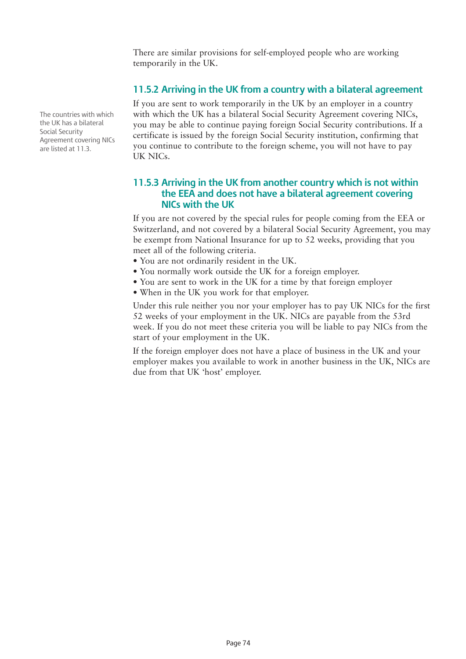There are similar provisions for self-employed people who are working temporarily in the UK.

#### **11.5.2 Arriving in the UK from a country with a bilateral agreement**

 If you are sent to work temporarily in the UK by an employer in a country with which the UK has a bilateral Social Security Agreement covering NICs, you may be able to continue paying foreign Social Security contributions. If a certificate is issued by the foreign Social Security institution, confirming that you continue to contribute to the foreign scheme, you will not have to pay UK NICs.

#### **11.5.3 Arriving in the UK from another country which is not within the EEA and does not have a bilateral agreement covering NICs with the UK**

 If you are not covered by the special rules for people coming from the EEA or Switzerland, and not covered by a bilateral Social Security Agreement, you may be exempt from National Insurance for up to 52 weeks, providing that you meet all of the following criteria.

- You are not ordinarily resident in the UK.
- You normally work outside the UK for a foreign employer.
- You are sent to work in the UK for a time by that foreign employer
- When in the UK you work for that employer.

 Under this rule neither you nor your employer has to pay UK NICs for the first 52 weeks of your employment in the UK. NICs are payable from the 53rd week. If you do not meet these criteria you will be liable to pay NICs from the start of your employment in the UK.

 If the foreign employer does not have a place of business in the UK and your employer makes you available to work in another business in the UK, NICs are due from that UK 'host' employer.

 The countries with which the UK has a bilateral Agreement covering NICs are listed at 11.3. Social Security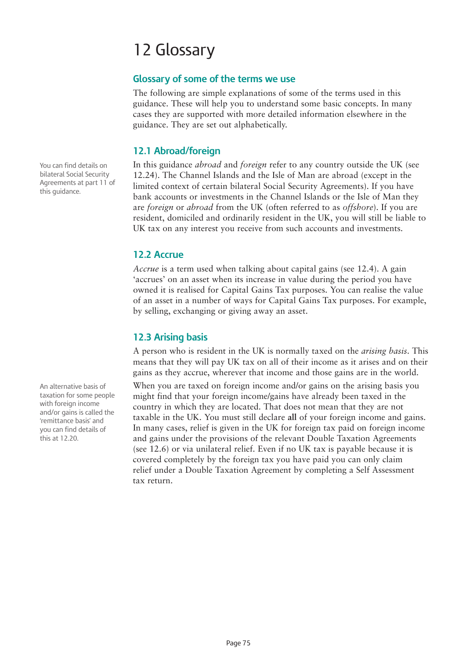# 12 Glossary

## **Glossary of some of the terms we use**

 The following are simple explanations of some of the terms used in this guidance. These will help you to understand some basic concepts. In many cases they are supported with more detailed information elsewhere in the guidance. They are set out alphabetically.

# **12.1 Abroad/foreign**

 In this guidance *abroad* and *foreign* refer to any country outside the UK (see 12.24). The Channel Islands and the Isle of Man are abroad (except in the limited context of certain bilateral Social Security Agreements). If you have bank accounts or investments in the Channel Islands or the Isle of Man they are *foreign* or *abroad* from the UK (often referred to as *offshore*). If you are resident, domiciled and ordinarily resident in the UK, you will still be liable to UK tax on any interest you receive from such accounts and investments.

## **12.2 Accrue**

 *Accrue* is a term used when talking about capital gains (see 12.4). A gain 'accrues' on an asset when its increase in value during the period you have owned it is realised for Capital Gains Tax purposes. You can realise the value of an asset in a number of ways for Capital Gains Tax purposes. For example, by selling, exchanging or giving away an asset.

# **12.3 Arising basis**

 A person who is resident in the UK is normally taxed on the *arising basis*. This means that they will pay UK tax on all of their income as it arises and on their gains as they accrue, wherever that income and those gains are in the world.

 When you are taxed on foreign income and/or gains on the arising basis you might find that your foreign income/gains have already been taxed in the country in which they are located. That does not mean that they are not taxable in the UK. You must still declare **all** of your foreign income and gains. In many cases, relief is given in the UK for foreign tax paid on foreign income and gains under the provisions of the relevant Double Taxation Agreements (see 12.6) or via unilateral relief. Even if no UK tax is payable because it is covered completely by the foreign tax you have paid you can only claim relief under a Double Taxation Agreement by completing a Self Assessment tax return.

 You can find details on bilateral Social Security Agreements at part 11 of this guidance.

 An alternative basis of taxation for some people with foreign income and/or gains is called the 'remittance basis' and you can find details of this at 12.20.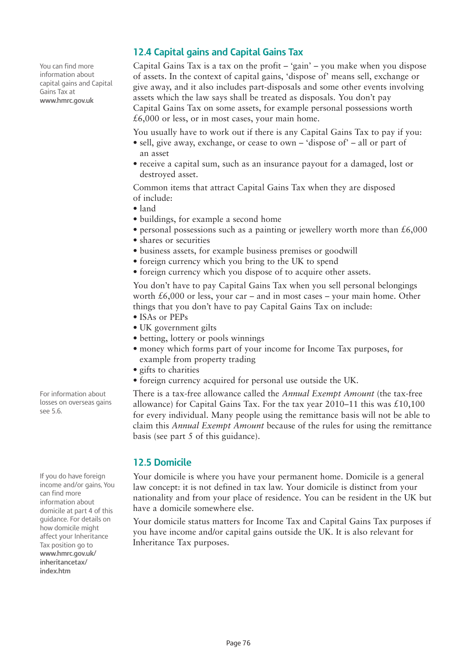You can find more capital gains and Capital Gains Tax at information about **www.hmrc.gov.uk**

#### **12.4 Capital gains and Capital Gains Tax**

 Capital Gains Tax is a tax on the profit – 'gain' – you make when you dispose of assets. In the context of capital gains, 'dispose of' means sell, exchange or give away, and it also includes part-disposals and some other events involving assets which the law says shall be treated as disposals. You don't pay Capital Gains Tax on some assets, for example personal possessions worth  $\pounds6,000$  or less, or in most cases, your main home.

You usually have to work out if there is any Capital Gains Tax to pay if you:

- • sell, give away, exchange, or cease to own 'dispose of' all or part of an asset
- • receive a capital sum, such as an insurance payout for a damaged, lost or destroyed asset.

 Common items that attract Capital Gains Tax when they are disposed of include:

- land
- buildings, for example a second home
- personal possessions such as a painting or jewellery worth more than  $£6,000$
- shares or securities
- business assets, for example business premises or goodwill
- foreign currency which you bring to the UK to spend
- foreign currency which you dispose of to acquire other assets.

 You don't have to pay Capital Gains Tax when you sell personal belongings worth  $\text{\pounds}6,000$  or less, your car – and in most cases – your main home. Other things that you don't have to pay Capital Gains Tax on include:

- ISAs or PEPs
- UK government gilts
- betting, lottery or pools winnings
- money which forms part of your income for Income Tax purposes, for example from property trading
- gifts to charities
- foreign currency acquired for personal use outside the UK.

*There is a tax-free allowance called the <i>Annual Exempt Amount* (the tax-free allowance) for Capital Gains Tax. For the tax year 2010–11 this was  $\text{\pounds}10,100$  for every individual. Many people using the remittance basis will not be able to  claim this *Annual Exempt Amount* because of the rules for using the remittance basis (see part 5 of this guidance).

#### **12.5 Domicile**

 Your domicile is where you have your permanent home. Domicile is a general law concept: it is not defined in tax law. Your domicile is distinct from your nationality and from your place of residence. You can be resident in the UK but have a domicile somewhere else.

 Your domicile status matters for Income Tax and Capital Gains Tax purposes if you have income and/or capital gains outside the UK. It is also relevant for Inheritance Tax purposes.

 losses on overseas gains For information about see 5.6.

 If you do have foreign income and/or gains, You can find more domicile at part 4 of this guidance. For details on how domicile might affect your Inheritance Tax position go to information about **www.hmrc.gov.uk/ inheritancetax/ index.htm**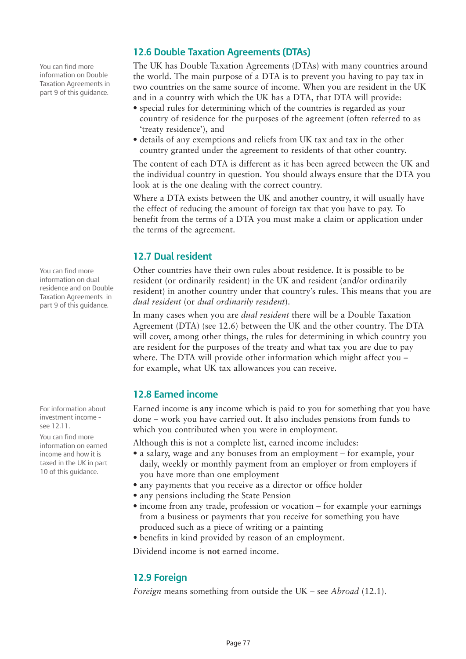You can find more information on Double part 9 of this guidance. Taxation Agreements in

 You can find more information on dual residence and on Double Taxation Agreements in part 9 of this guidance.

 investment income – For information about see 12.11.

 You can find more information on earned income and how it is taxed in the UK in part 10 of this guidance.

## **12.6 Double Taxation Agreements (DTAs)**

 The UK has Double Taxation Agreements (DTAs) with many countries around the world. The main purpose of a DTA is to prevent you having to pay tax in two countries on the same source of income. When you are resident in the UK and in a country with which the UK has a DTA, that DTA will provide:

- special rules for determining which of the countries is regarded as your country of residence for the purposes of the agreement (often referred to as 'treaty residence'), and
- • details of any exemptions and reliefs from UK tax and tax in the other country granted under the agreement to residents of that other country.

 The content of each DTA is different as it has been agreed between the UK and the individual country in question. You should always ensure that the DTA you look at is the one dealing with the correct country.

 Where a DTA exists between the UK and another country, it will usually have the effect of reducing the amount of foreign tax that you have to pay. To benefit from the terms of a DTA you must make a claim or application under the terms of the agreement.

# **12.7 Dual resident**

 Other countries have their own rules about residence. It is possible to be resident (or ordinarily resident) in the UK and resident (and/or ordinarily resident) in another country under that country's rules. This means that you are  *dual resident* (or *dual ordinarily resident*).

 In many cases when you are *dual resident* there will be a Double Taxation Agreement (DTA) (see 12.6) between the UK and the other country. The DTA will cover, among other things, the rules for determining in which country you are resident for the purposes of the treaty and what tax you are due to pay where. The DTA will provide other information which might affect you – for example, what UK tax allowances you can receive.

# **12.8 Earned income**

 Earned income is **any** income which is paid to you for something that you have done – work you have carried out. It also includes pensions from funds to which you contributed when you were in employment.

Although this is not a complete list, earned income includes:

- a salary, wage and any bonuses from an employment for example, your daily, weekly or monthly payment from an employer or from employers if you have more than one employment
- any payments that you receive as a director or office holder
- any pensions including the State Pension
- income from any trade, profession or vocation for example your earnings from a business or payments that you receive for something you have produced such as a piece of writing or a painting
- benefits in kind provided by reason of an employment.

Dividend income is **not** earned income.

## **12.9 Foreign**

*Foreign* means something from outside the UK – see *Abroad* (12.1).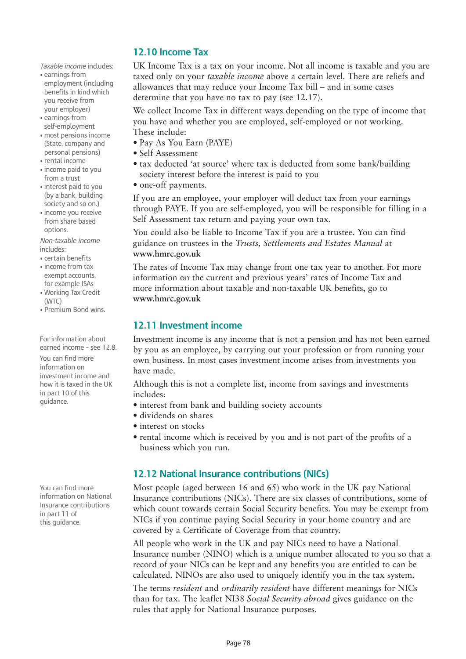*Taxable income* includes:

- benefits in kind which you receive from • earnings from employment (including your employer)
- earnings from self-employment
- most pensions income (State, company and personal pensions)
- rental income
- income paid to you from a trust
- • interest paid to you (by a bank, building society and so on.)
- income you receive from share based options.

*Nontaxable income* includes:

- certain benefits
- income from tax exempt accounts, for example ISAs
- Working Tax Credit (WTC)
- Premium Bond wins.

 earned income – see 12.8. You can find more investment income and how it is taxed in the UK in part 10 of this For information about information on guidance.

 You can find more information on National in part 11 of Insurance contributions this guidance.

## **12.10 Income Tax**

 UK Income Tax is a tax on your income. Not all income is taxable and you are taxed only on your *taxable income* above a certain level. There are reliefs and allowances that may reduce your Income Tax bill – and in some cases determine that you have no tax to pay (see 12.17).

 We collect Income Tax in different ways depending on the type of income that you have and whether you are employed, self-employed or not working. These include:

- Pay As You Earn (PAYE)
- Self Assessment
- • tax deducted 'at source' where tax is deducted from some bank/building society interest before the interest is paid to you
- one-off payments.

 If you are an employee, your employer will deduct tax from your earnings through PAYE. If you are self-employed, you will be responsible for filling in a Self Assessment tax return and paying your own tax.

 You could also be liable to Income Tax if you are a trustee. You can find  guidance on trustees in the *Trusts, Settlements and Estates Manual* at **www.hmrc.gov.uk**

 The rates of Income Tax may change from one tax year to another. For more information on the current and previous years' rates of Income Tax and more information about taxable and non-taxable UK benefits, go to **www.hmrc.gov.uk**

## **12.11 Investment income**

 Investment income is any income that is not a pension and has not been earned by you as an employee, by carrying out your profession or from running your own business. In most cases investment income arises from investments you have made.

 Although this is not a complete list, income from savings and investments includes:

- interest from bank and building society accounts
- dividends on shares
- interest on stocks
- rental income which is received by you and is not part of the profits of a business which you run.

# **12.12 National Insurance contributions (NICs)**

 Most people (aged between 16 and 65) who work in the UK pay National Insurance contributions (NICs). There are six classes of contributions, some of which count towards certain Social Security benefits. You may be exempt from NICs if you continue paying Social Security in your home country and are covered by a Certificate of Coverage from that country.

 All people who work in the UK and pay NICs need to have a National Insurance number (NINO) which is a unique number allocated to you so that a record of your NICs can be kept and any benefits you are entitled to can be calculated. NINOs are also used to uniquely identify you in the tax system.

 The terms *resident* and *ordinarily resident* have different meanings for NICs  than for tax. The leaflet NI38 *Social Security abroad* gives guidance on the rules that apply for National Insurance purposes.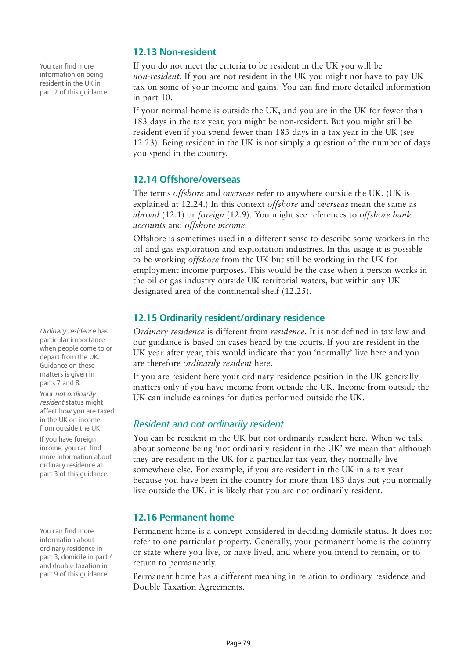You can find more information on being resident in the UK in part 2 of this guidance.

 when people come to or depart from the UK. Guidance on these matters is given in parts 7 and 8. *Ordinary residence* has particular importance

 affect how you are taxed in the UK on income from outside the UK. Your *not ordinarily resident* status might

 If you have foreign income, you can find ordinary residence at part 3 of this guidance. more information about

 You can find more ordinary residence in part 3, domicile in part 4 and double taxation in part 9 of this guidance. information about

## **12.13 Non-resident**

 If you do not meet the criteria to be resident in the UK you will be *nonresident*. If you are not resident in the UK you might not have to pay UK tax on some of your income and gains. You can find more detailed information in part 10.

 If your normal home is outside the UK, and you are in the UK for fewer than 183 days in the tax year, you might be non-resident. But you might still be resident even if you spend fewer than 183 days in a tax year in the UK (see 12.23). Being resident in the UK is not simply a question of the number of days you spend in the country.

## **12.14 Offshore/overseas**

 The terms *offshore* and *overseas* refer to anywhere outside the UK. (UK is explained at 12.24.) In this context *offshore* and *overseas* mean the same as *abroad* (12.1) or *foreign* (12.9). You might see references to *offshore bank accounts* and *offshore income*.

 Offshore is sometimes used in a different sense to describe some workers in the oil and gas exploration and exploitation industries. In this usage it is possible to be working *offshore* from the UK but still be working in the UK for employment income purposes. This would be the case when a person works in the oil or gas industry outside UK territorial waters, but within any UK designated area of the continental shelf (12.25).

# **12.15 Ordinarily resident/ordinary residence**

 *Ordinary residence* is different from *residence*. It is not defined in tax law and our guidance is based on cases heard by the courts. If you are resident in the UK year after year, this would indicate that you 'normally' live here and you are therefore *ordinarily resident* here.

 If you are resident here your ordinary residence position in the UK generally matters only if you have income from outside the UK. Income from outside the UK can include earnings for duties performed outside the UK.

## *Resident and not ordinarily resident*

 You can be resident in the UK but not ordinarily resident here. When we talk about someone being 'not ordinarily resident in the UK' we mean that although they are resident in the UK for a particular tax year, they normally live somewhere else. For example, if you are resident in the UK in a tax year because you have been in the country for more than 183 days but you normally live outside the UK, it is likely that you are not ordinarily resident.

## **12.16 Permanent home**

 Permanent home is a concept considered in deciding domicile status. It does not refer to one particular property. Generally, your permanent home is the country or state where you live, or have lived, and where you intend to remain, or to return to permanently.

 Permanent home has a different meaning in relation to ordinary residence and Double Taxation Agreements.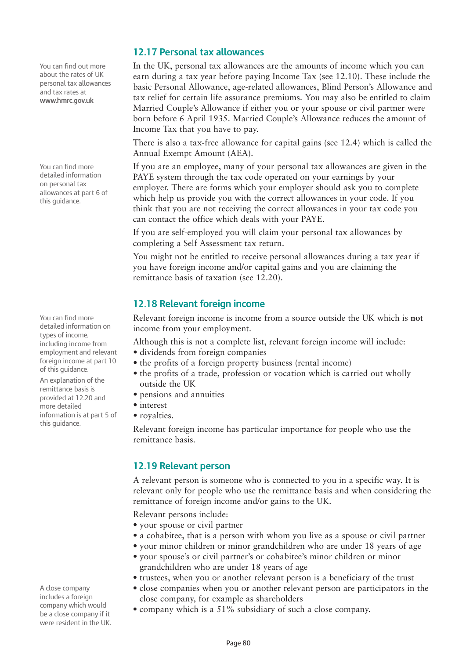You can find out more about the rates of UK personal tax allowances and tax rates at **www.hmrc.gov.uk**

 You can find more on personal tax allowances at part 6 of detailed information this guidance.

 You can find more types of income, including income from employment and relevant foreign income at part 10 of this guidance. detailed information on

 An explanation of the remittance basis is provided at 12.20 and information is at part 5 of more detailed this guidance.

 A close company includes a foreign company which would be a close company if it were resident in the UK.

#### **12.17 Personal tax allowances**

 In the UK, personal tax allowances are the amounts of income which you can earn during a tax year before paying Income Tax (see 12.10). These include the basic Personal Allowance, age-related allowances, Blind Person's Allowance and tax relief for certain life assurance premiums. You may also be entitled to claim Married Couple's Allowance if either you or your spouse or civil partner were born before 6 April 1935. Married Couple's Allowance reduces the amount of Income Tax that you have to pay.

There is also a tax-free allowance for capital gains (see 12.4) which is called the Annual Exempt Amount (AEA).

 If you are an employee, many of your personal tax allowances are given in the PAYE system through the tax code operated on your earnings by your employer. There are forms which your employer should ask you to complete which help us provide you with the correct allowances in your code. If you think that you are not receiving the correct allowances in your tax code you can contact the office which deals with your PAYE.

If you are self-employed you will claim your personal tax allowances by completing a Self Assessment tax return.

 You might not be entitled to receive personal allowances during a tax year if you have foreign income and/or capital gains and you are claiming the remittance basis of taxation (see 12.20).

#### **12.18 Relevant foreign income**

 Relevant foreign income is income from a source outside the UK which is **not** income from your employment.

Although this is not a complete list, relevant foreign income will include:

- dividends from foreign companies
- the profits of a foreign property business (rental income)
- the profits of a trade, profession or vocation which is carried out wholly outside the UK
- pensions and annuities
- interest
- royalties.

 Relevant foreign income has particular importance for people who use the remittance basis.

#### **12.19 Relevant person**

 A relevant person is someone who is connected to you in a specific way. It is relevant only for people who use the remittance basis and when considering the remittance of foreign income and/or gains to the UK.

Relevant persons include:

- your spouse or civil partner
- a cohabitee, that is a person with whom you live as a spouse or civil partner
- your minor children or minor grandchildren who are under 18 years of age
- • your spouse's or civil partner's or cohabitee's minor children or minor grandchildren who are under 18 years of age
- trustees, when you or another relevant person is a beneficiary of the trust
- close companies when you or another relevant person are participators in the close company, for example as shareholders
- company which is a 51% subsidiary of such a close company.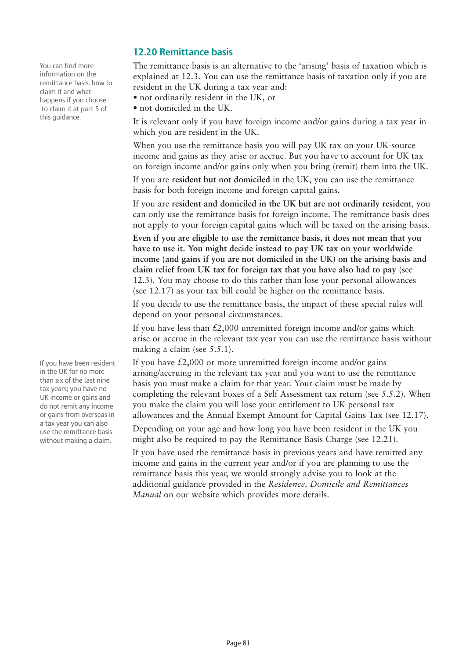You can find more information on the remittance basis, how to claim it and what happens if you choose to claim it at part 5 of this quidance.

#### **12.20 Remittance basis**

 The remittance basis is an alternative to the 'arising' basis of taxation which is explained at 12.3. You can use the remittance basis of taxation only if you are resident in the UK during a tax year and:

• not ordinarily resident in the UK, or

• not domiciled in the UK.

 It is relevant only if you have foreign income and/or gains during a tax year in which you are resident in the UK.

When you use the remittance basis you will pay UK tax on your UK-source income and gains as they arise or accrue. But you have to account for UK tax on foreign income and/or gains only when you bring (remit) them into the UK.

  If you are **resident but not domiciled** in the UK, you can use the remittance basis for both foreign income and foreign capital gains.

  If you are **resident and domiciled in the UK but are not ordinarily resident**, you can only use the remittance basis for foreign income. The remittance basis does not apply to your foreign capital gains which will be taxed on the arising basis.

Even if you are eligible to use the remittance basis, it does not mean that you  **have to use it. You might decide instead to pay UK tax on your worldwide** income (and gains if you are not domiciled in the UK) on the arising basis and  **claim relief from UK tax for foreign tax that you have also had to pay** (see 12.3). You may choose to do this rather than lose your personal allowances (see 12.17) as your tax bill could be higher on the remittance basis.

 If you decide to use the remittance basis, the impact of these special rules will depend on your personal circumstances.

If you have less than  $£2,000$  unremitted foreign income and/or gains which arise or accrue in the relevant tax year you can use the remittance basis without making a claim (see 5.5.1).

 If you have £2,000 or more unremitted foreign income and/or gains arising/accruing in the relevant tax year and you want to use the remittance basis you must make a claim for that year. Your claim must be made by completing the relevant boxes of a Self Assessment tax return (see 5.5.2). When you make the claim you will lose your entitlement to UK personal tax allowances and the Annual Exempt Amount for Capital Gains Tax (see 12.17).

 Depending on your age and how long you have been resident in the UK you might also be required to pay the Remittance Basis Charge (see 12.21).

 If you have used the remittance basis in previous years and have remitted any income and gains in the current year and/or if you are planning to use the remittance basis this year, we would strongly advise you to look at the  additional guidance provided in the *Residence, Domicile and Remittances Manual* on our website which provides more details.

 If you have been resident in the UK for no more than six of the last nine tax years; you have no UK income or gains and do not remit any income or gains from overseas in a tax year you can also use the remittance basis without making a claim.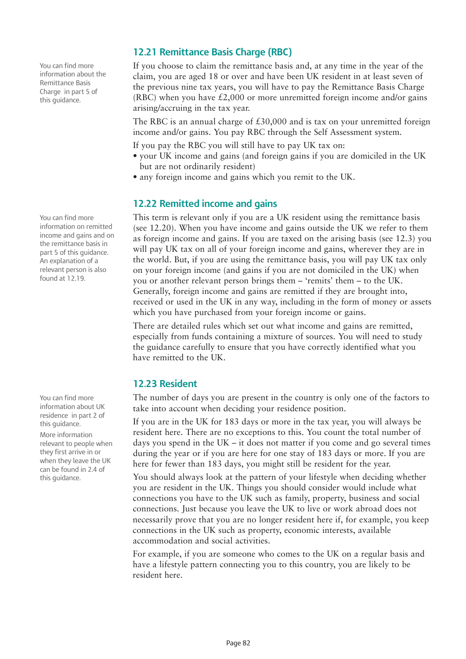You can find more information about the Remittance Basis Charge in part 5 of this guidance.

 You can find more information on remitted income and gains and on the remittance basis in part 5 of this guidance. An explanation of a relevant person is also found at 12.19.

 You can find more information about UK residence in part 2 of this guidance.

 relevant to people when they first arrive in or when they leave the UK can be found in 2.4 of More information this guidance.

## **12.21 Remittance Basis Charge (RBC)**

 If you choose to claim the remittance basis and, at any time in the year of the claim, you are aged 18 or over and have been UK resident in at least seven of the previous nine tax years, you will have to pay the Remittance Basis Charge (RBC) when you have  $\text{\pounds}2,000$  or more unremitted foreign income and/or gains arising/accruing in the tax year.

 The RBC is an annual charge of £30,000 and is tax on your unremitted foreign income and/or gains. You pay RBC through the Self Assessment system.

If you pay the RBC you will still have to pay UK tax on:

- your UK income and gains (and foreign gains if you are domiciled in the UK but are not ordinarily resident)
- any foreign income and gains which you remit to the UK.

## **12.22 Remitted income and gains**

 This term is relevant only if you are a UK resident using the remittance basis (see 12.20). When you have income and gains outside the UK we refer to them as foreign income and gains. If you are taxed on the arising basis (see 12.3) you will pay UK tax on all of your foreign income and gains, wherever they are in the world. But, if you are using the remittance basis, you will pay UK tax only on your foreign income (and gains if you are not domiciled in the UK) when you or another relevant person brings them – 'remits' them – to the UK. Generally, foreign income and gains are remitted if they are brought into, received or used in the UK in any way, including in the form of money or assets which you have purchased from your foreign income or gains.

 There are detailed rules which set out what income and gains are remitted, especially from funds containing a mixture of sources. You will need to study the guidance carefully to ensure that you have correctly identified what you have remitted to the UK.

# **12.23 Resident**

 The number of days you are present in the country is only one of the factors to take into account when deciding your residence position.

 If you are in the UK for 183 days or more in the tax year, you will always be resident here. There are no exceptions to this. You count the total number of days you spend in the UK – it does not matter if you come and go several times during the year or if you are here for one stay of 183 days or more. If you are here for fewer than 183 days, you might still be resident for the year.

 You should always look at the pattern of your lifestyle when deciding whether you are resident in the UK. Things you should consider would include what connections you have to the UK such as family, property, business and social connections. Just because you leave the UK to live or work abroad does not necessarily prove that you are no longer resident here if, for example, you keep connections in the UK such as property, economic interests, available accommodation and social activities.

 For example, if you are someone who comes to the UK on a regular basis and have a lifestyle pattern connecting you to this country, you are likely to be resident here.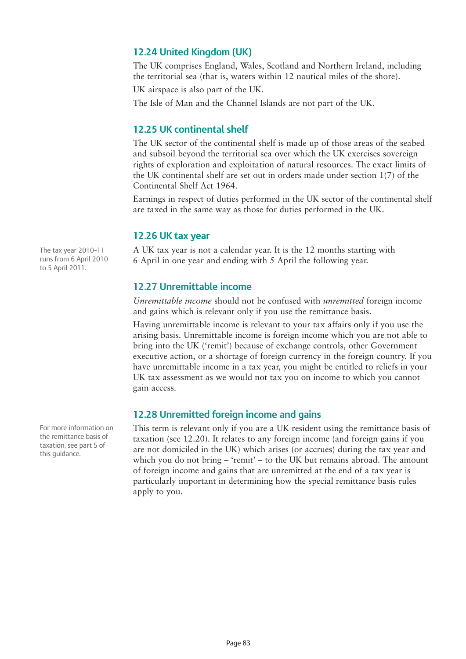## **12.24 United Kingdom (UK)**

 The UK comprises England, Wales, Scotland and Northern Ireland, including the territorial sea (that is, waters within 12 nautical miles of the shore).

UK airspace is also part of the UK.

The Isle of Man and the Channel Islands are not part of the UK.

#### **12.25 UK continental shelf**

 The UK sector of the continental shelf is made up of those areas of the seabed and subsoil beyond the territorial sea over which the UK exercises sovereign rights of exploration and exploitation of natural resources. The exact limits of the UK continental shelf are set out in orders made under section 1(7) of the Continental Shelf Act 1964.

 Earnings in respect of duties performed in the UK sector of the continental shelf are taxed in the same way as those for duties performed in the UK.

#### **12.26 UK tax year**

 A UK tax year is not a calendar year. It is the 12 months starting with 6 April in one year and ending with 5 April the following year.

#### **12.27 Unremittable income**

 *Unremittable income* should not be confused with *unremitted* foreign income and gains which is relevant only if you use the remittance basis.

 Having unremittable income is relevant to your tax affairs only if you use the arising basis. Unremittable income is foreign income which you are not able to bring into the UK ('remit') because of exchange controls, other Government executive action, or a shortage of foreign currency in the foreign country. If you have unremittable income in a tax year, you might be entitled to reliefs in your UK tax assessment as we would not tax you on income to which you cannot gain access.

## **12.28 Unremitted foreign income and gains**

 This term is relevant only if you are a UK resident using the remittance basis of taxation (see 12.20). It relates to any foreign income (and foreign gains if you are not domiciled in the UK) which arises (or accrues) during the tax year and which you do not bring – 'remit' – to the UK but remains abroad. The amount of foreign income and gains that are unremitted at the end of a tax year is particularly important in determining how the special remittance basis rules apply to you.

 The tax year 2010–11 runs from 6 April 2010 to 5 April 2011.

 For more information on the remittance basis of taxation, see part 5 of this guidance.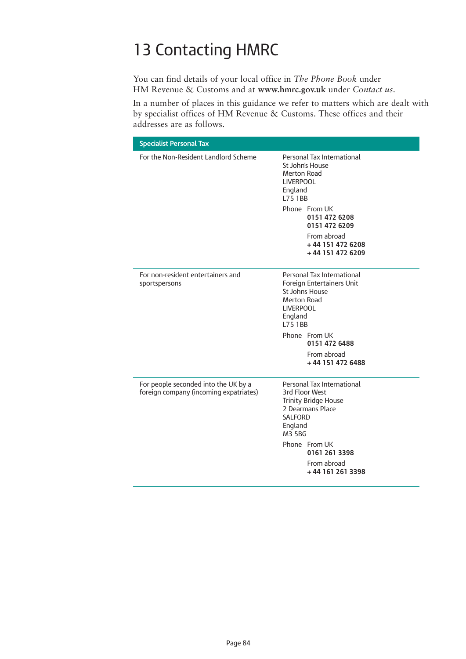# 13 Contacting HMRC

  You can find details of your local office in *The Phone Book* under HM Revenue & Customs and at **www.hmrc.gov.uk** under *Contact us*.

 In a number of places in this guidance we refer to matters which are dealt with by specialist offices of HM Revenue & Customs. These offices and their addresses are as follows.

| <b>Specialist Personal Tax</b>                                                 |                                                                                                                                                                                                                  |
|--------------------------------------------------------------------------------|------------------------------------------------------------------------------------------------------------------------------------------------------------------------------------------------------------------|
| For the Non-Resident Landlord Scheme                                           | Personal Tax International<br>St John's House<br>Merton Road<br><b>LIVERPOOL</b><br>England<br>L75 1BB<br>Phone From UK<br>0151 472 6208<br>0151 472 6209<br>From abroad<br>+44 151 472 6208<br>+44 151 472 6209 |
| For non-resident entertainers and<br>sportspersons                             | Personal Tax International<br>Foreign Entertainers Unit<br>St Johns House<br>Merton Road<br><b>LIVERPOOL</b><br>England<br>L75 1BB<br>Phone From UK<br>0151 472 6488<br>From abroad<br>+44 151 472 6488          |
| For people seconded into the UK by a<br>foreign company (incoming expatriates) | Personal Tax International<br>3rd Floor West<br><b>Trinity Bridge House</b><br>2 Dearmans Place<br><b>SALFORD</b><br>England<br>M3 5BG<br>Phone From UK<br>0161 261 3398<br>From abroad<br>+44 161 261 3398      |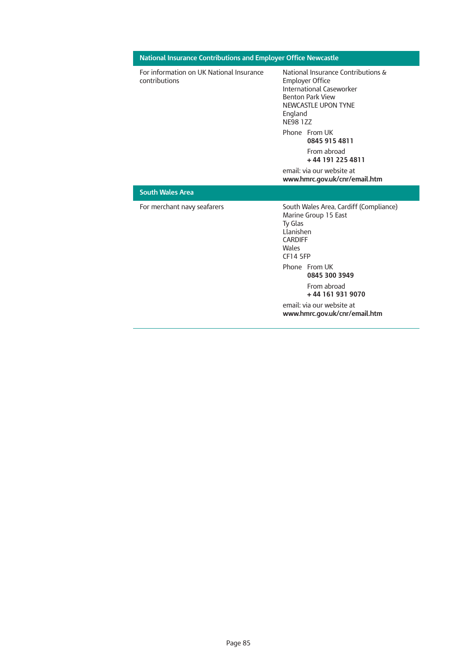| National Insurance Contributions and Employer Office Newcastle |                                                                                                                                                                                                                                                                                                                           |
|----------------------------------------------------------------|---------------------------------------------------------------------------------------------------------------------------------------------------------------------------------------------------------------------------------------------------------------------------------------------------------------------------|
| For information on UK National Insurance<br>contributions      | National Insurance Contributions &<br><b>Employer Office</b><br><b>International Caseworker</b><br><b>Benton Park View</b><br><b>NEWCASTLE UPON TYNE</b><br>England<br><b>NE98 1ZZ</b><br>Phone From UK<br>0845 915 4811<br>From abroad<br>+44 191 225 4811<br>email: via our website at<br>www.hmrc.gov.uk/cnr/email.htm |
| <b>South Wales Area</b>                                        |                                                                                                                                                                                                                                                                                                                           |
| For merchant navy seafarers                                    | South Wales Area, Cardiff (Compliance)<br>Marine Group 15 East<br>Ty Glas<br>Llanishen<br><b>CARDIFF</b><br><b>Wales</b><br><b>CF14 5FP</b><br>Phone From UK<br>0845 300 3949<br>From abroad<br>+44 161 931 9070<br>email: via our website at<br>www.hmrc.gov.uk/cnr/email.htm                                            |